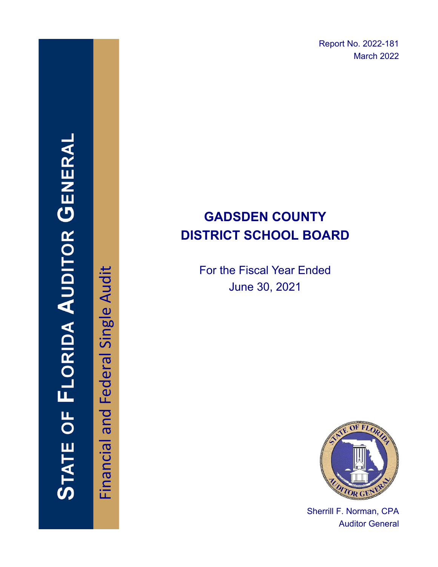Report No. 2022-181 March 2022

# **GADSDEN COUNTY DISTRICT SCHOOL BOARD**

For the Fiscal Year Ended June 30, 2021



Sherrill F. Norman, CPA Auditor General

Financial and Federal Single Audit Financial and Federal Single Audit

STATE OF FLORIDA AUDITOR GENERAI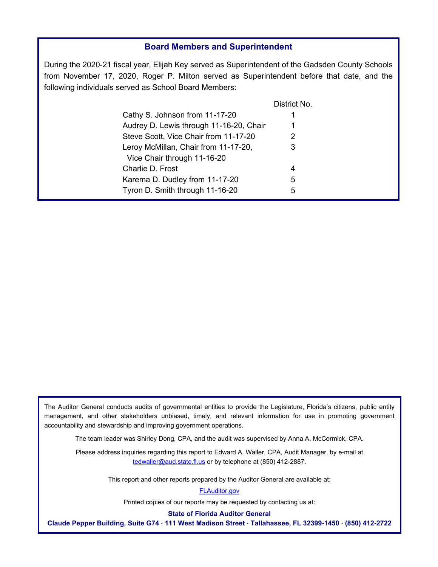#### **Board Members and Superintendent**

During the 2020-21 fiscal year, Elijah Key served as Superintendent of the Gadsden County Schools from November 17, 2020, Roger P. Milton served as Superintendent before that date, and the following individuals served as School Board Members:

|                                         | District No. |
|-----------------------------------------|--------------|
| Cathy S. Johnson from 11-17-20          |              |
| Audrey D. Lewis through 11-16-20, Chair | 1            |
| Steve Scott, Vice Chair from 11-17-20   | 2            |
| Leroy McMillan, Chair from 11-17-20,    | 3            |
| Vice Chair through 11-16-20             |              |
| Charlie D. Frost                        | 4            |
| Karema D. Dudley from 11-17-20          | 5            |
| Tyron D. Smith through 11-16-20         | 5            |

The Auditor General conducts audits of governmental entities to provide the Legislature, Florida's citizens, public entity management, and other stakeholders unbiased, timely, and relevant information for use in promoting government accountability and stewardship and improving government operations.

The team leader was Shirley Dong, CPA, and the audit was supervised by Anna A. McCormick, CPA.

Please address inquiries regarding this report to Edward A. Waller, CPA, Audit Manager, by e-mail at tedwaller@aud.state.fl.us or by telephone at (850) 412-2887.

This report and other reports prepared by the Auditor General are available at:

[FLAuditor.gov](http://flauditor.gov/)

Printed copies of our reports may be requested by contacting us at:

**State of Florida Auditor General** 

**Claude Pepper Building, Suite G74 · 111 West Madison Street · Tallahassee, FL 32399-1450 · (850) 412-2722**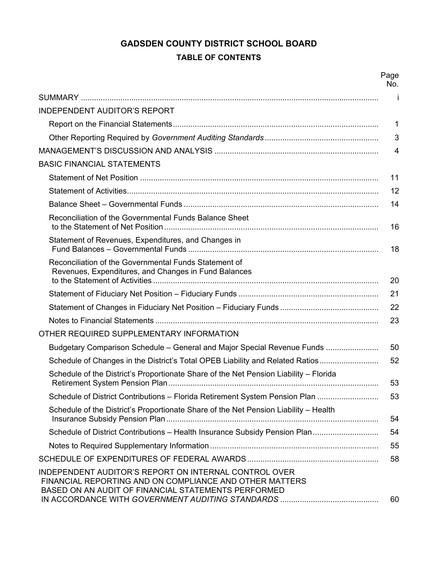## **GADSDEN COUNTY DISTRICT SCHOOL BOARD TABLE OF CONTENTS**

|                                                                                                                                                                         | Page<br>No.    |
|-------------------------------------------------------------------------------------------------------------------------------------------------------------------------|----------------|
|                                                                                                                                                                         | Ť              |
| <b>INDEPENDENT AUDITOR'S REPORT</b>                                                                                                                                     |                |
|                                                                                                                                                                         | 1              |
|                                                                                                                                                                         | 3              |
|                                                                                                                                                                         | $\overline{4}$ |
| <b>BASIC FINANCIAL STATEMENTS</b>                                                                                                                                       |                |
|                                                                                                                                                                         | 11             |
|                                                                                                                                                                         | 12             |
|                                                                                                                                                                         | 14             |
| Reconciliation of the Governmental Funds Balance Sheet                                                                                                                  | 16             |
| Statement of Revenues, Expenditures, and Changes in                                                                                                                     | 18             |
| Reconciliation of the Governmental Funds Statement of<br>Revenues, Expenditures, and Changes in Fund Balances                                                           | 20             |
|                                                                                                                                                                         | 21             |
|                                                                                                                                                                         | 22             |
|                                                                                                                                                                         | 23             |
| OTHER REQUIRED SUPPLEMENTARY INFORMATION                                                                                                                                |                |
| Budgetary Comparison Schedule – General and Major Special Revenue Funds                                                                                                 | 50             |
| Schedule of Changes in the District's Total OPEB Liability and Related Ratios                                                                                           | 52             |
| Schedule of the District's Proportionate Share of the Net Pension Liability - Florida                                                                                   | 53             |
| Schedule of District Contributions - Florida Retirement System Pension Plan                                                                                             | 53             |
| Schedule of the District's Proportionate Share of the Net Pension Liability - Health                                                                                    | 54             |
| Schedule of District Contributions - Health Insurance Subsidy Pension Plan                                                                                              | 54             |
|                                                                                                                                                                         | 55             |
|                                                                                                                                                                         | 58             |
| INDEPENDENT AUDITOR'S REPORT ON INTERNAL CONTROL OVER<br>FINANCIAL REPORTING AND ON COMPLIANCE AND OTHER MATTERS<br>BASED ON AN AUDIT OF FINANCIAL STATEMENTS PERFORMED | 60             |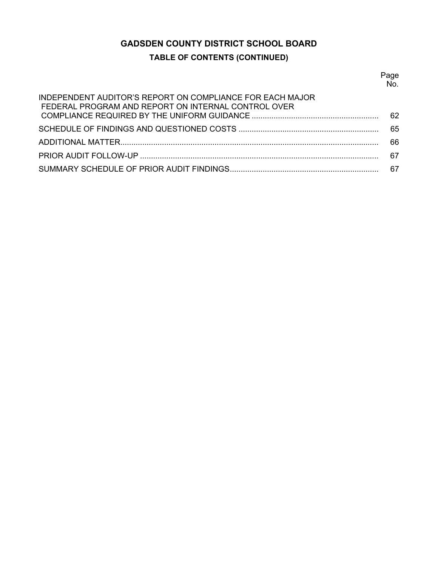## **GADSDEN COUNTY DISTRICT SCHOOL BOARD**

## **TABLE OF CONTENTS (CONTINUED)**

Page No.

| INDEPENDENT AUDITOR'S REPORT ON COMPLIANCE FOR EACH MAJOR<br>FEDERAL PROGRAM AND REPORT ON INTERNAL CONTROL OVER |  |
|------------------------------------------------------------------------------------------------------------------|--|
|                                                                                                                  |  |
|                                                                                                                  |  |
|                                                                                                                  |  |
|                                                                                                                  |  |
|                                                                                                                  |  |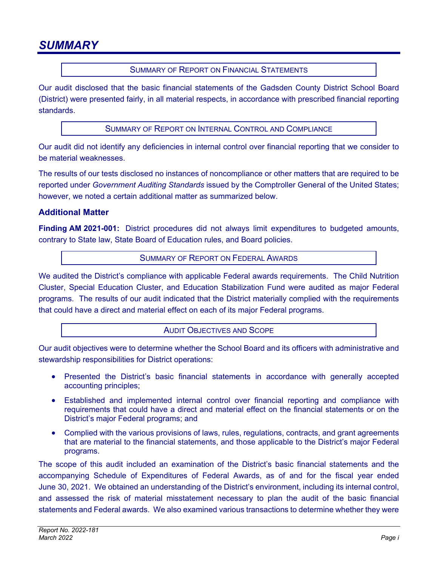#### SUMMARY OF REPORT ON FINANCIAL STATEMENTS

<span id="page-4-0"></span>Our audit disclosed that the basic financial statements of the Gadsden County District School Board (District) were presented fairly, in all material respects, in accordance with prescribed financial reporting standards.

SUMMARY OF REPORT ON INTERNAL CONTROL AND COMPLIANCE

Our audit did not identify any deficiencies in internal control over financial reporting that we consider to be material weaknesses.

The results of our tests disclosed no instances of noncompliance or other matters that are required to be reported under *Government Auditing Standards* issued by the Comptroller General of the United States; however, we noted a certain additional matter as summarized below.

## **Additional Matter**

**Finding AM 2021-001:** District procedures did not always limit expenditures to budgeted amounts, contrary to State law, State Board of Education rules, and Board policies.

SUMMARY OF REPORT ON FEDERAL AWARDS

We audited the District's compliance with applicable Federal awards requirements. The Child Nutrition Cluster, Special Education Cluster, and Education Stabilization Fund were audited as major Federal programs. The results of our audit indicated that the District materially complied with the requirements that could have a direct and material effect on each of its major Federal programs.

AUDIT OBJECTIVES AND SCOPE

Our audit objectives were to determine whether the School Board and its officers with administrative and stewardship responsibilities for District operations:

- Presented the District's basic financial statements in accordance with generally accepted accounting principles;
- Established and implemented internal control over financial reporting and compliance with requirements that could have a direct and material effect on the financial statements or on the District's major Federal programs; and
- Complied with the various provisions of laws, rules, regulations, contracts, and grant agreements that are material to the financial statements, and those applicable to the District's major Federal programs.

The scope of this audit included an examination of the District's basic financial statements and the accompanying Schedule of Expenditures of Federal Awards, as of and for the fiscal year ended June 30, 2021. We obtained an understanding of the District's environment, including its internal control, and assessed the risk of material misstatement necessary to plan the audit of the basic financial statements and Federal awards. We also examined various transactions to determine whether they were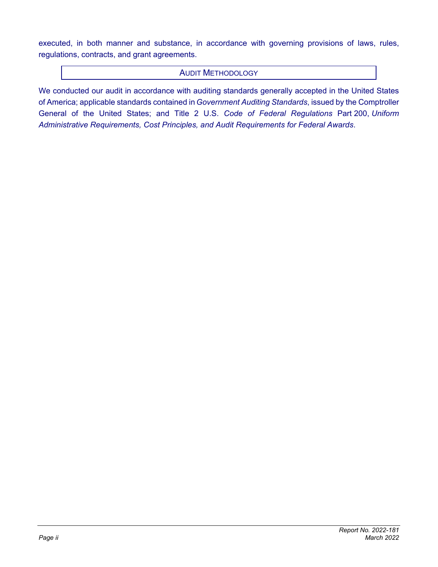executed, in both manner and substance, in accordance with governing provisions of laws, rules, regulations, contracts, and grant agreements.

### AUDIT METHODOLOGY

We conducted our audit in accordance with auditing standards generally accepted in the United States of America; applicable standards contained in *Government Auditing Standards*, issued by the Comptroller General of the United States; and Title 2 U.S. *Code of Federal Regulations* Part 200, *Uniform Administrative Requirements, Cost Principles, and Audit Requirements for Federal Awards*.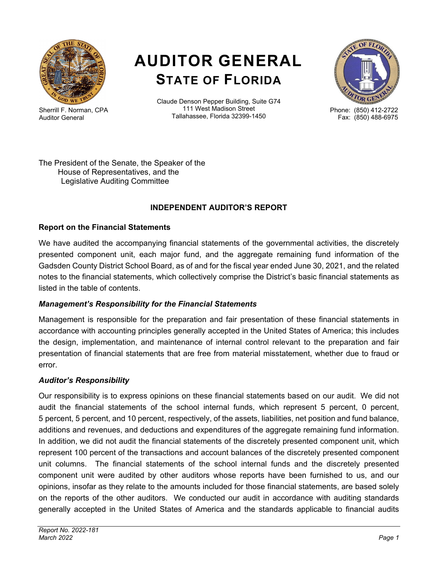<span id="page-6-0"></span>

Sherrill F. Norman, CPA Auditor General

# **AUDITOR GENERAL STATE OF FLORIDA**

Claude Denson Pepper Building, Suite G74 111 West Madison Street Tallahassee, Florida 32399-1450



Phone: (850) 412-2722 Fax: (850) 488-6975

The President of the Senate, the Speaker of the House of Representatives, and the Legislative Auditing Committee

## **INDEPENDENT AUDITOR'S REPORT**

## **Report on the Financial Statements**

We have audited the accompanying financial statements of the governmental activities, the discretely presented component unit, each major fund, and the aggregate remaining fund information of the Gadsden County District School Board, as of and for the fiscal year ended June 30, 2021, and the related notes to the financial statements, which collectively comprise the District's basic financial statements as listed in the table of contents.

## *Management's Responsibility for the Financial Statements*

Management is responsible for the preparation and fair presentation of these financial statements in accordance with accounting principles generally accepted in the United States of America; this includes the design, implementation, and maintenance of internal control relevant to the preparation and fair presentation of financial statements that are free from material misstatement, whether due to fraud or error.

## *Auditor's Responsibility*

Our responsibility is to express opinions on these financial statements based on our audit. We did not audit the financial statements of the school internal funds, which represent 5 percent, 0 percent, 5 percent, 5 percent, and 10 percent, respectively, of the assets, liabilities, net position and fund balance, additions and revenues, and deductions and expenditures of the aggregate remaining fund information. In addition, we did not audit the financial statements of the discretely presented component unit, which represent 100 percent of the transactions and account balances of the discretely presented component unit columns. The financial statements of the school internal funds and the discretely presented component unit were audited by other auditors whose reports have been furnished to us, and our opinions, insofar as they relate to the amounts included for those financial statements, are based solely on the reports of the other auditors. We conducted our audit in accordance with auditing standards generally accepted in the United States of America and the standards applicable to financial audits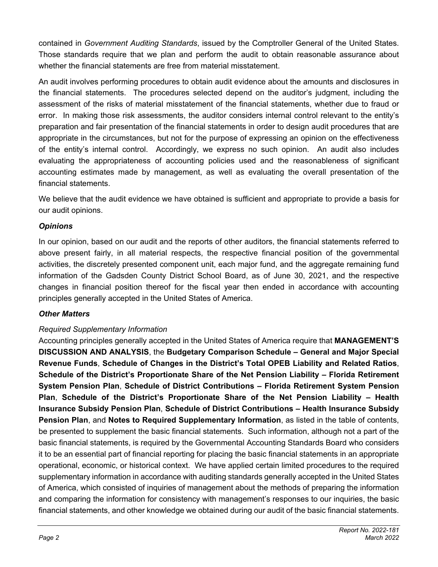contained in *Government Auditing Standards*, issued by the Comptroller General of the United States. Those standards require that we plan and perform the audit to obtain reasonable assurance about whether the financial statements are free from material misstatement.

An audit involves performing procedures to obtain audit evidence about the amounts and disclosures in the financial statements. The procedures selected depend on the auditor's judgment, including the assessment of the risks of material misstatement of the financial statements, whether due to fraud or error. In making those risk assessments, the auditor considers internal control relevant to the entity's preparation and fair presentation of the financial statements in order to design audit procedures that are appropriate in the circumstances, but not for the purpose of expressing an opinion on the effectiveness of the entity's internal control. Accordingly, we express no such opinion. An audit also includes evaluating the appropriateness of accounting policies used and the reasonableness of significant accounting estimates made by management, as well as evaluating the overall presentation of the financial statements.

We believe that the audit evidence we have obtained is sufficient and appropriate to provide a basis for our audit opinions.

## *Opinions*

In our opinion, based on our audit and the reports of other auditors, the financial statements referred to above present fairly, in all material respects, the respective financial position of the governmental activities, the discretely presented component unit, each major fund, and the aggregate remaining fund information of the Gadsden County District School Board, as of June 30, 2021, and the respective changes in financial position thereof for the fiscal year then ended in accordance with accounting principles generally accepted in the United States of America.

## *Other Matters*

## *Required Supplementary Information*

Accounting principles generally accepted in the United States of America require that **MANAGEMENT'S DISCUSSION AND ANALYSIS**, the **Budgetary Comparison Schedule – General and Major Special Revenue Funds**, **Schedule of Changes in the District's Total OPEB Liability and Related Ratios**, **Schedule of the District's Proportionate Share of the Net Pension Liability – Florida Retirement System Pension Plan**, **Schedule of District Contributions – Florida Retirement System Pension Plan**, **Schedule of the District's Proportionate Share of the Net Pension Liability – Health Insurance Subsidy Pension Plan**, **Schedule of District Contributions – Health Insurance Subsidy Pension Plan**, and **Notes to Required Supplementary Information**, as listed in the table of contents, be presented to supplement the basic financial statements. Such information, although not a part of the basic financial statements, is required by the Governmental Accounting Standards Board who considers it to be an essential part of financial reporting for placing the basic financial statements in an appropriate operational, economic, or historical context. We have applied certain limited procedures to the required supplementary information in accordance with auditing standards generally accepted in the United States of America, which consisted of inquiries of management about the methods of preparing the information and comparing the information for consistency with management's responses to our inquiries, the basic financial statements, and other knowledge we obtained during our audit of the basic financial statements.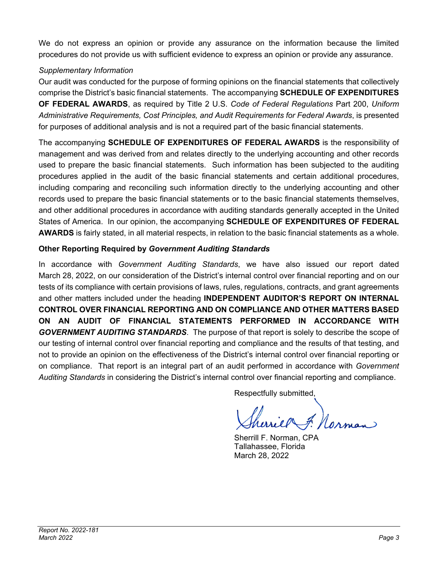<span id="page-8-0"></span>We do not express an opinion or provide any assurance on the information because the limited procedures do not provide us with sufficient evidence to express an opinion or provide any assurance.

## *Supplementary Information*

Our audit was conducted for the purpose of forming opinions on the financial statements that collectively comprise the District's basic financial statements. The accompanying **SCHEDULE OF EXPENDITURES OF FEDERAL AWARDS**, as required by Title 2 U.S. *Code of Federal Regulations* Part 200, *Uniform Administrative Requirements, Cost Principles, and Audit Requirements for Federal Awards*, is presented for purposes of additional analysis and is not a required part of the basic financial statements.

The accompanying **SCHEDULE OF EXPENDITURES OF FEDERAL AWARDS** is the responsibility of management and was derived from and relates directly to the underlying accounting and other records used to prepare the basic financial statements. Such information has been subjected to the auditing procedures applied in the audit of the basic financial statements and certain additional procedures, including comparing and reconciling such information directly to the underlying accounting and other records used to prepare the basic financial statements or to the basic financial statements themselves, and other additional procedures in accordance with auditing standards generally accepted in the United States of America. In our opinion, the accompanying **SCHEDULE OF EXPENDITURES OF FEDERAL AWARDS** is fairly stated, in all material respects, in relation to the basic financial statements as a whole.

## **Other Reporting Required by** *Government Auditing Standards*

In accordance with *Government Auditing Standards*, we have also issued our report dated March 28, 2022, on our consideration of the District's internal control over financial reporting and on our tests of its compliance with certain provisions of laws, rules, regulations, contracts, and grant agreements and other matters included under the heading **INDEPENDENT AUDITOR'S REPORT ON INTERNAL CONTROL OVER FINANCIAL REPORTING AND ON COMPLIANCE AND OTHER MATTERS BASED ON AN AUDIT OF FINANCIAL STATEMENTS PERFORMED IN ACCORDANCE WITH**  *GOVERNMENT AUDITING STANDARDS*. The purpose of that report is solely to describe the scope of our testing of internal control over financial reporting and compliance and the results of that testing, and not to provide an opinion on the effectiveness of the District's internal control over financial reporting or on compliance. That report is an integral part of an audit performed in accordance with *Government Auditing Standards* in considering the District's internal control over financial reporting and compliance.

Respectfully submitted,

Sherrill F. Norman, CPA Tallahassee, Florida March 28, 2022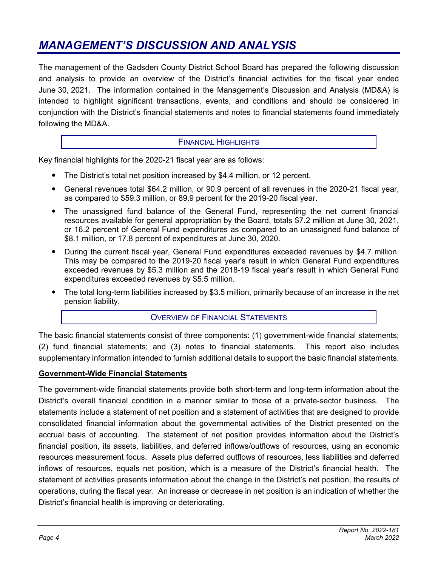## <span id="page-9-0"></span>*MANAGEMENT'S DISCUSSION AND ANALYSIS*

The management of the Gadsden County District School Board has prepared the following discussion and analysis to provide an overview of the District's financial activities for the fiscal year ended June 30, 2021. The information contained in the Management's Discussion and Analysis (MD&A) is intended to highlight significant transactions, events, and conditions and should be considered in conjunction with the District's financial statements and notes to financial statements found immediately following the MD&A.

## FINANCIAL HIGHLIGHTS

Key financial highlights for the 2020-21 fiscal year are as follows:

- The District's total net position increased by \$4.4 million, or 12 percent.
- General revenues total \$64.2 million, or 90.9 percent of all revenues in the 2020-21 fiscal year, as compared to \$59.3 million, or 89.9 percent for the 2019-20 fiscal year.
- The unassigned fund balance of the General Fund, representing the net current financial resources available for general appropriation by the Board, totals \$7.2 million at June 30, 2021, or 16.2 percent of General Fund expenditures as compared to an unassigned fund balance of \$8.1 million, or 17.8 percent of expenditures at June 30, 2020.
- During the current fiscal year, General Fund expenditures exceeded revenues by \$4.7 million. This may be compared to the 2019-20 fiscal year's result in which General Fund expenditures exceeded revenues by \$5.3 million and the 2018-19 fiscal year's result in which General Fund expenditures exceeded revenues by \$5.5 million.
- The total long-term liabilities increased by \$3.5 million, primarily because of an increase in the net pension liability.

## OVERVIEW OF FINANCIAL STATEMENTS

The basic financial statements consist of three components: (1) government-wide financial statements; (2) fund financial statements; and (3) notes to financial statements. This report also includes supplementary information intended to furnish additional details to support the basic financial statements.

#### **Government-Wide Financial Statements**

The government-wide financial statements provide both short-term and long-term information about the District's overall financial condition in a manner similar to those of a private-sector business. The statements include a statement of net position and a statement of activities that are designed to provide consolidated financial information about the governmental activities of the District presented on the accrual basis of accounting. The statement of net position provides information about the District's financial position, its assets, liabilities, and deferred inflows/outflows of resources, using an economic resources measurement focus. Assets plus deferred outflows of resources, less liabilities and deferred inflows of resources, equals net position, which is a measure of the District's financial health. The statement of activities presents information about the change in the District's net position, the results of operations, during the fiscal year. An increase or decrease in net position is an indication of whether the District's financial health is improving or deteriorating.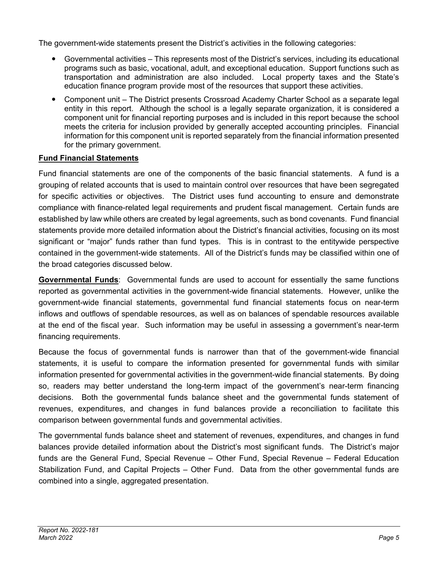The government-wide statements present the District's activities in the following categories:

- Governmental activities This represents most of the District's services, including its educational programs such as basic, vocational, adult, and exceptional education. Support functions such as transportation and administration are also included. Local property taxes and the State's education finance program provide most of the resources that support these activities.
- Component unit The District presents Crossroad Academy Charter School as a separate legal entity in this report. Although the school is a legally separate organization, it is considered a component unit for financial reporting purposes and is included in this report because the school meets the criteria for inclusion provided by generally accepted accounting principles. Financial information for this component unit is reported separately from the financial information presented for the primary government.

## **Fund Financial Statements**

Fund financial statements are one of the components of the basic financial statements. A fund is a grouping of related accounts that is used to maintain control over resources that have been segregated for specific activities or objectives. The District uses fund accounting to ensure and demonstrate compliance with finance-related legal requirements and prudent fiscal management. Certain funds are established by law while others are created by legal agreements, such as bond covenants. Fund financial statements provide more detailed information about the District's financial activities, focusing on its most significant or "major" funds rather than fund types. This is in contrast to the entitywide perspective contained in the government-wide statements. All of the District's funds may be classified within one of the broad categories discussed below.

**Governmental Funds**: Governmental funds are used to account for essentially the same functions reported as governmental activities in the government-wide financial statements. However, unlike the government-wide financial statements, governmental fund financial statements focus on near-term inflows and outflows of spendable resources, as well as on balances of spendable resources available at the end of the fiscal year. Such information may be useful in assessing a government's near-term financing requirements.

Because the focus of governmental funds is narrower than that of the government-wide financial statements, it is useful to compare the information presented for governmental funds with similar information presented for governmental activities in the government-wide financial statements. By doing so, readers may better understand the long-term impact of the government's near-term financing decisions. Both the governmental funds balance sheet and the governmental funds statement of revenues, expenditures, and changes in fund balances provide a reconciliation to facilitate this comparison between governmental funds and governmental activities.

The governmental funds balance sheet and statement of revenues, expenditures, and changes in fund balances provide detailed information about the District's most significant funds. The District's major funds are the General Fund, Special Revenue – Other Fund, Special Revenue – Federal Education Stabilization Fund, and Capital Projects – Other Fund. Data from the other governmental funds are combined into a single, aggregated presentation.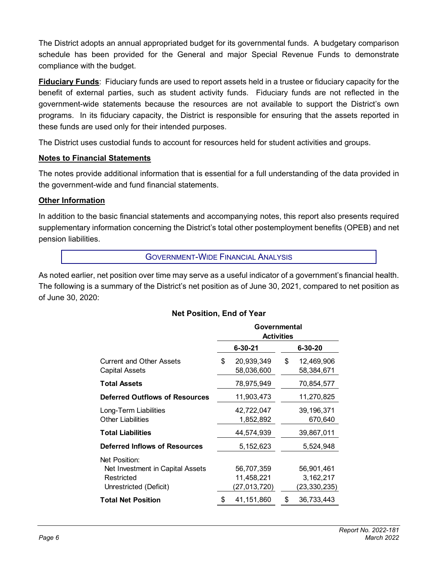The District adopts an annual appropriated budget for its governmental funds. A budgetary comparison schedule has been provided for the General and major Special Revenue Funds to demonstrate compliance with the budget.

**Fiduciary Funds**: Fiduciary funds are used to report assets held in a trustee or fiduciary capacity for the benefit of external parties, such as student activity funds. Fiduciary funds are not reflected in the government-wide statements because the resources are not available to support the District's own programs. In its fiduciary capacity, the District is responsible for ensuring that the assets reported in these funds are used only for their intended purposes.

The District uses custodial funds to account for resources held for student activities and groups.

## **Notes to Financial Statements**

The notes provide additional information that is essential for a full understanding of the data provided in the government-wide and fund financial statements.

## **Other Information**

In addition to the basic financial statements and accompanying notes, this report also presents required supplementary information concerning the District's total other postemployment benefits (OPEB) and net pension liabilities.

GOVERNMENT-WIDE FINANCIAL ANALYSIS

As noted earlier, net position over time may serve as a useful indicator of a government's financial health. The following is a summary of the District's net position as of June 30, 2021, compared to net position as of June 30, 2020:

| <b>Net Position, End of Year</b> |  |
|----------------------------------|--|
|----------------------------------|--|

|                                                                                           |    | Governmental                               | <b>Activities</b> |                                           |  |
|-------------------------------------------------------------------------------------------|----|--------------------------------------------|-------------------|-------------------------------------------|--|
|                                                                                           |    | $6 - 30 - 20$                              |                   |                                           |  |
| Current and Other Assets<br><b>Capital Assets</b>                                         | \$ | 20,939,349<br>58,036,600                   | \$                | 12,469,906<br>58,384,671                  |  |
| <b>Total Assets</b>                                                                       |    | 78,975,949                                 | 70,854,577        |                                           |  |
| <b>Deferred Outflows of Resources</b>                                                     |    | 11,903,473                                 |                   | 11,270,825                                |  |
| Long-Term Liabilities<br><b>Other Liabilities</b>                                         |    | 42,722,047<br>1,852,892                    |                   | 39,196,371<br>670,640                     |  |
| <b>Total Liabilities</b>                                                                  |    | 44,574,939                                 |                   | 39,867,011                                |  |
| <b>Deferred Inflows of Resources</b>                                                      |    | 5,152,623                                  |                   | 5,524,948                                 |  |
| Net Position:<br>Net Investment in Capital Assets<br>Restricted<br>Unrestricted (Deficit) |    | 56,707,359<br>11,458,221<br>(27, 013, 720) |                   | 56,901,461<br>3,162,217<br>(23, 330, 235) |  |
| <b>Total Net Position</b>                                                                 | \$ | 41,151,860                                 | \$                | 36,733,443                                |  |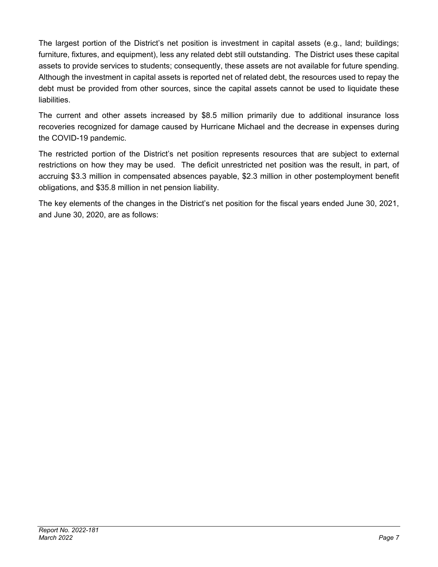The largest portion of the District's net position is investment in capital assets (e.g., land; buildings; furniture, fixtures, and equipment), less any related debt still outstanding. The District uses these capital assets to provide services to students; consequently, these assets are not available for future spending. Although the investment in capital assets is reported net of related debt, the resources used to repay the debt must be provided from other sources, since the capital assets cannot be used to liquidate these liabilities.

The current and other assets increased by \$8.5 million primarily due to additional insurance loss recoveries recognized for damage caused by Hurricane Michael and the decrease in expenses during the COVID-19 pandemic.

The restricted portion of the District's net position represents resources that are subject to external restrictions on how they may be used. The deficit unrestricted net position was the result, in part, of accruing \$3.3 million in compensated absences payable, \$2.3 million in other postemployment benefit obligations, and \$35.8 million in net pension liability.

The key elements of the changes in the District's net position for the fiscal years ended June 30, 2021, and June 30, 2020, are as follows: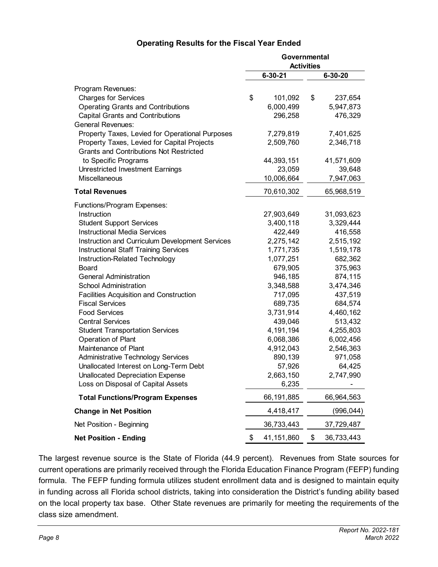## **Operating Results for the Fiscal Year Ended**

|                                                 | Governmental      |               |    |               |
|-------------------------------------------------|-------------------|---------------|----|---------------|
|                                                 | <b>Activities</b> |               |    |               |
|                                                 |                   | $6 - 30 - 21$ |    | $6 - 30 - 20$ |
| Program Revenues:                               |                   |               |    |               |
| <b>Charges for Services</b>                     | \$                | 101,092       | \$ | 237,654       |
| <b>Operating Grants and Contributions</b>       |                   | 6,000,499     |    | 5,947,873     |
| <b>Capital Grants and Contributions</b>         |                   | 296,258       |    | 476,329       |
| <b>General Revenues:</b>                        |                   |               |    |               |
| Property Taxes, Levied for Operational Purposes |                   | 7,279,819     |    | 7,401,625     |
| Property Taxes, Levied for Capital Projects     |                   | 2,509,760     |    | 2,346,718     |
| <b>Grants and Contributions Not Restricted</b>  |                   |               |    |               |
| to Specific Programs                            |                   | 44,393,151    |    | 41,571,609    |
| <b>Unrestricted Investment Earnings</b>         |                   | 23,059        |    | 39,648        |
| Miscellaneous                                   |                   | 10,006,664    |    | 7,947,063     |
| <b>Total Revenues</b>                           |                   | 70,610,302    |    | 65,968,519    |
| Functions/Program Expenses:                     |                   |               |    |               |
| Instruction                                     |                   | 27,903,649    |    | 31,093,623    |
| <b>Student Support Services</b>                 |                   | 3,400,118     |    | 3,329,444     |
| <b>Instructional Media Services</b>             |                   | 422,449       |    | 416,558       |
| Instruction and Curriculum Development Services |                   | 2,275,142     |    | 2,515,192     |
| <b>Instructional Staff Training Services</b>    |                   | 1,771,735     |    | 1,519,178     |
| Instruction-Related Technology                  |                   | 1,077,251     |    | 682,362       |
| <b>Board</b>                                    |                   | 679,905       |    | 375,963       |
| <b>General Administration</b>                   |                   | 946,185       |    | 874,115       |
| <b>School Administration</b>                    |                   | 3,348,588     |    | 3,474,346     |
| <b>Facilities Acquisition and Construction</b>  |                   | 717,095       |    | 437,519       |
| <b>Fiscal Services</b>                          |                   | 689,735       |    | 684,574       |
| <b>Food Services</b>                            |                   | 3,731,914     |    | 4,460,162     |
| <b>Central Services</b>                         |                   | 439,046       |    | 513,432       |
| <b>Student Transportation Services</b>          |                   | 4,191,194     |    | 4,255,803     |
| Operation of Plant                              |                   | 6,068,386     |    | 6,002,456     |
| Maintenance of Plant                            |                   | 4,912,043     |    | 2,546,363     |
| Administrative Technology Services              |                   | 890,139       |    | 971,058       |
| Unallocated Interest on Long-Term Debt          |                   | 57,926        |    | 64,425        |
| <b>Unallocated Depreciation Expense</b>         |                   | 2,663,150     |    | 2,747,990     |
| Loss on Disposal of Capital Assets              |                   | 6,235         |    |               |
| <b>Total Functions/Program Expenses</b>         |                   | 66,191,885    |    | 66,964,563    |
| <b>Change in Net Position</b>                   |                   | 4,418,417     |    | (996, 044)    |
| Net Position - Beginning                        |                   | 36,733,443    |    | 37,729,487    |
| <b>Net Position - Ending</b>                    | \$                | 41,151,860    | \$ | 36,733,443    |

The largest revenue source is the State of Florida (44.9 percent). Revenues from State sources for current operations are primarily received through the Florida Education Finance Program (FEFP) funding formula. The FEFP funding formula utilizes student enrollment data and is designed to maintain equity in funding across all Florida school districts, taking into consideration the District's funding ability based on the local property tax base. Other State revenues are primarily for meeting the requirements of the class size amendment.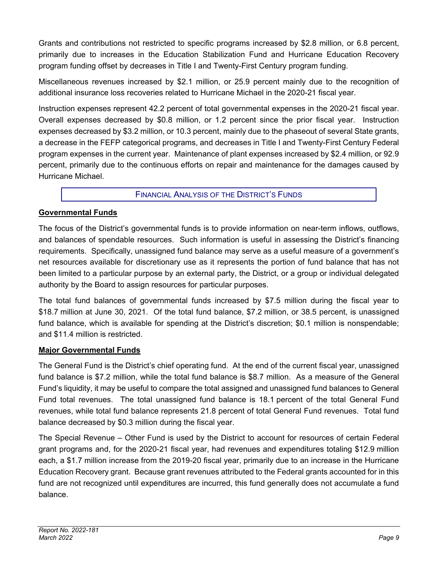Grants and contributions not restricted to specific programs increased by \$2.8 million, or 6.8 percent, primarily due to increases in the Education Stabilization Fund and Hurricane Education Recovery program funding offset by decreases in Title I and Twenty-First Century program funding.

Miscellaneous revenues increased by \$2.1 million, or 25.9 percent mainly due to the recognition of additional insurance loss recoveries related to Hurricane Michael in the 2020-21 fiscal year.

Instruction expenses represent 42.2 percent of total governmental expenses in the 2020-21 fiscal year. Overall expenses decreased by \$0.8 million, or 1.2 percent since the prior fiscal year. Instruction expenses decreased by \$3.2 million, or 10.3 percent, mainly due to the phaseout of several State grants, a decrease in the FEFP categorical programs, and decreases in Title I and Twenty-First Century Federal program expenses in the current year. Maintenance of plant expenses increased by \$2.4 million, or 92.9 percent, primarily due to the continuous efforts on repair and maintenance for the damages caused by Hurricane Michael.

## FINANCIAL ANALYSIS OF THE DISTRICT'S FUNDS

## **Governmental Funds**

The focus of the District's governmental funds is to provide information on near-term inflows, outflows, and balances of spendable resources. Such information is useful in assessing the District's financing requirements. Specifically, unassigned fund balance may serve as a useful measure of a government's net resources available for discretionary use as it represents the portion of fund balance that has not been limited to a particular purpose by an external party, the District, or a group or individual delegated authority by the Board to assign resources for particular purposes.

The total fund balances of governmental funds increased by \$7.5 million during the fiscal year to \$18.7 million at June 30, 2021. Of the total fund balance, \$7.2 million, or 38.5 percent, is unassigned fund balance, which is available for spending at the District's discretion; \$0.1 million is nonspendable; and \$11.4 million is restricted.

## **Major Governmental Funds**

The General Fund is the District's chief operating fund. At the end of the current fiscal year, unassigned fund balance is \$7.2 million, while the total fund balance is \$8.7 million. As a measure of the General Fund's liquidity, it may be useful to compare the total assigned and unassigned fund balances to General Fund total revenues. The total unassigned fund balance is 18.1 percent of the total General Fund revenues, while total fund balance represents 21.8 percent of total General Fund revenues. Total fund balance decreased by \$0.3 million during the fiscal year.

The Special Revenue – Other Fund is used by the District to account for resources of certain Federal grant programs and, for the 2020-21 fiscal year, had revenues and expenditures totaling \$12.9 million each, a \$1.7 million increase from the 2019-20 fiscal year, primarily due to an increase in the Hurricane Education Recovery grant. Because grant revenues attributed to the Federal grants accounted for in this fund are not recognized until expenditures are incurred, this fund generally does not accumulate a fund balance.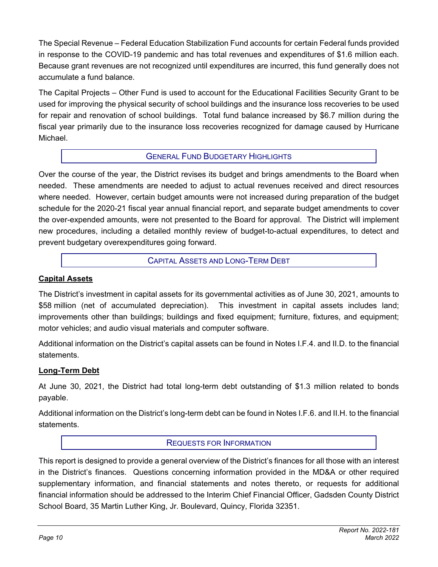The Special Revenue – Federal Education Stabilization Fund accounts for certain Federal funds provided in response to the COVID-19 pandemic and has total revenues and expenditures of \$1.6 million each. Because grant revenues are not recognized until expenditures are incurred, this fund generally does not accumulate a fund balance.

The Capital Projects – Other Fund is used to account for the Educational Facilities Security Grant to be used for improving the physical security of school buildings and the insurance loss recoveries to be used for repair and renovation of school buildings. Total fund balance increased by \$6.7 million during the fiscal year primarily due to the insurance loss recoveries recognized for damage caused by Hurricane Michael.

## GENERAL FUND BUDGETARY HIGHLIGHTS

Over the course of the year, the District revises its budget and brings amendments to the Board when needed. These amendments are needed to adjust to actual revenues received and direct resources where needed. However, certain budget amounts were not increased during preparation of the budget schedule for the 2020-21 fiscal year annual financial report, and separate budget amendments to cover the over-expended amounts, were not presented to the Board for approval. The District will implement new procedures, including a detailed monthly review of budget-to-actual expenditures, to detect and prevent budgetary overexpenditures going forward.

## CAPITAL ASSETS AND LONG-TERM DEBT

## **Capital Assets**

The District's investment in capital assets for its governmental activities as of June 30, 2021, amounts to \$58 million (net of accumulated depreciation). This investment in capital assets includes land; improvements other than buildings; buildings and fixed equipment; furniture, fixtures, and equipment; motor vehicles; and audio visual materials and computer software.

Additional information on the District's capital assets can be found in Notes I.F.4. and II.D. to the financial statements.

## **Long-Term Debt**

At June 30, 2021, the District had total long-term debt outstanding of \$1.3 million related to bonds payable.

Additional information on the District's long-term debt can be found in Notes I.F.6. and II.H. to the financial statements.

## REQUESTS FOR INFORMATION

This report is designed to provide a general overview of the District's finances for all those with an interest in the District's finances. Questions concerning information provided in the MD&A or other required supplementary information, and financial statements and notes thereto, or requests for additional financial information should be addressed to the Interim Chief Financial Officer, Gadsden County District School Board, 35 Martin Luther King, Jr. Boulevard, Quincy, Florida 32351.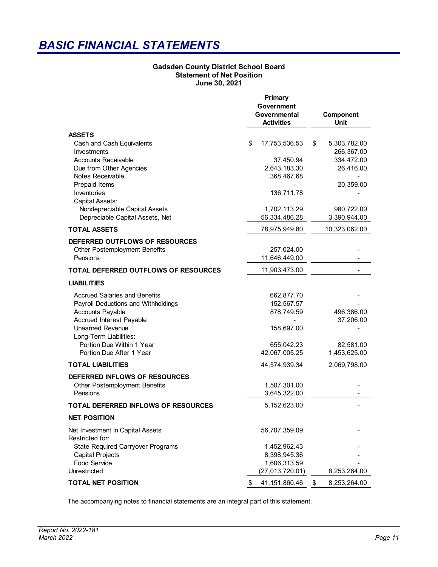## <span id="page-16-0"></span>*BASIC FINANCIAL STATEMENTS*

#### **Gadsden County District School Board Statement of Net Position June 30, 2021**

|                                             | <b>Primary</b><br>Government |                    |  |  |
|---------------------------------------------|------------------------------|--------------------|--|--|
|                                             | <b>Governmental</b>          | Component          |  |  |
|                                             | <b>Activities</b>            | Unit               |  |  |
| <b>ASSETS</b>                               |                              |                    |  |  |
| Cash and Cash Equivalents                   | \$<br>17,753,536.53          | \$<br>5,303,782.00 |  |  |
| Investments                                 |                              | 266,367.00         |  |  |
| <b>Accounts Receivable</b>                  | 37,450.94                    | 334,472.00         |  |  |
| Due from Other Agencies                     | 2,643,183.30                 | 26,416.00          |  |  |
| Notes Receivable                            | 368,467.68                   |                    |  |  |
| Prepaid Items                               |                              | 20,359.00          |  |  |
| Inventories                                 | 136,711.78                   |                    |  |  |
| Capital Assets:                             |                              |                    |  |  |
| Nondepreciable Capital Assets               | 1,702,113.29                 | 980,722.00         |  |  |
| Depreciable Capital Assets, Net             | 56,334,486.28                | 3,390,944.00       |  |  |
| <b>TOTAL ASSETS</b>                         | 78,975,949.80                | 10,323,062.00      |  |  |
| DEFERRED OUTFLOWS OF RESOURCES              |                              |                    |  |  |
| Other Postemployment Benefits               | 257,024.00                   |                    |  |  |
| Pensions                                    | 11,646,449.00                |                    |  |  |
| <b>TOTAL DEFERRED OUTFLOWS OF RESOURCES</b> | 11,903,473.00                |                    |  |  |
| <b>LIABILITIES</b>                          |                              |                    |  |  |
| <b>Accrued Salaries and Benefits</b>        | 662,877.70                   |                    |  |  |
| Payroll Deductions and Withholdings         | 152,567.57                   |                    |  |  |
| <b>Accounts Payable</b>                     | 878,749.59                   | 496,386.00         |  |  |
| Accrued Interest Payable                    |                              | 37,206.00          |  |  |
| <b>Unearned Revenue</b>                     | 158,697.00                   |                    |  |  |
| Long-Term Liabilities:                      |                              |                    |  |  |
| Portion Due Within 1 Year                   | 655,042.23                   | 82,581.00          |  |  |
| Portion Due After 1 Year                    | 42,067,005.25                | 1,453,625.00       |  |  |
| <b>TOTAL LIABILITIES</b>                    | 44,574,939.34                | 2,069,798.00       |  |  |
| DEFERRED INFLOWS OF RESOURCES               |                              |                    |  |  |
| Other Postemployment Benefits               | 1,507,301.00                 |                    |  |  |
| Pensions                                    | 3,645,322.00                 |                    |  |  |
| <b>TOTAL DEFERRED INFLOWS OF RESOURCES</b>  | 5, 152, 623.00               |                    |  |  |
| <b>NET POSITION</b>                         |                              |                    |  |  |
| Net Investment in Capital Assets            | 56,707,359.09                |                    |  |  |
| Restricted for:                             |                              |                    |  |  |
| <b>State Required Carryover Programs</b>    | 1,452,962.43                 |                    |  |  |
| <b>Capital Projects</b>                     | 8,398,945.36                 |                    |  |  |
| Food Service                                | 1,606,313.59                 |                    |  |  |
| Unrestricted                                | (27,013,720.01)              | 8,253,264.00       |  |  |
| <b>TOTAL NET POSITION</b>                   | 41,151,860.46<br>\$          | \$<br>8,253,264.00 |  |  |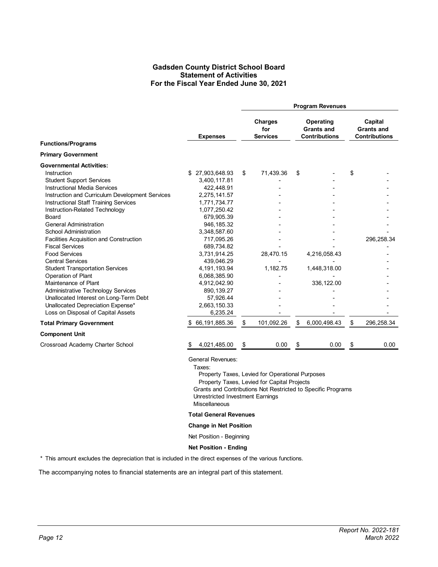#### **Gadsden County District School Board Statement of Activities For the Fiscal Year Ended June 30, 2021**

<span id="page-17-0"></span>

|                                                 |                                                              | <b>Program Revenues</b> |                                                 |    |                                                        |    |                                                      |  |
|-------------------------------------------------|--------------------------------------------------------------|-------------------------|-------------------------------------------------|----|--------------------------------------------------------|----|------------------------------------------------------|--|
|                                                 | <b>Expenses</b>                                              |                         | Charges<br>for<br><b>Services</b>               |    | Operating<br><b>Grants and</b><br><b>Contributions</b> |    | Capital<br><b>Grants and</b><br><b>Contributions</b> |  |
| <b>Functions/Programs</b>                       |                                                              |                         |                                                 |    |                                                        |    |                                                      |  |
| <b>Primary Government</b>                       |                                                              |                         |                                                 |    |                                                        |    |                                                      |  |
| <b>Governmental Activities:</b>                 |                                                              |                         |                                                 |    |                                                        |    |                                                      |  |
| Instruction                                     | \$27,903,648.93                                              | \$                      | 71,439.36                                       | \$ |                                                        | \$ |                                                      |  |
| <b>Student Support Services</b>                 | 3,400,117.81                                                 |                         |                                                 |    |                                                        |    |                                                      |  |
| <b>Instructional Media Services</b>             | 422,448.91                                                   |                         |                                                 |    |                                                        |    |                                                      |  |
| Instruction and Curriculum Development Services | 2,275,141.57                                                 |                         |                                                 |    |                                                        |    |                                                      |  |
| <b>Instructional Staff Training Services</b>    | 1,771,734.77                                                 |                         |                                                 |    |                                                        |    |                                                      |  |
| Instruction-Related Technology                  | 1,077,250.42                                                 |                         |                                                 |    |                                                        |    |                                                      |  |
| Board                                           | 679,905.39                                                   |                         |                                                 |    |                                                        |    |                                                      |  |
| <b>General Administration</b>                   | 946, 185.32                                                  |                         |                                                 |    |                                                        |    |                                                      |  |
| <b>School Administration</b>                    | 3,348,587.60                                                 |                         |                                                 |    |                                                        |    |                                                      |  |
| <b>Facilities Acquisition and Construction</b>  | 717,095.26                                                   |                         |                                                 |    |                                                        |    | 296,258.34                                           |  |
| <b>Fiscal Services</b>                          | 689,734.82                                                   |                         |                                                 |    |                                                        |    |                                                      |  |
| <b>Food Services</b>                            | 3,731,914.25                                                 |                         | 28,470.15                                       |    | 4,216,058.43                                           |    |                                                      |  |
| <b>Central Services</b>                         | 439.046.29                                                   |                         |                                                 |    |                                                        |    |                                                      |  |
| <b>Student Transportation Services</b>          | 4,191,193.94                                                 |                         | 1,182.75                                        |    | 1,448,318.00                                           |    |                                                      |  |
| Operation of Plant                              | 6,068,385.90                                                 |                         |                                                 |    |                                                        |    |                                                      |  |
| Maintenance of Plant                            | 4,912,042.90                                                 |                         |                                                 |    | 336,122.00                                             |    |                                                      |  |
| <b>Administrative Technology Services</b>       | 890, 139.27                                                  |                         |                                                 |    |                                                        |    |                                                      |  |
| Unallocated Interest on Long-Term Debt          | 57,926.44                                                    |                         |                                                 |    |                                                        |    |                                                      |  |
| Unallocated Depreciation Expense*               | 2,663,150.33                                                 |                         |                                                 |    |                                                        |    |                                                      |  |
| Loss on Disposal of Capital Assets              | 6,235.24                                                     |                         |                                                 |    |                                                        |    |                                                      |  |
| <b>Total Primary Government</b>                 | \$66,191,885.36                                              | \$                      | 101,092.26                                      | \$ | 6,000,498.43                                           | \$ | 296,258.34                                           |  |
| <b>Component Unit</b>                           |                                                              |                         |                                                 |    |                                                        |    |                                                      |  |
| Crossroad Academy Charter School                | 4,021,485.00                                                 | \$                      | 0.00                                            | \$ | 0.00                                                   | \$ | 0.00                                                 |  |
|                                                 | <b>General Revenues:</b>                                     |                         |                                                 |    |                                                        |    |                                                      |  |
|                                                 | Taxes:                                                       |                         |                                                 |    |                                                        |    |                                                      |  |
|                                                 |                                                              |                         | Property Taxes, Levied for Operational Purposes |    |                                                        |    |                                                      |  |
|                                                 |                                                              |                         | Property Taxes, Levied for Capital Projects     |    |                                                        |    |                                                      |  |
|                                                 | Grants and Contributions Not Restricted to Specific Programs |                         |                                                 |    |                                                        |    |                                                      |  |
|                                                 | <b>Unrestricted Investment Earnings</b>                      |                         |                                                 |    |                                                        |    |                                                      |  |

Miscellaneous

#### **Total General Revenues**

**Change in Net Position**

Net Position - Beginning

**Net Position - Ending**

\* This amount excludes the depreciation that is included in the direct expenses of the various functions.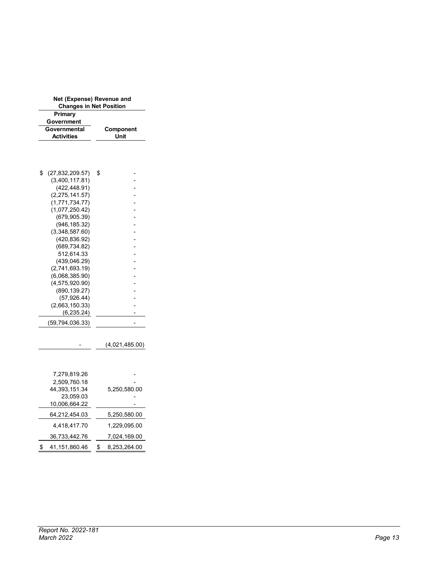| Net (Expense) Revenue and<br><b>Changes in Net Position</b> |                                |    |                |  |  |
|-------------------------------------------------------------|--------------------------------|----|----------------|--|--|
|                                                             | Primary                        |    |                |  |  |
|                                                             | Government                     |    |                |  |  |
|                                                             | Governmental                   |    | Component      |  |  |
|                                                             | <b>Activities</b>              |    | Unit           |  |  |
|                                                             |                                |    |                |  |  |
| \$                                                          | (27,832,209.57)                | \$ |                |  |  |
|                                                             | (3,400,117.81)                 |    |                |  |  |
|                                                             | (422, 448.91)                  |    |                |  |  |
|                                                             | (2, 275, 141.57)               |    |                |  |  |
|                                                             | (1,771,734.77)                 |    |                |  |  |
|                                                             | (1,077,250.42)                 |    |                |  |  |
|                                                             | (679,905.39)                   |    |                |  |  |
|                                                             | (946, 185.32)                  |    |                |  |  |
|                                                             | (3,348,587.60)                 |    |                |  |  |
|                                                             | (420, 836.92)<br>(689, 734.82) |    |                |  |  |
|                                                             | 512,614.33                     |    |                |  |  |
|                                                             | (439, 046.29)                  |    |                |  |  |
|                                                             | (2,741,693.19)                 |    |                |  |  |
|                                                             | (6,068,385.90)                 |    |                |  |  |
|                                                             | (4,575,920.90)                 |    |                |  |  |
|                                                             | (890, 139.27)                  |    |                |  |  |
|                                                             | (57, 926.44)                   |    |                |  |  |
|                                                             | (2,663,150.33)                 |    |                |  |  |
|                                                             | (6, 235.24)                    |    |                |  |  |
|                                                             | (59, 794, 036.33)              |    |                |  |  |
|                                                             |                                |    | (4,021,485.00) |  |  |
|                                                             |                                |    |                |  |  |
|                                                             | 7,279,819.26<br>2,509,760.18   |    |                |  |  |
|                                                             | 44, 393, 151.34                |    | 5,250,580.00   |  |  |
|                                                             | 23,059.03                      |    |                |  |  |
|                                                             | 10,006,664.22                  |    |                |  |  |
|                                                             | 64,212,454.03                  |    | 5,250,580.00   |  |  |
|                                                             | 4,418,417.70                   |    | 1,229,095.00   |  |  |
|                                                             | 36,733,442.76                  |    | 7,024,169.00   |  |  |
| \$                                                          | 41,151,860.46                  | \$ | 8,253,264.00   |  |  |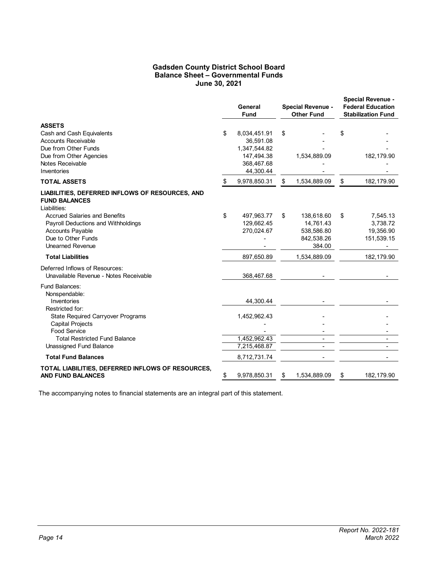#### **Gadsden County District School Board Balance Sheet – Governmental Funds June 30, 2021**

<span id="page-19-0"></span>

|                                                                                                                                                                                                                                                    |    | General<br><b>Fund</b>                                                             | <b>Special Revenue -</b><br><b>Other Fund</b> |                                                               |    | <b>Special Revenue -</b><br><b>Federal Education</b><br><b>Stabilization Fund</b> |  |  |
|----------------------------------------------------------------------------------------------------------------------------------------------------------------------------------------------------------------------------------------------------|----|------------------------------------------------------------------------------------|-----------------------------------------------|---------------------------------------------------------------|----|-----------------------------------------------------------------------------------|--|--|
| <b>ASSETS</b><br>Cash and Cash Equivalents<br><b>Accounts Receivable</b><br>Due from Other Funds<br>Due from Other Agencies<br>Notes Receivable<br>Inventories                                                                                     | \$ | 8,034,451.91<br>36.591.08<br>1,347,544.82<br>147,494.38<br>368,467.68<br>44,300.44 | \$                                            | 1,534,889.09                                                  | \$ | 182,179.90                                                                        |  |  |
| <b>TOTAL ASSETS</b>                                                                                                                                                                                                                                | \$ | 9,978,850.31                                                                       | \$                                            | 1,534,889.09                                                  | \$ | 182.179.90                                                                        |  |  |
| LIABILITIES, DEFERRED INFLOWS OF RESOURCES, AND<br><b>FUND BALANCES</b><br>Liabilities:<br><b>Accrued Salaries and Benefits</b><br>Payroll Deductions and Withholdings<br><b>Accounts Payable</b><br>Due to Other Funds<br><b>Unearned Revenue</b> | \$ | 497,963.77<br>129,662.45<br>270,024.67                                             | \$                                            | 138,618.60<br>14,761.43<br>538,586.80<br>842,538.26<br>384.00 | \$ | 7,545.13<br>3,738.72<br>19,356.90<br>151,539.15                                   |  |  |
| <b>Total Liabilities</b>                                                                                                                                                                                                                           |    | 897,650.89                                                                         |                                               | 1,534,889.09                                                  |    | 182,179.90                                                                        |  |  |
| Deferred Inflows of Resources:<br>Unavailable Revenue - Notes Receivable                                                                                                                                                                           |    | 368,467.68                                                                         |                                               |                                                               |    |                                                                                   |  |  |
| <b>Fund Balances:</b><br>Nonspendable:<br>Inventories<br>Restricted for:<br><b>State Required Carryover Programs</b><br><b>Capital Projects</b><br>Food Service<br><b>Total Restricted Fund Balance</b><br>Unassigned Fund Balance                 |    | 44,300.44<br>1,452,962.43<br>1,452,962.43<br>7,215,468.87                          |                                               | ä,                                                            |    |                                                                                   |  |  |
| <b>Total Fund Balances</b>                                                                                                                                                                                                                         |    | 8,712,731.74                                                                       |                                               |                                                               |    |                                                                                   |  |  |
| TOTAL LIABILITIES, DEFERRED INFLOWS OF RESOURCES,<br><b>AND FUND BALANCES</b>                                                                                                                                                                      | \$ | 9.978.850.31                                                                       | \$                                            | 1,534,889.09                                                  | \$ | 182,179.90                                                                        |  |  |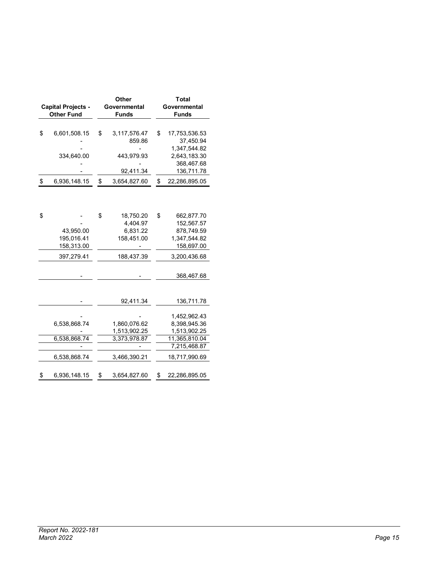| <b>Capital Projects -</b><br><b>Other Fund</b> |                         | Other<br>Governmental<br><b>Funds</b> |    | Total<br>Governmental<br><b>Funds</b>      |
|------------------------------------------------|-------------------------|---------------------------------------|----|--------------------------------------------|
| \$                                             | 6,601,508.15            | \$<br>3,117,576.47<br>859.86          | \$ | 17,753,536.53<br>37,450.94                 |
|                                                | 334,640.00              | 443,979.93                            |    | 1,347,544.82<br>2,643,183.30<br>368,467.68 |
|                                                |                         | 92,411.34                             |    | 136,711.78                                 |
| \$                                             | 6,936,148.15            | \$<br>3,654,827.60                    | \$ | 22,286,895.05                              |
|                                                |                         |                                       |    |                                            |
| \$                                             |                         | \$<br>18,750.20                       | \$ | 662,877.70                                 |
|                                                |                         | 4,404.97                              |    | 152,567.57                                 |
|                                                | 43,950.00<br>195,016.41 | 6,831.22                              |    | 878,749.59                                 |
|                                                | 158,313.00              | 158,451.00                            |    | 1,347,544.82<br>158,697.00                 |
|                                                | 397,279.41              | 188,437.39                            |    | 3,200,436.68                               |
|                                                |                         |                                       |    |                                            |
|                                                |                         |                                       |    | 368,467.68                                 |
|                                                |                         |                                       |    |                                            |
|                                                |                         | 92,411.34                             |    | 136,711.78                                 |
|                                                |                         |                                       |    | 1,452,962.43                               |
|                                                | 6,538,868.74            | 1,860,076.62                          |    | 8,398,945.36                               |
|                                                |                         | 1,513,902.25                          |    | 1,513,902.25                               |
|                                                | 6,538,868.74            | 3,373,978.87                          |    | 11,365,810.04<br>7,215,468.87              |
|                                                |                         |                                       |    |                                            |
|                                                | 6,538,868.74            | 3,466,390.21                          |    | 18,717,990.69                              |
| \$                                             | 6,936,148.15            | \$<br>3,654,827.60                    | \$ | 22,286,895.05                              |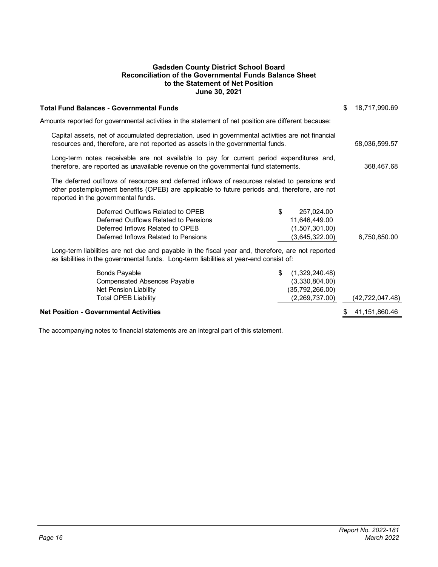#### **Gadsden County District School Board Reconciliation of the Governmental Funds Balance Sheet to the Statement of Net Position June 30, 2021**

<span id="page-21-0"></span>

| <b>Total Fund Balances - Governmental Funds</b>                                                                                                                                                                                      | \$<br>18,717,990.69 |
|--------------------------------------------------------------------------------------------------------------------------------------------------------------------------------------------------------------------------------------|---------------------|
| Amounts reported for governmental activities in the statement of net position are different because:                                                                                                                                 |                     |
| Capital assets, net of accumulated depreciation, used in governmental activities are not financial<br>resources and, therefore, are not reported as assets in the governmental funds.                                                | 58,036,599.57       |
| Long-term notes receivable are not available to pay for current period expenditures and,<br>therefore, are reported as unavailable revenue on the governmental fund statements.                                                      | 368,467.68          |
| The deferred outflows of resources and deferred inflows of resources related to pensions and<br>other postemployment benefits (OPEB) are applicable to future periods and, therefore, are not<br>reported in the governmental funds. |                     |
| Deferred Outflows Related to OPEB<br>\$<br>257,024.00<br>11,646,449.00<br>Deferred Outflows Related to Pensions<br>(1,507,301.00)<br>Deferred Inflows Related to OPEB<br>(3,645,322.00)<br>Deferred Inflows Related to Pensions      | 6,750,850.00        |
| Long-term liabilities are not due and payable in the fiscal year and, therefore, are not reported<br>as liabilities in the governmental funds. Long-term liabilities at year-end consist of:                                         |                     |
| <b>Bonds Payable</b><br>\$<br>(1,329,240.48)<br>(3,330,804.00)<br><b>Compensated Absences Payable</b><br>(35,792,266.00)<br>Net Pension Liability<br><b>Total OPEB Liability</b><br>(2,269,737.00)                                   | (42, 722, 047.48)   |
| <b>Net Position - Governmental Activities</b>                                                                                                                                                                                        | 41,151,860.46       |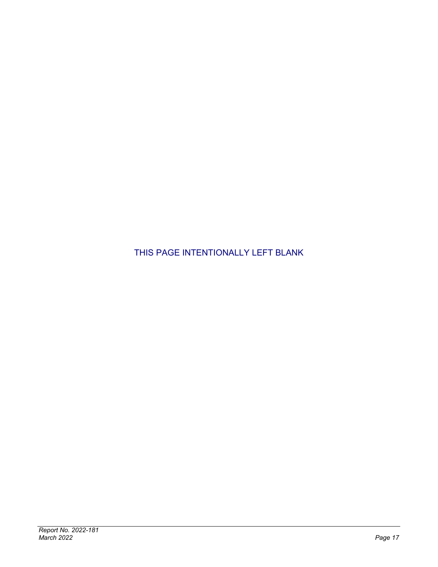THIS PAGE INTENTIONALLY LEFT BLANK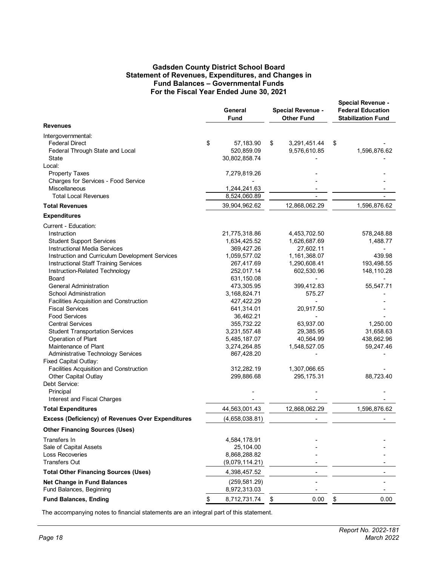#### **Gadsden County District School Board Statement of Revenues, Expenditures, and Changes in Fund Balances – Governmental Funds For the Fiscal Year Ended June 30, 2021**

<span id="page-23-0"></span>

|                                                          | General<br><b>Fund</b> |                | <b>Special Revenue -</b><br><b>Other Fund</b> |    | <b>Special Revenue -</b><br><b>Federal Education</b><br><b>Stabilization Fund</b> |  |
|----------------------------------------------------------|------------------------|----------------|-----------------------------------------------|----|-----------------------------------------------------------------------------------|--|
| <b>Revenues</b>                                          |                        |                |                                               |    |                                                                                   |  |
| Intergovernmental:                                       |                        |                |                                               |    |                                                                                   |  |
| <b>Federal Direct</b>                                    | \$                     | 57,183.90      | \$<br>3,291,451.44                            | \$ |                                                                                   |  |
| Federal Through State and Local                          |                        | 520,859.09     | 9,576,610.85                                  |    | 1,596,876.62                                                                      |  |
| State                                                    |                        | 30,802,858.74  |                                               |    |                                                                                   |  |
| Local:                                                   |                        |                |                                               |    |                                                                                   |  |
| <b>Property Taxes</b>                                    |                        | 7,279,819.26   |                                               |    |                                                                                   |  |
| Charges for Services - Food Service                      |                        |                |                                               |    |                                                                                   |  |
| <b>Miscellaneous</b>                                     |                        | 1,244,241.63   |                                               |    |                                                                                   |  |
| <b>Total Local Revenues</b>                              |                        | 8,524,060.89   |                                               |    |                                                                                   |  |
| <b>Total Revenues</b>                                    |                        | 39,904,962.62  | 12,868,062.29                                 |    | 1,596,876.62                                                                      |  |
| <b>Expenditures</b>                                      |                        |                |                                               |    |                                                                                   |  |
| Current - Education:                                     |                        |                |                                               |    |                                                                                   |  |
| Instruction                                              |                        | 21,775,318.86  | 4,453,702.50                                  |    | 578,248.88                                                                        |  |
| <b>Student Support Services</b>                          |                        | 1,634,425.52   | 1,626,687.69                                  |    | 1,488.77                                                                          |  |
| <b>Instructional Media Services</b>                      |                        | 369,427.26     | 27,602.11                                     |    |                                                                                   |  |
| Instruction and Curriculum Development Services          |                        | 1,059,577.02   | 1,161,368.07                                  |    | 439.98                                                                            |  |
| <b>Instructional Staff Training Services</b>             |                        | 267,417.69     | 1,290,608.41                                  |    | 193,498.55                                                                        |  |
| Instruction-Related Technology                           |                        | 252,017.14     | 602,530.96                                    |    | 148,110.28                                                                        |  |
| Board                                                    |                        | 631,150.08     |                                               |    |                                                                                   |  |
| <b>General Administration</b>                            |                        | 473,305.95     | 399,412.83                                    |    | 55,547.71                                                                         |  |
| School Administration                                    |                        | 3,168,824.71   | 575.27                                        |    |                                                                                   |  |
| Facilities Acquisition and Construction                  |                        | 427,422.29     |                                               |    |                                                                                   |  |
| <b>Fiscal Services</b>                                   |                        | 641,314.01     | 20,917.50                                     |    |                                                                                   |  |
| <b>Food Services</b>                                     |                        | 36,462.21      |                                               |    |                                                                                   |  |
| <b>Central Services</b>                                  |                        | 355,732.22     | 63,937.00                                     |    | 1,250.00                                                                          |  |
| <b>Student Transportation Services</b>                   |                        | 3,231,557.48   | 29,385.95                                     |    | 31,658.63                                                                         |  |
| Operation of Plant                                       |                        | 5,485,187.07   | 40,564.99                                     |    | 438,662.96                                                                        |  |
| Maintenance of Plant                                     |                        | 3,274,264.85   | 1,548,527.05                                  |    | 59,247.46                                                                         |  |
| Administrative Technology Services                       |                        | 867,428.20     |                                               |    |                                                                                   |  |
| Fixed Capital Outlay:                                    |                        |                |                                               |    |                                                                                   |  |
| <b>Facilities Acquisition and Construction</b>           |                        | 312,282.19     | 1,307,066.65                                  |    |                                                                                   |  |
| Other Capital Outlay                                     |                        | 299,886.68     | 295, 175.31                                   |    | 88,723.40                                                                         |  |
| Debt Service:                                            |                        |                |                                               |    |                                                                                   |  |
| Principal                                                |                        |                |                                               |    |                                                                                   |  |
| Interest and Fiscal Charges                              |                        |                |                                               |    |                                                                                   |  |
| <b>Total Expenditures</b>                                |                        | 44,563,001.43  | 12,868,062.29                                 |    | 1,596,876.62                                                                      |  |
| <b>Excess (Deficiency) of Revenues Over Expenditures</b> |                        | (4,658,038.81) |                                               |    |                                                                                   |  |
| <b>Other Financing Sources (Uses)</b>                    |                        |                |                                               |    |                                                                                   |  |
| Transfers In                                             |                        | 4,584,178.91   |                                               |    |                                                                                   |  |
| Sale of Capital Assets                                   |                        | 25,104.00      |                                               |    |                                                                                   |  |
| Loss Recoveries                                          |                        | 8,868,288.82   |                                               |    |                                                                                   |  |
| <b>Transfers Out</b>                                     |                        | (9,079,114.21) |                                               |    |                                                                                   |  |
| <b>Total Other Financing Sources (Uses)</b>              |                        | 4,398,457.52   | $\blacksquare$                                |    | $\overline{\phantom{a}}$                                                          |  |
| <b>Net Change in Fund Balances</b>                       |                        | (259, 581.29)  |                                               |    |                                                                                   |  |
| Fund Balances, Beginning                                 |                        | 8,972,313.03   |                                               |    |                                                                                   |  |
| <b>Fund Balances, Ending</b>                             | \$                     | 8,712,731.74   | \$<br>0.00                                    | \$ | 0.00                                                                              |  |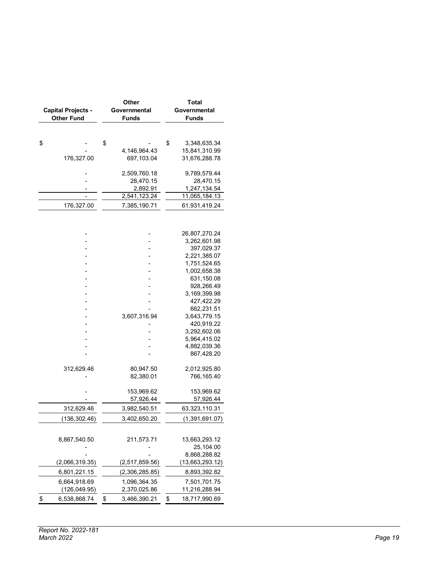| \$<br>\$<br>\$<br>3,348,635.34<br>4, 146, 964. 43<br>15,841,310.99<br>697,103.04<br>176,327.00<br>31,676,288.78<br>2,509,760.18<br>9,789,579.44<br>28,470.15<br>28,470.15<br>2,892.91<br>1,247,134.54<br>2,541,123.24<br>11,065,184.13<br>176,327.00<br>7,385,190.71<br>61,931,419.24<br>26,807,270.24<br>3,262,601.98<br>397,029.37<br>2,221,385.07<br>1,751,524.65<br>1,002,658.38<br>631,150.08<br>928,266.49<br>3,169,399.98<br>427,422.29<br>662,231.51<br>3,607,316.94<br>3,643,779.15<br>420,919.22<br>3,292,602.06<br>5,964,415.02<br>4,882,039.36<br>867,428.20<br>312,629.46<br>80,947.50<br>2,012,925.80<br>82,380.01<br>766,165.40<br>153,969.62<br>153,969.62<br>57,926.44<br>57,926.44<br>3,982,540.51<br>312,629.46<br>63,323,110.31<br>(136, 302.46)<br>3,402,650.20<br>(1,391,691.07)<br>8,867,540.50<br>211,573.71<br>13,663,293.12<br>25,104.00<br>8,868,288.82<br>(2,066,319.35)<br>(2,517,859.56)<br>(13,663,293.12)<br>6,801,221.15<br>(2,306,285.85)<br>8,893,392.82<br>6,664,918.69<br>1,096,364.35<br>7,501,701.75<br>(126, 049.95)<br>2,370,025.86<br>11,216,288.94 | <b>Capital Projects -</b><br><b>Other Fund</b> |    | Other<br>Governmental<br><b>Funds</b> |    | Total<br>Governmental<br><b>Funds</b> |  |  |
|-----------------------------------------------------------------------------------------------------------------------------------------------------------------------------------------------------------------------------------------------------------------------------------------------------------------------------------------------------------------------------------------------------------------------------------------------------------------------------------------------------------------------------------------------------------------------------------------------------------------------------------------------------------------------------------------------------------------------------------------------------------------------------------------------------------------------------------------------------------------------------------------------------------------------------------------------------------------------------------------------------------------------------------------------------------------------------------------------|------------------------------------------------|----|---------------------------------------|----|---------------------------------------|--|--|
|                                                                                                                                                                                                                                                                                                                                                                                                                                                                                                                                                                                                                                                                                                                                                                                                                                                                                                                                                                                                                                                                                               |                                                |    |                                       |    |                                       |  |  |
|                                                                                                                                                                                                                                                                                                                                                                                                                                                                                                                                                                                                                                                                                                                                                                                                                                                                                                                                                                                                                                                                                               |                                                |    |                                       |    |                                       |  |  |
|                                                                                                                                                                                                                                                                                                                                                                                                                                                                                                                                                                                                                                                                                                                                                                                                                                                                                                                                                                                                                                                                                               |                                                |    |                                       |    |                                       |  |  |
|                                                                                                                                                                                                                                                                                                                                                                                                                                                                                                                                                                                                                                                                                                                                                                                                                                                                                                                                                                                                                                                                                               |                                                |    |                                       |    |                                       |  |  |
|                                                                                                                                                                                                                                                                                                                                                                                                                                                                                                                                                                                                                                                                                                                                                                                                                                                                                                                                                                                                                                                                                               |                                                |    |                                       |    |                                       |  |  |
|                                                                                                                                                                                                                                                                                                                                                                                                                                                                                                                                                                                                                                                                                                                                                                                                                                                                                                                                                                                                                                                                                               |                                                |    |                                       |    |                                       |  |  |
|                                                                                                                                                                                                                                                                                                                                                                                                                                                                                                                                                                                                                                                                                                                                                                                                                                                                                                                                                                                                                                                                                               |                                                |    |                                       |    |                                       |  |  |
|                                                                                                                                                                                                                                                                                                                                                                                                                                                                                                                                                                                                                                                                                                                                                                                                                                                                                                                                                                                                                                                                                               |                                                |    |                                       |    |                                       |  |  |
|                                                                                                                                                                                                                                                                                                                                                                                                                                                                                                                                                                                                                                                                                                                                                                                                                                                                                                                                                                                                                                                                                               |                                                |    |                                       |    |                                       |  |  |
|                                                                                                                                                                                                                                                                                                                                                                                                                                                                                                                                                                                                                                                                                                                                                                                                                                                                                                                                                                                                                                                                                               |                                                |    |                                       |    |                                       |  |  |
|                                                                                                                                                                                                                                                                                                                                                                                                                                                                                                                                                                                                                                                                                                                                                                                                                                                                                                                                                                                                                                                                                               |                                                |    |                                       |    |                                       |  |  |
|                                                                                                                                                                                                                                                                                                                                                                                                                                                                                                                                                                                                                                                                                                                                                                                                                                                                                                                                                                                                                                                                                               |                                                |    |                                       |    |                                       |  |  |
|                                                                                                                                                                                                                                                                                                                                                                                                                                                                                                                                                                                                                                                                                                                                                                                                                                                                                                                                                                                                                                                                                               |                                                |    |                                       |    |                                       |  |  |
|                                                                                                                                                                                                                                                                                                                                                                                                                                                                                                                                                                                                                                                                                                                                                                                                                                                                                                                                                                                                                                                                                               |                                                |    |                                       |    |                                       |  |  |
|                                                                                                                                                                                                                                                                                                                                                                                                                                                                                                                                                                                                                                                                                                                                                                                                                                                                                                                                                                                                                                                                                               |                                                |    |                                       |    |                                       |  |  |
|                                                                                                                                                                                                                                                                                                                                                                                                                                                                                                                                                                                                                                                                                                                                                                                                                                                                                                                                                                                                                                                                                               |                                                |    |                                       |    |                                       |  |  |
|                                                                                                                                                                                                                                                                                                                                                                                                                                                                                                                                                                                                                                                                                                                                                                                                                                                                                                                                                                                                                                                                                               |                                                |    |                                       |    |                                       |  |  |
|                                                                                                                                                                                                                                                                                                                                                                                                                                                                                                                                                                                                                                                                                                                                                                                                                                                                                                                                                                                                                                                                                               |                                                |    |                                       |    |                                       |  |  |
|                                                                                                                                                                                                                                                                                                                                                                                                                                                                                                                                                                                                                                                                                                                                                                                                                                                                                                                                                                                                                                                                                               |                                                |    |                                       |    |                                       |  |  |
|                                                                                                                                                                                                                                                                                                                                                                                                                                                                                                                                                                                                                                                                                                                                                                                                                                                                                                                                                                                                                                                                                               |                                                |    |                                       |    |                                       |  |  |
|                                                                                                                                                                                                                                                                                                                                                                                                                                                                                                                                                                                                                                                                                                                                                                                                                                                                                                                                                                                                                                                                                               |                                                |    |                                       |    |                                       |  |  |
|                                                                                                                                                                                                                                                                                                                                                                                                                                                                                                                                                                                                                                                                                                                                                                                                                                                                                                                                                                                                                                                                                               |                                                |    |                                       |    |                                       |  |  |
|                                                                                                                                                                                                                                                                                                                                                                                                                                                                                                                                                                                                                                                                                                                                                                                                                                                                                                                                                                                                                                                                                               |                                                |    |                                       |    |                                       |  |  |
|                                                                                                                                                                                                                                                                                                                                                                                                                                                                                                                                                                                                                                                                                                                                                                                                                                                                                                                                                                                                                                                                                               |                                                |    |                                       |    |                                       |  |  |
|                                                                                                                                                                                                                                                                                                                                                                                                                                                                                                                                                                                                                                                                                                                                                                                                                                                                                                                                                                                                                                                                                               |                                                |    |                                       |    |                                       |  |  |
|                                                                                                                                                                                                                                                                                                                                                                                                                                                                                                                                                                                                                                                                                                                                                                                                                                                                                                                                                                                                                                                                                               |                                                |    |                                       |    |                                       |  |  |
|                                                                                                                                                                                                                                                                                                                                                                                                                                                                                                                                                                                                                                                                                                                                                                                                                                                                                                                                                                                                                                                                                               |                                                |    |                                       |    |                                       |  |  |
|                                                                                                                                                                                                                                                                                                                                                                                                                                                                                                                                                                                                                                                                                                                                                                                                                                                                                                                                                                                                                                                                                               |                                                |    |                                       |    |                                       |  |  |
|                                                                                                                                                                                                                                                                                                                                                                                                                                                                                                                                                                                                                                                                                                                                                                                                                                                                                                                                                                                                                                                                                               |                                                |    |                                       |    |                                       |  |  |
|                                                                                                                                                                                                                                                                                                                                                                                                                                                                                                                                                                                                                                                                                                                                                                                                                                                                                                                                                                                                                                                                                               |                                                |    |                                       |    |                                       |  |  |
|                                                                                                                                                                                                                                                                                                                                                                                                                                                                                                                                                                                                                                                                                                                                                                                                                                                                                                                                                                                                                                                                                               |                                                |    |                                       |    |                                       |  |  |
|                                                                                                                                                                                                                                                                                                                                                                                                                                                                                                                                                                                                                                                                                                                                                                                                                                                                                                                                                                                                                                                                                               |                                                |    |                                       |    |                                       |  |  |
|                                                                                                                                                                                                                                                                                                                                                                                                                                                                                                                                                                                                                                                                                                                                                                                                                                                                                                                                                                                                                                                                                               |                                                |    |                                       |    |                                       |  |  |
|                                                                                                                                                                                                                                                                                                                                                                                                                                                                                                                                                                                                                                                                                                                                                                                                                                                                                                                                                                                                                                                                                               |                                                |    |                                       |    |                                       |  |  |
|                                                                                                                                                                                                                                                                                                                                                                                                                                                                                                                                                                                                                                                                                                                                                                                                                                                                                                                                                                                                                                                                                               |                                                |    |                                       |    |                                       |  |  |
|                                                                                                                                                                                                                                                                                                                                                                                                                                                                                                                                                                                                                                                                                                                                                                                                                                                                                                                                                                                                                                                                                               |                                                |    |                                       |    |                                       |  |  |
|                                                                                                                                                                                                                                                                                                                                                                                                                                                                                                                                                                                                                                                                                                                                                                                                                                                                                                                                                                                                                                                                                               |                                                |    |                                       |    |                                       |  |  |
|                                                                                                                                                                                                                                                                                                                                                                                                                                                                                                                                                                                                                                                                                                                                                                                                                                                                                                                                                                                                                                                                                               | \$<br>6,538,868.74                             | \$ | 3,466,390.21                          | \$ | 18,717,990.69                         |  |  |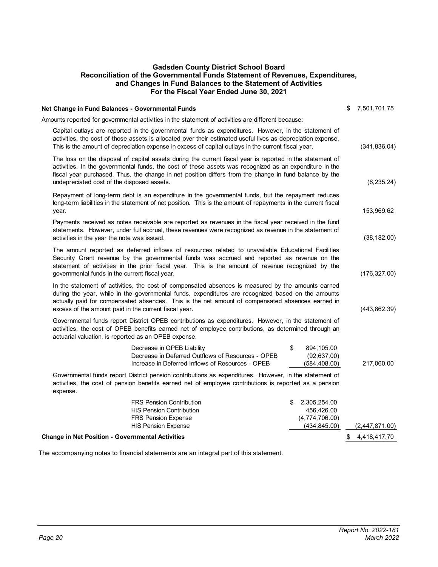#### <span id="page-25-0"></span>**Gadsden County District School Board Reconciliation of the Governmental Funds Statement of Revenues, Expenditures, and Changes in Fund Balances to the Statement of Activities For the Fiscal Year Ended June 30, 2021**

| Net Change in Fund Balances - Governmental Funds        |                                                                                                                                                                                                                                                                                                                                                                       |                                                    | \$<br>7,501,701.75 |
|---------------------------------------------------------|-----------------------------------------------------------------------------------------------------------------------------------------------------------------------------------------------------------------------------------------------------------------------------------------------------------------------------------------------------------------------|----------------------------------------------------|--------------------|
|                                                         | Amounts reported for governmental activities in the statement of activities are different because:                                                                                                                                                                                                                                                                    |                                                    |                    |
|                                                         | Capital outlays are reported in the governmental funds as expenditures. However, in the statement of<br>activities, the cost of those assets is allocated over their estimated useful lives as depreciation expense.<br>This is the amount of depreciation expense in excess of capital outlays in the current fiscal year.                                           |                                                    | (341, 836.04)      |
| undepreciated cost of the disposed assets.              | The loss on the disposal of capital assets during the current fiscal year is reported in the statement of<br>activities. In the governmental funds, the cost of these assets was recognized as an expenditure in the<br>fiscal year purchased. Thus, the change in net position differs from the change in fund balance by the                                        |                                                    | (6, 235.24)        |
| year.                                                   | Repayment of long-term debt is an expenditure in the governmental funds, but the repayment reduces<br>long-term liabilities in the statement of net position. This is the amount of repayments in the current fiscal                                                                                                                                                  |                                                    | 153,969.62         |
| activities in the year the note was issued.             | Payments received as notes receivable are reported as revenues in the fiscal year received in the fund<br>statements. However, under full accrual, these revenues were recognized as revenue in the statement of                                                                                                                                                      |                                                    | (38, 182.00)       |
| governmental funds in the current fiscal year.          | The amount reported as deferred inflows of resources related to unavailable Educational Facilities<br>Security Grant revenue by the governmental funds was accrued and reported as revenue on the<br>statement of activities in the prior fiscal year. This is the amount of revenue recognized by the                                                                |                                                    | (176, 327.00)      |
|                                                         | In the statement of activities, the cost of compensated absences is measured by the amounts earned<br>during the year, while in the governmental funds, expenditures are recognized based on the amounts<br>actually paid for compensated absences. This is the net amount of compensated absences earned in<br>excess of the amount paid in the current fiscal year. |                                                    | (443, 862.39)      |
|                                                         | Governmental funds report District OPEB contributions as expenditures. However, in the statement of<br>activities, the cost of OPEB benefits earned net of employee contributions, as determined through an<br>actuarial valuation, is reported as an OPEB expense.                                                                                                   |                                                    |                    |
|                                                         | Decrease in OPEB Liability<br>Decrease in Deferred Outflows of Resources - OPEB<br>Increase in Deferred Inflows of Resources - OPEB                                                                                                                                                                                                                                   | \$<br>894,105.00<br>(92, 637.00)<br>(584, 408.00)  | 217,060.00         |
| expense.                                                | Governmental funds report District pension contributions as expenditures. However, in the statement of<br>activities, the cost of pension benefits earned net of employee contributions is reported as a pension                                                                                                                                                      |                                                    |                    |
|                                                         | <b>FRS Pension Contribution</b><br><b>HIS Pension Contribution</b><br><b>FRS Pension Expense</b>                                                                                                                                                                                                                                                                      | 2,305,254.00<br>\$<br>456,426.00<br>(4,774,706.00) |                    |
|                                                         | <b>HIS Pension Expense</b>                                                                                                                                                                                                                                                                                                                                            | (434, 845.00)                                      | (2,447,871.00)     |
| <b>Change in Net Position - Governmental Activities</b> |                                                                                                                                                                                                                                                                                                                                                                       |                                                    | \$<br>4,418,417.70 |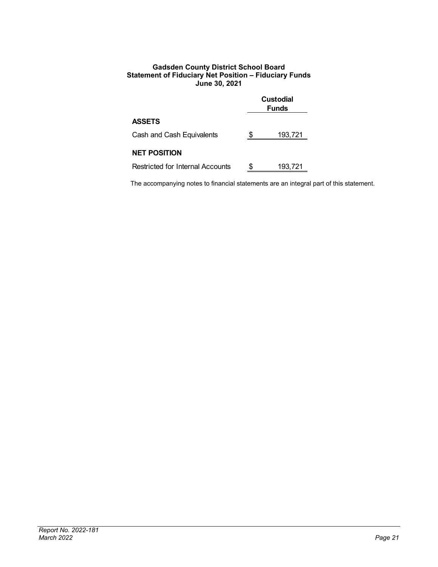#### <span id="page-26-0"></span>**Gadsden County District School Board Statement of Fiduciary Net Position – Fiduciary Funds June 30, 2021**

|                                  | Custodial<br><b>Funds</b> |         |  |
|----------------------------------|---------------------------|---------|--|
| <b>ASSETS</b>                    |                           |         |  |
| Cash and Cash Equivalents        | \$.                       | 193,721 |  |
| <b>NET POSITION</b>              |                           |         |  |
| Restricted for Internal Accounts | S                         | 193,721 |  |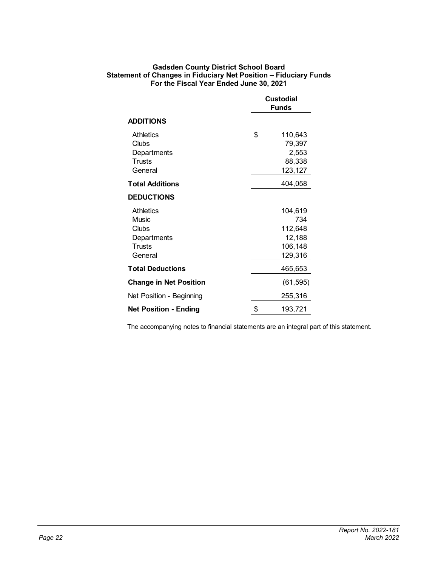#### <span id="page-27-0"></span>**Gadsden County District School Board Statement of Changes in Fiduciary Net Position – Fiduciary Funds For the Fiscal Year Ended June 30, 2021**

|                                                                        | <b>Custodial</b><br><b>Funds</b>                          |
|------------------------------------------------------------------------|-----------------------------------------------------------|
| <b>ADDITIONS</b>                                                       |                                                           |
| <b>Athletics</b><br>Clubs<br>Departments<br>Trusts<br>General          | \$<br>110,643<br>79,397<br>2,553<br>88,338<br>123,127     |
| <b>Total Additions</b>                                                 | 404,058                                                   |
| <b>DEDUCTIONS</b>                                                      |                                                           |
| <b>Athletics</b><br>Music<br>Clubs<br>Departments<br>Trusts<br>General | 104,619<br>734<br>112,648<br>12,188<br>106,148<br>129,316 |
| <b>Total Deductions</b>                                                | 465,653                                                   |
| <b>Change in Net Position</b>                                          | (61, 595)                                                 |
| Net Position - Beginning                                               | 255,316                                                   |
| <b>Net Position - Ending</b>                                           | \$<br>193,721                                             |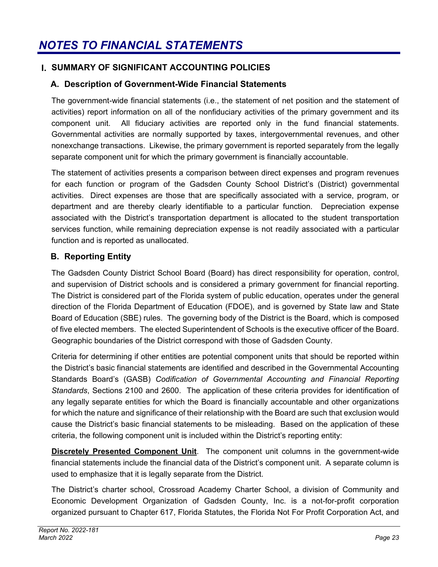## <span id="page-28-0"></span> **SUMMARY OF SIGNIFICANT ACCOUNTING POLICIES**

## **A. Description of Government-Wide Financial Statements**

The government-wide financial statements (i.e., the statement of net position and the statement of activities) report information on all of the nonfiduciary activities of the primary government and its component unit. All fiduciary activities are reported only in the fund financial statements. Governmental activities are normally supported by taxes, intergovernmental revenues, and other nonexchange transactions. Likewise, the primary government is reported separately from the legally separate component unit for which the primary government is financially accountable.

The statement of activities presents a comparison between direct expenses and program revenues for each function or program of the Gadsden County School District's (District) governmental activities. Direct expenses are those that are specifically associated with a service, program, or department and are thereby clearly identifiable to a particular function. Depreciation expense associated with the District's transportation department is allocated to the student transportation services function, while remaining depreciation expense is not readily associated with a particular function and is reported as unallocated.

## **B. Reporting Entity**

The Gadsden County District School Board (Board) has direct responsibility for operation, control, and supervision of District schools and is considered a primary government for financial reporting. The District is considered part of the Florida system of public education, operates under the general direction of the Florida Department of Education (FDOE), and is governed by State law and State Board of Education (SBE) rules. The governing body of the District is the Board, which is composed of five elected members. The elected Superintendent of Schools is the executive officer of the Board. Geographic boundaries of the District correspond with those of Gadsden County.

Criteria for determining if other entities are potential component units that should be reported within the District's basic financial statements are identified and described in the Governmental Accounting Standards Board's (GASB) *Codification of Governmental Accounting and Financial Reporting Standards*, Sections 2100 and 2600. The application of these criteria provides for identification of any legally separate entities for which the Board is financially accountable and other organizations for which the nature and significance of their relationship with the Board are such that exclusion would cause the District's basic financial statements to be misleading. Based on the application of these criteria, the following component unit is included within the District's reporting entity:

**Discretely Presented Component Unit**. The component unit columns in the government-wide financial statements include the financial data of the District's component unit. A separate column is used to emphasize that it is legally separate from the District.

The District's charter school, Crossroad Academy Charter School, a division of Community and Economic Development Organization of Gadsden County, Inc. is a not-for-profit corporation organized pursuant to Chapter 617, Florida Statutes, the Florida Not For Profit Corporation Act, and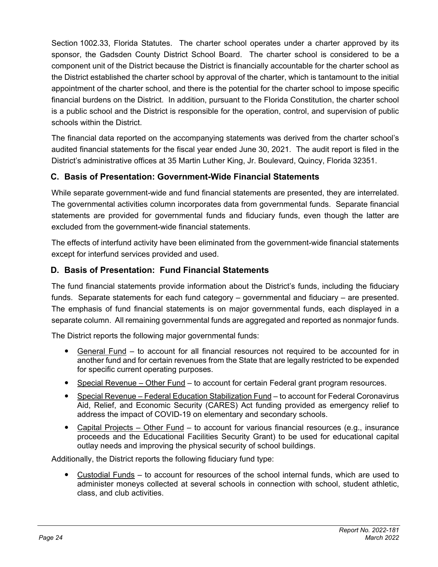Section 1002.33, Florida Statutes. The charter school operates under a charter approved by its sponsor, the Gadsden County District School Board. The charter school is considered to be a component unit of the District because the District is financially accountable for the charter school as the District established the charter school by approval of the charter, which is tantamount to the initial appointment of the charter school, and there is the potential for the charter school to impose specific financial burdens on the District. In addition, pursuant to the Florida Constitution, the charter school is a public school and the District is responsible for the operation, control, and supervision of public schools within the District.

The financial data reported on the accompanying statements was derived from the charter school's audited financial statements for the fiscal year ended June 30, 2021. The audit report is filed in the District's administrative offices at 35 Martin Luther King, Jr. Boulevard, Quincy, Florida 32351.

## **C. Basis of Presentation: Government-Wide Financial Statements**

While separate government-wide and fund financial statements are presented, they are interrelated. The governmental activities column incorporates data from governmental funds. Separate financial statements are provided for governmental funds and fiduciary funds, even though the latter are excluded from the government-wide financial statements.

The effects of interfund activity have been eliminated from the government-wide financial statements except for interfund services provided and used.

## **D. Basis of Presentation: Fund Financial Statements**

The fund financial statements provide information about the District's funds, including the fiduciary funds. Separate statements for each fund category – governmental and fiduciary – are presented. The emphasis of fund financial statements is on major governmental funds, each displayed in a separate column. All remaining governmental funds are aggregated and reported as nonmajor funds.

The District reports the following major governmental funds:

- General Fund to account for all financial resources not required to be accounted for in another fund and for certain revenues from the State that are legally restricted to be expended for specific current operating purposes.
- Special Revenue Other Fund to account for certain Federal grant program resources.
- Special Revenue Federal Education Stabilization Fund to account for Federal Coronavirus Aid, Relief, and Economic Security (CARES) Act funding provided as emergency relief to address the impact of COVID-19 on elementary and secondary schools.
- Capital Projects Other Fund to account for various financial resources (e.g., insurance proceeds and the Educational Facilities Security Grant) to be used for educational capital outlay needs and improving the physical security of school buildings.

Additionally, the District reports the following fiduciary fund type:

 Custodial Funds – to account for resources of the school internal funds, which are used to administer moneys collected at several schools in connection with school, student athletic, class, and club activities.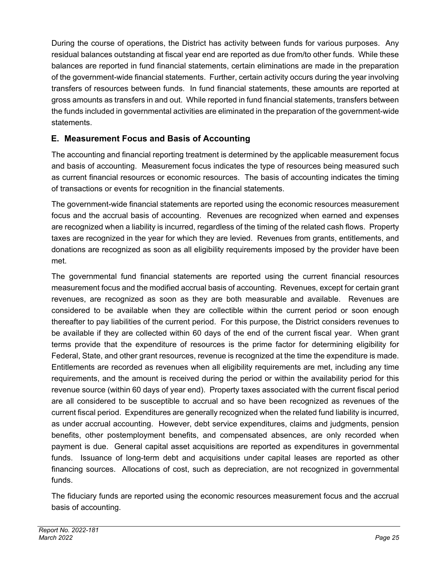During the course of operations, the District has activity between funds for various purposes. Any residual balances outstanding at fiscal year end are reported as due from/to other funds. While these balances are reported in fund financial statements, certain eliminations are made in the preparation of the government-wide financial statements. Further, certain activity occurs during the year involving transfers of resources between funds. In fund financial statements, these amounts are reported at gross amounts as transfers in and out. While reported in fund financial statements, transfers between the funds included in governmental activities are eliminated in the preparation of the government-wide statements.

## **E. Measurement Focus and Basis of Accounting**

The accounting and financial reporting treatment is determined by the applicable measurement focus and basis of accounting. Measurement focus indicates the type of resources being measured such as current financial resources or economic resources. The basis of accounting indicates the timing of transactions or events for recognition in the financial statements.

The government-wide financial statements are reported using the economic resources measurement focus and the accrual basis of accounting. Revenues are recognized when earned and expenses are recognized when a liability is incurred, regardless of the timing of the related cash flows. Property taxes are recognized in the year for which they are levied. Revenues from grants, entitlements, and donations are recognized as soon as all eligibility requirements imposed by the provider have been met.

The governmental fund financial statements are reported using the current financial resources measurement focus and the modified accrual basis of accounting. Revenues, except for certain grant revenues, are recognized as soon as they are both measurable and available. Revenues are considered to be available when they are collectible within the current period or soon enough thereafter to pay liabilities of the current period. For this purpose, the District considers revenues to be available if they are collected within 60 days of the end of the current fiscal year. When grant terms provide that the expenditure of resources is the prime factor for determining eligibility for Federal, State, and other grant resources, revenue is recognized at the time the expenditure is made. Entitlements are recorded as revenues when all eligibility requirements are met, including any time requirements, and the amount is received during the period or within the availability period for this revenue source (within 60 days of year end). Property taxes associated with the current fiscal period are all considered to be susceptible to accrual and so have been recognized as revenues of the current fiscal period. Expenditures are generally recognized when the related fund liability is incurred, as under accrual accounting. However, debt service expenditures, claims and judgments, pension benefits, other postemployment benefits, and compensated absences, are only recorded when payment is due. General capital asset acquisitions are reported as expenditures in governmental funds. Issuance of long-term debt and acquisitions under capital leases are reported as other financing sources. Allocations of cost, such as depreciation, are not recognized in governmental funds.

The fiduciary funds are reported using the economic resources measurement focus and the accrual basis of accounting.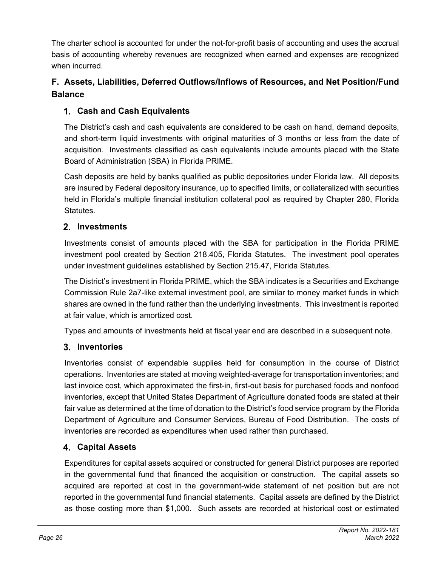The charter school is accounted for under the not-for-profit basis of accounting and uses the accrual basis of accounting whereby revenues are recognized when earned and expenses are recognized when incurred.

## **F. Assets, Liabilities, Deferred Outflows/Inflows of Resources, and Net Position/Fund Balance**

## **Cash and Cash Equivalents**

The District's cash and cash equivalents are considered to be cash on hand, demand deposits, and short-term liquid investments with original maturities of 3 months or less from the date of acquisition. Investments classified as cash equivalents include amounts placed with the State Board of Administration (SBA) in Florida PRIME.

Cash deposits are held by banks qualified as public depositories under Florida law. All deposits are insured by Federal depository insurance, up to specified limits, or collateralized with securities held in Florida's multiple financial institution collateral pool as required by Chapter 280, Florida Statutes.

## **Investments**

Investments consist of amounts placed with the SBA for participation in the Florida PRIME investment pool created by Section 218.405, Florida Statutes. The investment pool operates under investment guidelines established by Section 215.47, Florida Statutes.

The District's investment in Florida PRIME, which the SBA indicates is a Securities and Exchange Commission Rule 2a7-like external investment pool, are similar to money market funds in which shares are owned in the fund rather than the underlying investments. This investment is reported at fair value, which is amortized cost.

Types and amounts of investments held at fiscal year end are described in a subsequent note.

## **Inventories**

Inventories consist of expendable supplies held for consumption in the course of District operations. Inventories are stated at moving weighted-average for transportation inventories; and last invoice cost, which approximated the first-in, first-out basis for purchased foods and nonfood inventories, except that United States Department of Agriculture donated foods are stated at their fair value as determined at the time of donation to the District's food service program by the Florida Department of Agriculture and Consumer Services, Bureau of Food Distribution. The costs of inventories are recorded as expenditures when used rather than purchased.

## **Capital Assets**

Expenditures for capital assets acquired or constructed for general District purposes are reported in the governmental fund that financed the acquisition or construction. The capital assets so acquired are reported at cost in the government-wide statement of net position but are not reported in the governmental fund financial statements. Capital assets are defined by the District as those costing more than \$1,000. Such assets are recorded at historical cost or estimated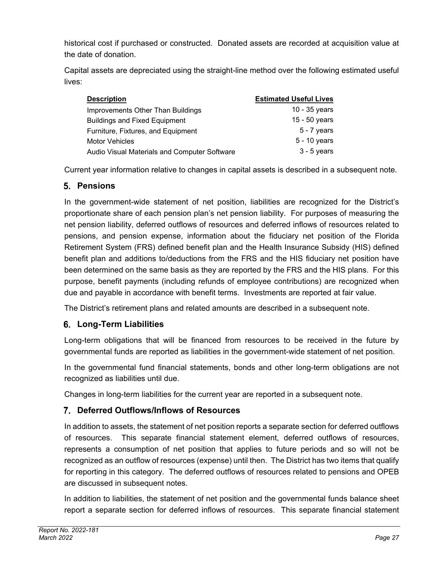historical cost if purchased or constructed. Donated assets are recorded at acquisition value at the date of donation.

Capital assets are depreciated using the straight-line method over the following estimated useful lives:

| <b>Description</b>                           | <b>Estimated Useful Lives</b> |
|----------------------------------------------|-------------------------------|
| Improvements Other Than Buildings            | 10 - 35 years                 |
| <b>Buildings and Fixed Equipment</b>         | 15 - 50 years                 |
| Furniture, Fixtures, and Equipment           | $5 - 7$ years                 |
| <b>Motor Vehicles</b>                        | 5 - 10 years                  |
| Audio Visual Materials and Computer Software | $3 - 5$ years                 |

Current year information relative to changes in capital assets is described in a subsequent note.

## **Pensions**

In the government-wide statement of net position, liabilities are recognized for the District's proportionate share of each pension plan's net pension liability. For purposes of measuring the net pension liability, deferred outflows of resources and deferred inflows of resources related to pensions, and pension expense, information about the fiduciary net position of the Florida Retirement System (FRS) defined benefit plan and the Health Insurance Subsidy (HIS) defined benefit plan and additions to/deductions from the FRS and the HIS fiduciary net position have been determined on the same basis as they are reported by the FRS and the HIS plans. For this purpose, benefit payments (including refunds of employee contributions) are recognized when due and payable in accordance with benefit terms. Investments are reported at fair value.

The District's retirement plans and related amounts are described in a subsequent note.

## **Long-Term Liabilities**

Long-term obligations that will be financed from resources to be received in the future by governmental funds are reported as liabilities in the government-wide statement of net position.

In the governmental fund financial statements, bonds and other long-term obligations are not recognized as liabilities until due.

Changes in long-term liabilities for the current year are reported in a subsequent note.

## **Deferred Outflows/Inflows of Resources**

In addition to assets, the statement of net position reports a separate section for deferred outflows of resources. This separate financial statement element, deferred outflows of resources, represents a consumption of net position that applies to future periods and so will not be recognized as an outflow of resources (expense) until then. The District has two items that qualify for reporting in this category. The deferred outflows of resources related to pensions and OPEB are discussed in subsequent notes.

In addition to liabilities, the statement of net position and the governmental funds balance sheet report a separate section for deferred inflows of resources. This separate financial statement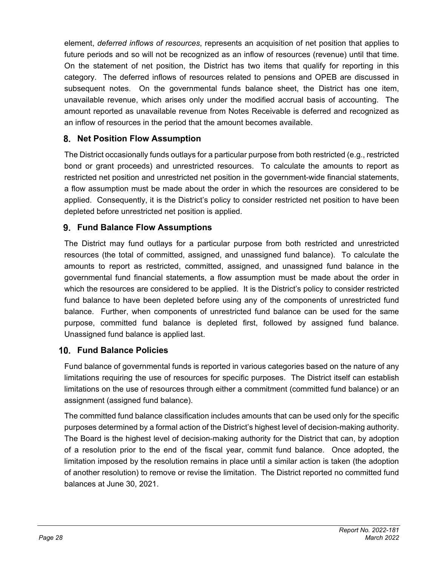element, *deferred inflows of resources*, represents an acquisition of net position that applies to future periods and so will not be recognized as an inflow of resources (revenue) until that time. On the statement of net position, the District has two items that qualify for reporting in this category. The deferred inflows of resources related to pensions and OPEB are discussed in subsequent notes. On the governmental funds balance sheet, the District has one item, unavailable revenue, which arises only under the modified accrual basis of accounting. The amount reported as unavailable revenue from Notes Receivable is deferred and recognized as an inflow of resources in the period that the amount becomes available.

## **Net Position Flow Assumption**

The District occasionally funds outlays for a particular purpose from both restricted (e.g., restricted bond or grant proceeds) and unrestricted resources. To calculate the amounts to report as restricted net position and unrestricted net position in the government-wide financial statements, a flow assumption must be made about the order in which the resources are considered to be applied. Consequently, it is the District's policy to consider restricted net position to have been depleted before unrestricted net position is applied.

## **Fund Balance Flow Assumptions**

The District may fund outlays for a particular purpose from both restricted and unrestricted resources (the total of committed, assigned, and unassigned fund balance). To calculate the amounts to report as restricted, committed, assigned, and unassigned fund balance in the governmental fund financial statements, a flow assumption must be made about the order in which the resources are considered to be applied. It is the District's policy to consider restricted fund balance to have been depleted before using any of the components of unrestricted fund balance. Further, when components of unrestricted fund balance can be used for the same purpose, committed fund balance is depleted first, followed by assigned fund balance. Unassigned fund balance is applied last.

## **Fund Balance Policies**

Fund balance of governmental funds is reported in various categories based on the nature of any limitations requiring the use of resources for specific purposes. The District itself can establish limitations on the use of resources through either a commitment (committed fund balance) or an assignment (assigned fund balance).

The committed fund balance classification includes amounts that can be used only for the specific purposes determined by a formal action of the District's highest level of decision-making authority. The Board is the highest level of decision-making authority for the District that can, by adoption of a resolution prior to the end of the fiscal year, commit fund balance. Once adopted, the limitation imposed by the resolution remains in place until a similar action is taken (the adoption of another resolution) to remove or revise the limitation. The District reported no committed fund balances at June 30, 2021.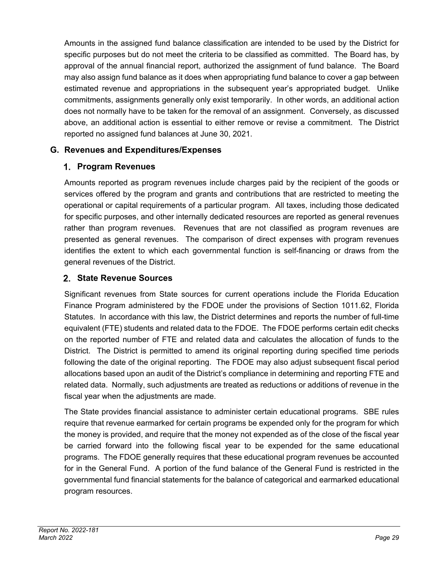Amounts in the assigned fund balance classification are intended to be used by the District for specific purposes but do not meet the criteria to be classified as committed. The Board has, by approval of the annual financial report, authorized the assignment of fund balance. The Board may also assign fund balance as it does when appropriating fund balance to cover a gap between estimated revenue and appropriations in the subsequent year's appropriated budget. Unlike commitments, assignments generally only exist temporarily. In other words, an additional action does not normally have to be taken for the removal of an assignment. Conversely, as discussed above, an additional action is essential to either remove or revise a commitment. The District reported no assigned fund balances at June 30, 2021.

## **G. Revenues and Expenditures/Expenses**

## **Program Revenues**

Amounts reported as program revenues include charges paid by the recipient of the goods or services offered by the program and grants and contributions that are restricted to meeting the operational or capital requirements of a particular program. All taxes, including those dedicated for specific purposes, and other internally dedicated resources are reported as general revenues rather than program revenues. Revenues that are not classified as program revenues are presented as general revenues. The comparison of direct expenses with program revenues identifies the extent to which each governmental function is self-financing or draws from the general revenues of the District.

## **State Revenue Sources**

Significant revenues from State sources for current operations include the Florida Education Finance Program administered by the FDOE under the provisions of Section 1011.62, Florida Statutes. In accordance with this law, the District determines and reports the number of full-time equivalent (FTE) students and related data to the FDOE. The FDOE performs certain edit checks on the reported number of FTE and related data and calculates the allocation of funds to the District. The District is permitted to amend its original reporting during specified time periods following the date of the original reporting. The FDOE may also adjust subsequent fiscal period allocations based upon an audit of the District's compliance in determining and reporting FTE and related data. Normally, such adjustments are treated as reductions or additions of revenue in the fiscal year when the adjustments are made.

The State provides financial assistance to administer certain educational programs. SBE rules require that revenue earmarked for certain programs be expended only for the program for which the money is provided, and require that the money not expended as of the close of the fiscal year be carried forward into the following fiscal year to be expended for the same educational programs. The FDOE generally requires that these educational program revenues be accounted for in the General Fund. A portion of the fund balance of the General Fund is restricted in the governmental fund financial statements for the balance of categorical and earmarked educational program resources.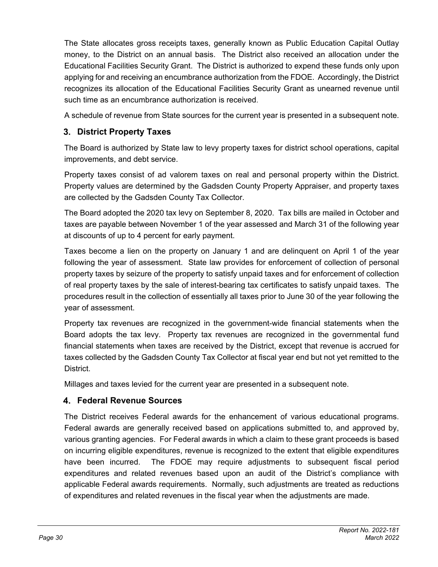The State allocates gross receipts taxes, generally known as Public Education Capital Outlay money, to the District on an annual basis. The District also received an allocation under the Educational Facilities Security Grant. The District is authorized to expend these funds only upon applying for and receiving an encumbrance authorization from the FDOE. Accordingly, the District recognizes its allocation of the Educational Facilities Security Grant as unearned revenue until such time as an encumbrance authorization is received.

A schedule of revenue from State sources for the current year is presented in a subsequent note.

## **District Property Taxes**

The Board is authorized by State law to levy property taxes for district school operations, capital improvements, and debt service.

Property taxes consist of ad valorem taxes on real and personal property within the District. Property values are determined by the Gadsden County Property Appraiser, and property taxes are collected by the Gadsden County Tax Collector.

The Board adopted the 2020 tax levy on September 8, 2020. Tax bills are mailed in October and taxes are payable between November 1 of the year assessed and March 31 of the following year at discounts of up to 4 percent for early payment.

Taxes become a lien on the property on January 1 and are delinquent on April 1 of the year following the year of assessment. State law provides for enforcement of collection of personal property taxes by seizure of the property to satisfy unpaid taxes and for enforcement of collection of real property taxes by the sale of interest-bearing tax certificates to satisfy unpaid taxes. The procedures result in the collection of essentially all taxes prior to June 30 of the year following the year of assessment.

Property tax revenues are recognized in the government-wide financial statements when the Board adopts the tax levy. Property tax revenues are recognized in the governmental fund financial statements when taxes are received by the District, except that revenue is accrued for taxes collected by the Gadsden County Tax Collector at fiscal year end but not yet remitted to the District.

Millages and taxes levied for the current year are presented in a subsequent note.

## **Federal Revenue Sources**

The District receives Federal awards for the enhancement of various educational programs. Federal awards are generally received based on applications submitted to, and approved by, various granting agencies. For Federal awards in which a claim to these grant proceeds is based on incurring eligible expenditures, revenue is recognized to the extent that eligible expenditures have been incurred. The FDOE may require adjustments to subsequent fiscal period expenditures and related revenues based upon an audit of the District's compliance with applicable Federal awards requirements. Normally, such adjustments are treated as reductions of expenditures and related revenues in the fiscal year when the adjustments are made.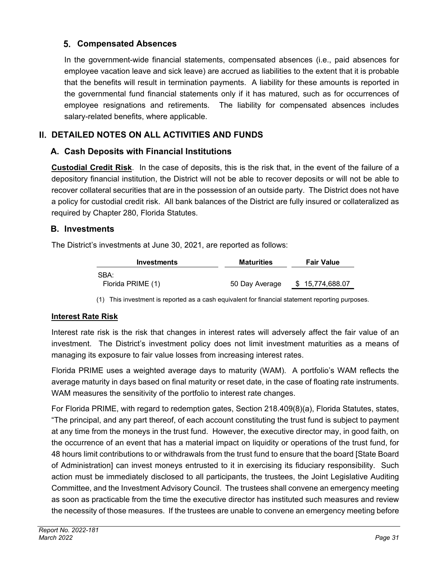# **Compensated Absences**

In the government-wide financial statements, compensated absences (i.e., paid absences for employee vacation leave and sick leave) are accrued as liabilities to the extent that it is probable that the benefits will result in termination payments. A liability for these amounts is reported in the governmental fund financial statements only if it has matured, such as for occurrences of employee resignations and retirements. The liability for compensated absences includes salary-related benefits, where applicable.

# **DETAILED NOTES ON ALL ACTIVITIES AND FUNDS**

# **A. Cash Deposits with Financial Institutions**

**Custodial Credit Risk**. In the case of deposits, this is the risk that, in the event of the failure of a depository financial institution, the District will not be able to recover deposits or will not be able to recover collateral securities that are in the possession of an outside party. The District does not have a policy for custodial credit risk. All bank balances of the District are fully insured or collateralized as required by Chapter 280, Florida Statutes.

# **B. Investments**

The District's investments at June 30, 2021, are reported as follows:

| <b>Investments</b> | <b>Maturities</b> | <b>Fair Value</b> |
|--------------------|-------------------|-------------------|
| SBA:               |                   |                   |
| Florida PRIME (1)  | 50 Day Average    | \$15,774,688.07   |

(1) This investment is reported as a cash equivalent for financial statement reporting purposes.

# **Interest Rate Risk**

Interest rate risk is the risk that changes in interest rates will adversely affect the fair value of an investment. The District's investment policy does not limit investment maturities as a means of managing its exposure to fair value losses from increasing interest rates.

Florida PRIME uses a weighted average days to maturity (WAM). A portfolio's WAM reflects the average maturity in days based on final maturity or reset date, in the case of floating rate instruments. WAM measures the sensitivity of the portfolio to interest rate changes.

For Florida PRIME, with regard to redemption gates, Section 218.409(8)(a), Florida Statutes, states, "The principal, and any part thereof, of each account constituting the trust fund is subject to payment at any time from the moneys in the trust fund. However, the executive director may, in good faith, on the occurrence of an event that has a material impact on liquidity or operations of the trust fund, for 48 hours limit contributions to or withdrawals from the trust fund to ensure that the board [State Board of Administration] can invest moneys entrusted to it in exercising its fiduciary responsibility. Such action must be immediately disclosed to all participants, the trustees, the Joint Legislative Auditing Committee, and the Investment Advisory Council. The trustees shall convene an emergency meeting as soon as practicable from the time the executive director has instituted such measures and review the necessity of those measures. If the trustees are unable to convene an emergency meeting before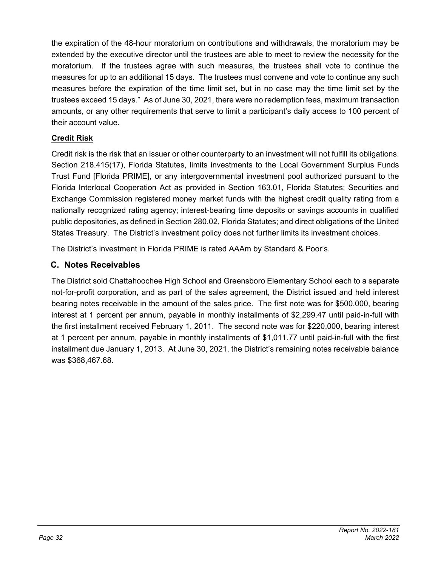the expiration of the 48-hour moratorium on contributions and withdrawals, the moratorium may be extended by the executive director until the trustees are able to meet to review the necessity for the moratorium. If the trustees agree with such measures, the trustees shall vote to continue the measures for up to an additional 15 days. The trustees must convene and vote to continue any such measures before the expiration of the time limit set, but in no case may the time limit set by the trustees exceed 15 days." As of June 30, 2021, there were no redemption fees, maximum transaction amounts, or any other requirements that serve to limit a participant's daily access to 100 percent of their account value.

# **Credit Risk**

Credit risk is the risk that an issuer or other counterparty to an investment will not fulfill its obligations. Section 218.415(17), Florida Statutes, limits investments to the Local Government Surplus Funds Trust Fund [Florida PRIME], or any intergovernmental investment pool authorized pursuant to the Florida Interlocal Cooperation Act as provided in Section 163.01, Florida Statutes; Securities and Exchange Commission registered money market funds with the highest credit quality rating from a nationally recognized rating agency; interest-bearing time deposits or savings accounts in qualified public depositories, as defined in Section 280.02, Florida Statutes; and direct obligations of the United States Treasury. The District's investment policy does not further limits its investment choices.

The District's investment in Florida PRIME is rated AAAm by Standard & Poor's.

# **C. Notes Receivables**

The District sold Chattahoochee High School and Greensboro Elementary School each to a separate not-for-profit corporation, and as part of the sales agreement, the District issued and held interest bearing notes receivable in the amount of the sales price. The first note was for \$500,000, bearing interest at 1 percent per annum, payable in monthly installments of \$2,299.47 until paid-in-full with the first installment received February 1, 2011. The second note was for \$220,000, bearing interest at 1 percent per annum, payable in monthly installments of \$1,011.77 until paid-in-full with the first installment due January 1, 2013. At June 30, 2021, the District's remaining notes receivable balance was \$368,467.68.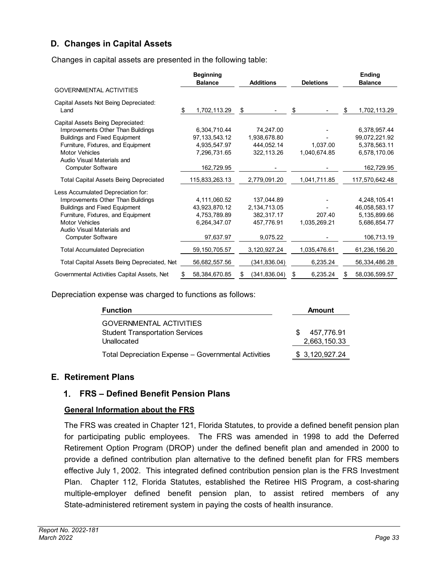# **D. Changes in Capital Assets**

Changes in capital assets are presented in the following table:

|                                                                                                                                                                                                                                          | <b>Beginning</b><br><b>Balance</b>                                          |    | <b>Additions</b>                                                   | <b>Deletions</b>         |   | Ending<br><b>Balance</b>                                                      |
|------------------------------------------------------------------------------------------------------------------------------------------------------------------------------------------------------------------------------------------|-----------------------------------------------------------------------------|----|--------------------------------------------------------------------|--------------------------|---|-------------------------------------------------------------------------------|
| <b>GOVERNMENTAL ACTIVITIES</b>                                                                                                                                                                                                           |                                                                             |    |                                                                    |                          |   |                                                                               |
| Capital Assets Not Being Depreciated:<br>Land                                                                                                                                                                                            | \$<br>1,702,113.29                                                          | \$ |                                                                    | \$                       | S | 1,702,113.29                                                                  |
| Capital Assets Being Depreciated:<br>Improvements Other Than Buildings<br><b>Buildings and Fixed Equipment</b><br>Furniture, Fixtures, and Equipment<br><b>Motor Vehicles</b><br>Audio Visual Materials and<br><b>Computer Software</b>  | 6,304,710.44<br>97.133.543.12<br>4,935,547.97<br>7,296,731.65<br>162,729.95 |    | 74,247.00<br>1,938,678.80<br>444,052.14<br>322,113.26              | 1,037.00<br>1,040,674.85 |   | 6,378,957.44<br>99,072,221.92<br>5,378,563.11<br>6,578,170.06<br>162,729.95   |
| <b>Total Capital Assets Being Depreciated</b>                                                                                                                                                                                            | 115,833,263.13                                                              |    | 2,779,091.20                                                       | 1,041,711.85             |   | 117,570,642.48                                                                |
| Less Accumulated Depreciation for:<br>Improvements Other Than Buildings<br><b>Buildings and Fixed Equipment</b><br>Furniture, Fixtures, and Equipment<br><b>Motor Vehicles</b><br>Audio Visual Materials and<br><b>Computer Software</b> | 4,111,060.52<br>43,923,870.12<br>4,753,789.89<br>6,264,347.07<br>97,637.97  |    | 137,044.89<br>2,134,713.05<br>382.317.17<br>457,776.91<br>9,075.22 | 207.40<br>1,035,269.21   |   | 4,248,105.41<br>46,058,583.17<br>5, 135, 899.66<br>5,686,854.77<br>106,713.19 |
| <b>Total Accumulated Depreciation</b>                                                                                                                                                                                                    | 59, 150, 705.57                                                             |    | 3,120,927.24                                                       | 1,035,476.61             |   | 61,236,156.20                                                                 |
| Total Capital Assets Being Depreciated, Net                                                                                                                                                                                              | 56,682,557.56                                                               |    | (341,836.04)                                                       | 6,235.24                 |   | 56,334,486.28                                                                 |
| Governmental Activities Capital Assets, Net                                                                                                                                                                                              | \$<br>58,384,670.85                                                         | S  | (341, 836.04)                                                      | \$<br>6,235.24           | S | 58,036,599.57                                                                 |

Depreciation expense was charged to functions as follows:

| <b>Function</b>                                      |    | <b>Amount</b>   |
|------------------------------------------------------|----|-----------------|
| <b>GOVERNMENTAL ACTIVITIES</b>                       |    |                 |
| <b>Student Transportation Services</b>               | £. | 457,776.91      |
| Unallocated                                          |    | 2,663,150.33    |
| Total Depreciation Expense – Governmental Activities |    | \$ 3,120,927.24 |

# **E. Retirement Plans**

# **FRS – Defined Benefit Pension Plans**

#### **General Information about the FRS**

The FRS was created in Chapter 121, Florida Statutes, to provide a defined benefit pension plan for participating public employees. The FRS was amended in 1998 to add the Deferred Retirement Option Program (DROP) under the defined benefit plan and amended in 2000 to provide a defined contribution plan alternative to the defined benefit plan for FRS members effective July 1, 2002. This integrated defined contribution pension plan is the FRS Investment Plan. Chapter 112, Florida Statutes, established the Retiree HIS Program, a cost-sharing multiple-employer defined benefit pension plan, to assist retired members of any State-administered retirement system in paying the costs of health insurance.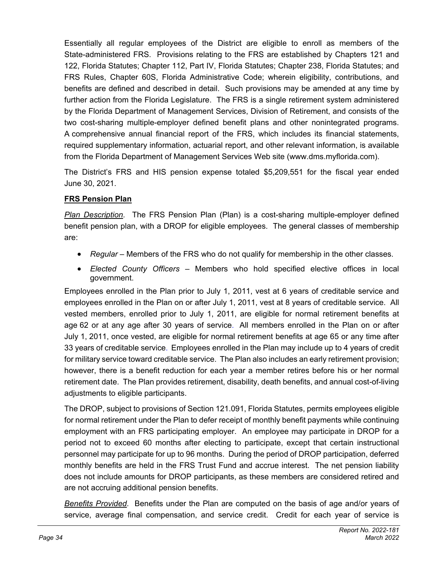Essentially all regular employees of the District are eligible to enroll as members of the State-administered FRS. Provisions relating to the FRS are established by Chapters 121 and 122, Florida Statutes; Chapter 112, Part IV, Florida Statutes; Chapter 238, Florida Statutes; and FRS Rules, Chapter 60S, Florida Administrative Code; wherein eligibility, contributions, and benefits are defined and described in detail. Such provisions may be amended at any time by further action from the Florida Legislature. The FRS is a single retirement system administered by the Florida Department of Management Services, Division of Retirement, and consists of the two cost-sharing multiple-employer defined benefit plans and other nonintegrated programs. A comprehensive annual financial report of the FRS, which includes its financial statements, required supplementary information, actuarial report, and other relevant information, is available from the Florida Department of Management Services Web site (www.dms.myflorida.com).

The District's FRS and HIS pension expense totaled \$5,209,551 for the fiscal year ended June 30, 2021.

# **FRS Pension Plan**

*Plan Description*. The FRS Pension Plan (Plan) is a cost-sharing multiple-employer defined benefit pension plan, with a DROP for eligible employees. The general classes of membership are:

- *Regular* Members of the FRS who do not qualify for membership in the other classes.
- *Elected County Officers* Members who hold specified elective offices in local government.

Employees enrolled in the Plan prior to July 1, 2011, vest at 6 years of creditable service and employees enrolled in the Plan on or after July 1, 2011, vest at 8 years of creditable service. All vested members, enrolled prior to July 1, 2011, are eligible for normal retirement benefits at age 62 or at any age after 30 years of service. All members enrolled in the Plan on or after July 1, 2011, once vested, are eligible for normal retirement benefits at age 65 or any time after 33 years of creditable service. Employees enrolled in the Plan may include up to 4 years of credit for military service toward creditable service. The Plan also includes an early retirement provision; however, there is a benefit reduction for each year a member retires before his or her normal retirement date. The Plan provides retirement, disability, death benefits, and annual cost-of-living adjustments to eligible participants.

The DROP, subject to provisions of Section 121.091, Florida Statutes, permits employees eligible for normal retirement under the Plan to defer receipt of monthly benefit payments while continuing employment with an FRS participating employer. An employee may participate in DROP for a period not to exceed 60 months after electing to participate, except that certain instructional personnel may participate for up to 96 months. During the period of DROP participation, deferred monthly benefits are held in the FRS Trust Fund and accrue interest. The net pension liability does not include amounts for DROP participants, as these members are considered retired and are not accruing additional pension benefits.

*Benefits Provided*. Benefits under the Plan are computed on the basis of age and/or years of service, average final compensation, and service credit. Credit for each year of service is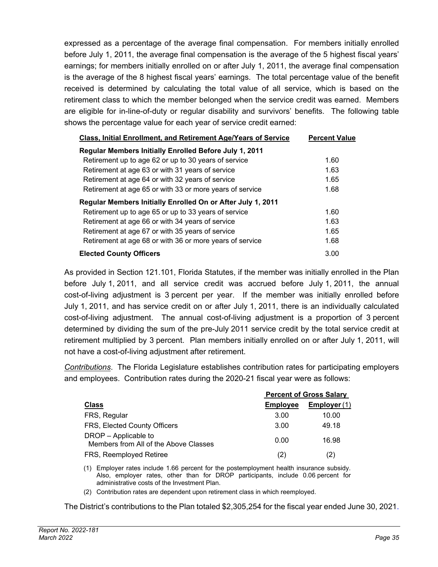expressed as a percentage of the average final compensation. For members initially enrolled before July 1, 2011, the average final compensation is the average of the 5 highest fiscal years' earnings; for members initially enrolled on or after July 1, 2011, the average final compensation is the average of the 8 highest fiscal years' earnings. The total percentage value of the benefit received is determined by calculating the total value of all service, which is based on the retirement class to which the member belonged when the service credit was earned. Members are eligible for in-line-of-duty or regular disability and survivors' benefits. The following table shows the percentage value for each year of service credit earned:

| <b>Class, Initial Enrollment, and Retirement Age/Years of Service</b> | <b>Percent Value</b> |
|-----------------------------------------------------------------------|----------------------|
| Regular Members Initially Enrolled Before July 1, 2011                |                      |
| Retirement up to age 62 or up to 30 years of service                  | 1.60                 |
| Retirement at age 63 or with 31 years of service                      | 1.63                 |
| Retirement at age 64 or with 32 years of service                      | 1.65                 |
| Retirement at age 65 or with 33 or more years of service              | 1.68                 |
| Regular Members Initially Enrolled On or After July 1, 2011           |                      |
| Retirement up to age 65 or up to 33 years of service                  | 1.60                 |
| Retirement at age 66 or with 34 years of service                      | 1.63                 |
| Retirement at age 67 or with 35 years of service                      | 1.65                 |
| Retirement at age 68 or with 36 or more years of service              | 1.68                 |
| <b>Elected County Officers</b>                                        | 3.00                 |

As provided in Section 121.101, Florida Statutes, if the member was initially enrolled in the Plan before July 1, 2011, and all service credit was accrued before July 1, 2011, the annual cost-of-living adjustment is 3 percent per year. If the member was initially enrolled before July 1, 2011, and has service credit on or after July 1, 2011, there is an individually calculated cost-of-living adjustment. The annual cost-of-living adjustment is a proportion of 3 percent determined by dividing the sum of the pre-July 2011 service credit by the total service credit at retirement multiplied by 3 percent. Plan members initially enrolled on or after July 1, 2011, will not have a cost-of-living adjustment after retirement.

*Contributions*. The Florida Legislature establishes contribution rates for participating employers and employees. Contribution rates during the 2020-21 fiscal year were as follows:

|                                                               | <b>Percent of Gross Salary</b> |             |  |  |
|---------------------------------------------------------------|--------------------------------|-------------|--|--|
| <b>Class</b>                                                  | <b>Employee</b>                | Emplayer(1) |  |  |
| FRS, Regular                                                  | 3.00                           | 10.00       |  |  |
| FRS, Elected County Officers                                  | 3.00                           | 49.18       |  |  |
| DROP - Applicable to<br>Members from All of the Above Classes | 0.00                           | 16.98       |  |  |
| FRS, Reemployed Retiree                                       | (2)                            | (2)         |  |  |

(1) Employer rates include 1.66 percent for the postemployment health insurance subsidy. Also, employer rates, other than for DROP participants, include 0.06 percent for administrative costs of the Investment Plan.

(2) Contribution rates are dependent upon retirement class in which reemployed.

The District's contributions to the Plan totaled \$2,305,254 for the fiscal year ended June 30, 2021.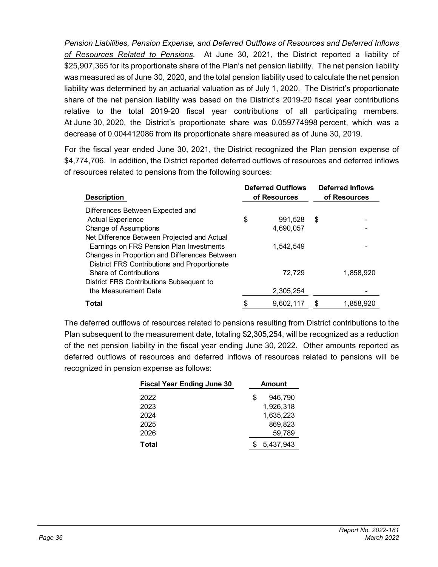*Pension Liabilities, Pension Expense, and Deferred Outflows of Resources and Deferred Inflows of Resources Related to Pensions*. At June 30, 2021, the District reported a liability of \$25,907,365 for its proportionate share of the Plan's net pension liability. The net pension liability was measured as of June 30, 2020, and the total pension liability used to calculate the net pension liability was determined by an actuarial valuation as of July 1, 2020. The District's proportionate share of the net pension liability was based on the District's 2019-20 fiscal year contributions relative to the total 2019-20 fiscal year contributions of all participating members. At June 30, 2020, the District's proportionate share was 0.059774998 percent, which was a decrease of 0.004412086 from its proportionate share measured as of June 30, 2019.

For the fiscal year ended June 30, 2021, the District recognized the Plan pension expense of \$4,774,706. In addition, the District reported deferred outflows of resources and deferred inflows of resources related to pensions from the following sources:

| <b>Description</b>                            | <b>Deferred Outflows</b><br>of Resources |           | <b>Deferred Inflows</b><br>of Resources |           |
|-----------------------------------------------|------------------------------------------|-----------|-----------------------------------------|-----------|
| Differences Between Expected and              |                                          |           |                                         |           |
| <b>Actual Experience</b>                      | \$                                       | 991,528   | \$                                      |           |
| <b>Change of Assumptions</b>                  |                                          | 4,690,057 |                                         |           |
| Net Difference Between Projected and Actual   |                                          |           |                                         |           |
| Earnings on FRS Pension Plan Investments      |                                          | 1,542,549 |                                         |           |
| Changes in Proportion and Differences Between |                                          |           |                                         |           |
| District FRS Contributions and Proportionate  |                                          |           |                                         |           |
| <b>Share of Contributions</b>                 |                                          | 72.729    |                                         | 1.858.920 |
| District FRS Contributions Subsequent to      |                                          |           |                                         |           |
| the Measurement Date                          |                                          | 2,305,254 |                                         |           |
| Total                                         |                                          | 9,602,117 |                                         | 1,858,920 |

The deferred outflows of resources related to pensions resulting from District contributions to the Plan subsequent to the measurement date, totaling \$2,305,254, will be recognized as a reduction of the net pension liability in the fiscal year ending June 30, 2022. Other amounts reported as deferred outflows of resources and deferred inflows of resources related to pensions will be recognized in pension expense as follows:

| <b>Fiscal Year Ending June 30</b><br>Amount |   |           |
|---------------------------------------------|---|-----------|
| 2022                                        | S | 946.790   |
| 2023                                        |   | 1,926,318 |
| 2024                                        |   | 1,635,223 |
| 2025                                        |   | 869,823   |
| 2026                                        |   | 59,789    |
| Total                                       |   | 5,437,943 |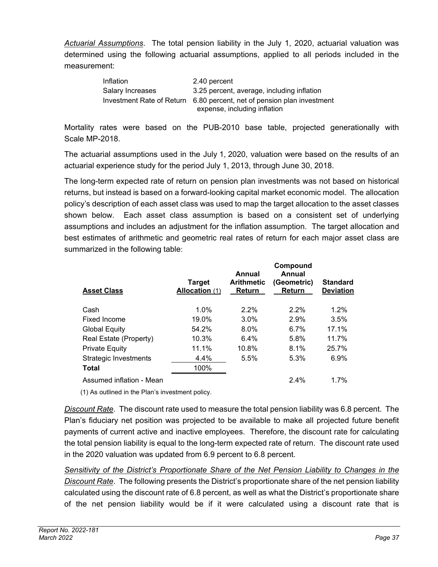*Actuarial Assumptions*. The total pension liability in the July 1, 2020, actuarial valuation was determined using the following actuarial assumptions, applied to all periods included in the measurement:

| Inflation        | 2.40 percent                                                           |
|------------------|------------------------------------------------------------------------|
| Salary Increases | 3.25 percent, average, including inflation                             |
|                  | Investment Rate of Return 6.80 percent, net of pension plan investment |
|                  | expense, including inflation                                           |

Mortality rates were based on the PUB-2010 base table, projected generationally with Scale MP-2018.

The actuarial assumptions used in the July 1, 2020, valuation were based on the results of an actuarial experience study for the period July 1, 2013, through June 30, 2018.

The long-term expected rate of return on pension plan investments was not based on historical returns, but instead is based on a forward-looking capital market economic model. The allocation policy's description of each asset class was used to map the target allocation to the asset classes shown below. Each asset class assumption is based on a consistent set of underlying assumptions and includes an adjustment for the inflation assumption. The target allocation and best estimates of arithmetic and geometric real rates of return for each major asset class are summarized in the following table:

| <b>Asset Class</b>       | <b>Target</b><br>Allocation (1) | Annual<br><b>Arithmetic</b><br>Return | Compound<br>Annual<br>(Geometric)<br>Return | <b>Standard</b><br><b>Deviation</b> |
|--------------------------|---------------------------------|---------------------------------------|---------------------------------------------|-------------------------------------|
| Cash                     | 1.0%                            | $2.2\%$                               | $2.2\%$                                     | $1.2\%$                             |
| Fixed Income             | 19.0%                           | 3.0%                                  | 2.9%                                        | 3.5%                                |
| <b>Global Equity</b>     | 54.2%                           | 8.0%                                  | 6.7%                                        | 17.1%                               |
| Real Estate (Property)   | 10.3%                           | 6.4%                                  | 5.8%                                        | 11.7%                               |
| <b>Private Equity</b>    | 11.1%                           | 10.8%                                 | 8.1%                                        | 25.7%                               |
| Strategic Investments    | 4.4%                            | 5.5%                                  | 5.3%                                        | 6.9%                                |
| <b>Total</b>             | 100%                            |                                       |                                             |                                     |
| Assumed inflation - Mean |                                 |                                       | 2.4%                                        | 1.7%                                |

(1) As outlined in the Plan's investment policy.

*Discount Rate*. The discount rate used to measure the total pension liability was 6.8 percent. The Plan's fiduciary net position was projected to be available to make all projected future benefit payments of current active and inactive employees. Therefore, the discount rate for calculating the total pension liability is equal to the long-term expected rate of return. The discount rate used in the 2020 valuation was updated from 6.9 percent to 6.8 percent.

*Sensitivity of the District's Proportionate Share of the Net Pension Liability to Changes in the Discount Rate*. The following presents the District's proportionate share of the net pension liability calculated using the discount rate of 6.8 percent, as well as what the District's proportionate share of the net pension liability would be if it were calculated using a discount rate that is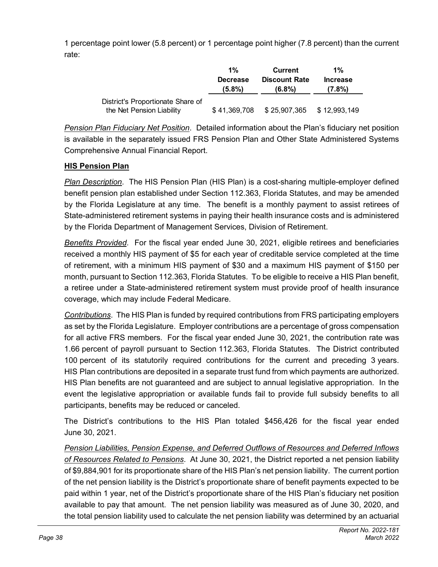1 percentage point lower (5.8 percent) or 1 percentage point higher (7.8 percent) than the current rate:

|                                   | $1\%$                     | <b>Current</b>                 | $1\%$                        |
|-----------------------------------|---------------------------|--------------------------------|------------------------------|
|                                   | <b>Decrease</b><br>(5.8%) | <b>Discount Rate</b><br>(6.8%) | <b>Increase</b><br>$(7.8\%)$ |
| District's Proportionate Share of |                           |                                |                              |
| the Net Pension Liability         | \$41.369.708              | \$25,907,365                   | \$12,993,149                 |

*Pension Plan Fiduciary Net Position*. Detailed information about the Plan's fiduciary net position is available in the separately issued FRS Pension Plan and Other State Administered Systems Comprehensive Annual Financial Report.

# **HIS Pension Plan**

*Plan Description*. The HIS Pension Plan (HIS Plan) is a cost-sharing multiple-employer defined benefit pension plan established under Section 112.363, Florida Statutes, and may be amended by the Florida Legislature at any time. The benefit is a monthly payment to assist retirees of State-administered retirement systems in paying their health insurance costs and is administered by the Florida Department of Management Services, Division of Retirement.

*Benefits Provided*. For the fiscal year ended June 30, 2021, eligible retirees and beneficiaries received a monthly HIS payment of \$5 for each year of creditable service completed at the time of retirement, with a minimum HIS payment of \$30 and a maximum HIS payment of \$150 per month, pursuant to Section 112.363, Florida Statutes. To be eligible to receive a HIS Plan benefit, a retiree under a State-administered retirement system must provide proof of health insurance coverage, which may include Federal Medicare.

*Contributions*. The HIS Plan is funded by required contributions from FRS participating employers as set by the Florida Legislature. Employer contributions are a percentage of gross compensation for all active FRS members. For the fiscal year ended June 30, 2021, the contribution rate was 1.66 percent of payroll pursuant to Section 112.363, Florida Statutes. The District contributed 100 percent of its statutorily required contributions for the current and preceding 3 years. HIS Plan contributions are deposited in a separate trust fund from which payments are authorized. HIS Plan benefits are not guaranteed and are subject to annual legislative appropriation. In the event the legislative appropriation or available funds fail to provide full subsidy benefits to all participants, benefits may be reduced or canceled.

The District's contributions to the HIS Plan totaled \$456,426 for the fiscal year ended June 30, 2021.

*Pension Liabilities, Pension Expense, and Deferred Outflows of Resources and Deferred Inflows of Resources Related to Pensions*. At June 30, 2021, the District reported a net pension liability of \$9,884,901 for its proportionate share of the HIS Plan's net pension liability. The current portion of the net pension liability is the District's proportionate share of benefit payments expected to be paid within 1 year, net of the District's proportionate share of the HIS Plan's fiduciary net position available to pay that amount. The net pension liability was measured as of June 30, 2020, and the total pension liability used to calculate the net pension liability was determined by an actuarial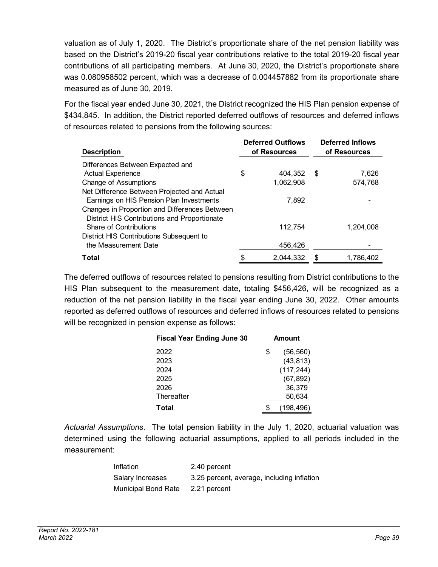valuation as of July 1, 2020. The District's proportionate share of the net pension liability was based on the District's 2019-20 fiscal year contributions relative to the total 2019-20 fiscal year contributions of all participating members. At June 30, 2020, the District's proportionate share was 0.080958502 percent, which was a decrease of 0.004457882 from its proportionate share measured as of June 30, 2019.

For the fiscal year ended June 30, 2021, the District recognized the HIS Plan pension expense of \$434,845. In addition, the District reported deferred outflows of resources and deferred inflows of resources related to pensions from the following sources:

| <b>Description</b>                            | <b>Deferred Outflows</b><br>of Resources |           |    | <b>Deferred Inflows</b><br>of Resources |
|-----------------------------------------------|------------------------------------------|-----------|----|-----------------------------------------|
| Differences Between Expected and              |                                          |           |    |                                         |
| <b>Actual Experience</b>                      | \$                                       | 404,352   | \$ | 7,626                                   |
| <b>Change of Assumptions</b>                  |                                          | 1,062,908 |    | 574,768                                 |
| Net Difference Between Projected and Actual   |                                          |           |    |                                         |
| Earnings on HIS Pension Plan Investments      |                                          | 7,892     |    |                                         |
| Changes in Proportion and Differences Between |                                          |           |    |                                         |
| District HIS Contributions and Proportionate  |                                          |           |    |                                         |
| <b>Share of Contributions</b>                 |                                          | 112,754   |    | 1,204,008                               |
| District HIS Contributions Subsequent to      |                                          |           |    |                                         |
| the Measurement Date                          |                                          | 456,426   |    |                                         |
| Total                                         | \$                                       | 2.044.332 | S  | 1,786,402                               |

The deferred outflows of resources related to pensions resulting from District contributions to the HIS Plan subsequent to the measurement date, totaling \$456,426, will be recognized as a reduction of the net pension liability in the fiscal year ending June 30, 2022. Other amounts reported as deferred outflows of resources and deferred inflows of resources related to pensions will be recognized in pension expense as follows:

| <b>Fiscal Year Ending June 30</b> | Amount |            |  |
|-----------------------------------|--------|------------|--|
| 2022                              | \$     | (56, 560)  |  |
| 2023                              |        | (43, 813)  |  |
| 2024                              |        | (117, 244) |  |
| 2025                              |        | (67, 892)  |  |
| 2026                              |        | 36,379     |  |
| Thereafter                        |        | 50,634     |  |
| Total                             |        | (198.496)  |  |

*Actuarial Assumptions*. The total pension liability in the July 1, 2020, actuarial valuation was determined using the following actuarial assumptions, applied to all periods included in the measurement:

| Inflation                  | 2.40 percent                               |
|----------------------------|--------------------------------------------|
| Salary Increases           | 3.25 percent, average, including inflation |
| <b>Municipal Bond Rate</b> | 2.21 percent                               |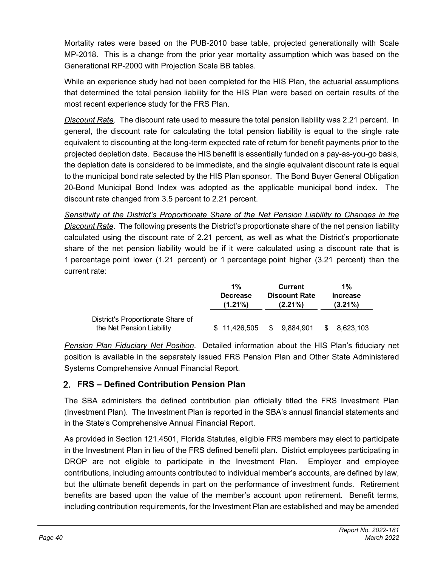Mortality rates were based on the PUB-2010 base table, projected generationally with Scale MP-2018. This is a change from the prior year mortality assumption which was based on the Generational RP-2000 with Projection Scale BB tables.

While an experience study had not been completed for the HIS Plan, the actuarial assumptions that determined the total pension liability for the HIS Plan were based on certain results of the most recent experience study for the FRS Plan.

*Discount Rate*. The discount rate used to measure the total pension liability was 2.21 percent. In general, the discount rate for calculating the total pension liability is equal to the single rate equivalent to discounting at the long-term expected rate of return for benefit payments prior to the projected depletion date. Because the HIS benefit is essentially funded on a pay-as-you-go basis, the depletion date is considered to be immediate, and the single equivalent discount rate is equal to the municipal bond rate selected by the HIS Plan sponsor. The Bond Buyer General Obligation 20-Bond Municipal Bond Index was adopted as the applicable municipal bond index. The discount rate changed from 3.5 percent to 2.21 percent.

*Sensitivity of the District's Proportionate Share of the Net Pension Liability to Changes in the Discount Rate*. The following presents the District's proportionate share of the net pension liability calculated using the discount rate of 2.21 percent, as well as what the District's proportionate share of the net pension liability would be if it were calculated using a discount rate that is 1 percentage point lower (1.21 percent) or 1 percentage point higher (3.21 percent) than the current rate:

|                                   | 1%              | <b>Current</b>       | $1\%$           |  |
|-----------------------------------|-----------------|----------------------|-----------------|--|
|                                   | <b>Decrease</b> | <b>Discount Rate</b> | <b>Increase</b> |  |
|                                   | $(1.21\%)$      | $(2.21\%)$           | $(3.21\%)$      |  |
| District's Proportionate Share of | \$11,426,505    | 9,884,901            | 8,623,103       |  |
| the Net Pension Liability         |                 | \$.                  | \$              |  |

*Pension Plan Fiduciary Net Position*. Detailed information about the HIS Plan's fiduciary net position is available in the separately issued FRS Pension Plan and Other State Administered Systems Comprehensive Annual Financial Report.

# **FRS – Defined Contribution Pension Plan**

The SBA administers the defined contribution plan officially titled the FRS Investment Plan (Investment Plan). The Investment Plan is reported in the SBA's annual financial statements and in the State's Comprehensive Annual Financial Report.

As provided in Section 121.4501, Florida Statutes, eligible FRS members may elect to participate in the Investment Plan in lieu of the FRS defined benefit plan. District employees participating in DROP are not eligible to participate in the Investment Plan. Employer and employee contributions, including amounts contributed to individual member's accounts, are defined by law, but the ultimate benefit depends in part on the performance of investment funds. Retirement benefits are based upon the value of the member's account upon retirement. Benefit terms, including contribution requirements, for the Investment Plan are established and may be amended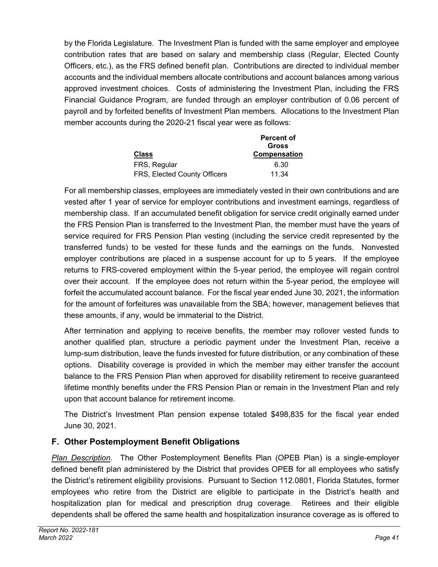by the Florida Legislature. The Investment Plan is funded with the same employer and employee contribution rates that are based on salary and membership class (Regular, Elected County Officers, etc.), as the FRS defined benefit plan. Contributions are directed to individual member accounts and the individual members allocate contributions and account balances among various approved investment choices. Costs of administering the Investment Plan, including the FRS Financial Guidance Program, are funded through an employer contribution of 0.06 percent of payroll and by forfeited benefits of Investment Plan members. Allocations to the Investment Plan member accounts during the 2020-21 fiscal year were as follows:

|                              | Percent of            |
|------------------------------|-----------------------|
| <b>Class</b>                 | Gross<br>Compensation |
| FRS, Regular                 | 6.30                  |
| FRS, Elected County Officers | 11.34                 |

For all membership classes, employees are immediately vested in their own contributions and are vested after 1 year of service for employer contributions and investment earnings, regardless of membership class. If an accumulated benefit obligation for service credit originally earned under the FRS Pension Plan is transferred to the Investment Plan, the member must have the years of service required for FRS Pension Plan vesting (including the service credit represented by the transferred funds) to be vested for these funds and the earnings on the funds. Nonvested employer contributions are placed in a suspense account for up to 5 years. If the employee returns to FRS-covered employment within the 5-year period, the employee will regain control over their account. If the employee does not return within the 5-year period, the employee will forfeit the accumulated account balance. For the fiscal year ended June 30, 2021, the information for the amount of forfeitures was unavailable from the SBA; however, management believes that these amounts, if any, would be immaterial to the District.

After termination and applying to receive benefits, the member may rollover vested funds to another qualified plan, structure a periodic payment under the Investment Plan, receive a lump-sum distribution, leave the funds invested for future distribution, or any combination of these options. Disability coverage is provided in which the member may either transfer the account balance to the FRS Pension Plan when approved for disability retirement to receive guaranteed lifetime monthly benefits under the FRS Pension Plan or remain in the Investment Plan and rely upon that account balance for retirement income.

The District's Investment Plan pension expense totaled \$498,835 for the fiscal year ended June 30, 2021.

# **F. Other Postemployment Benefit Obligations**

*Plan Description*. The Other Postemployment Benefits Plan (OPEB Plan) is a single-employer defined benefit plan administered by the District that provides OPEB for all employees who satisfy the District's retirement eligibility provisions. Pursuant to Section 112.0801, Florida Statutes, former employees who retire from the District are eligible to participate in the District's health and hospitalization plan for medical and prescription drug coverage. Retirees and their eligible dependents shall be offered the same health and hospitalization insurance coverage as is offered to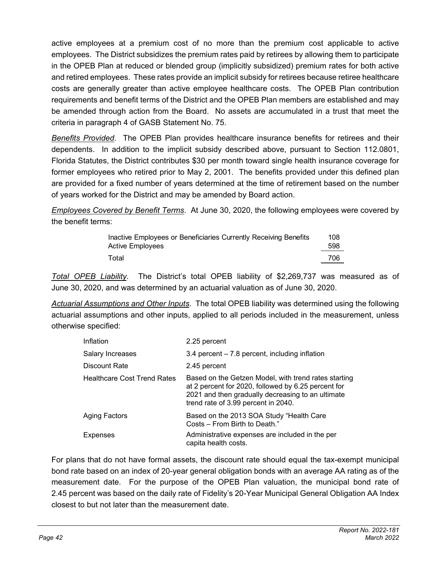active employees at a premium cost of no more than the premium cost applicable to active employees. The District subsidizes the premium rates paid by retirees by allowing them to participate in the OPEB Plan at reduced or blended group (implicitly subsidized) premium rates for both active and retired employees. These rates provide an implicit subsidy for retirees because retiree healthcare costs are generally greater than active employee healthcare costs. The OPEB Plan contribution requirements and benefit terms of the District and the OPEB Plan members are established and may be amended through action from the Board. No assets are accumulated in a trust that meet the criteria in paragraph 4 of GASB Statement No. 75.

*Benefits Provided*.The OPEB Plan provides healthcare insurance benefits for retirees and their dependents. In addition to the implicit subsidy described above, pursuant to Section 112.0801, Florida Statutes, the District contributes \$30 per month toward single health insurance coverage for former employees who retired prior to May 2, 2001. The benefits provided under this defined plan are provided for a fixed number of years determined at the time of retirement based on the number of years worked for the District and may be amended by Board action.

*Employees Covered by Benefit Terms*. At June 30, 2020, the following employees were covered by the benefit terms:

| Inactive Employees or Beneficiaries Currently Receiving Benefits | 108 |
|------------------------------------------------------------------|-----|
| <b>Active Employees</b>                                          | 598 |
| Total                                                            | 706 |

*Total OPEB Liability*. The District's total OPEB liability of \$2,269,737 was measured as of June 30, 2020, and was determined by an actuarial valuation as of June 30, 2020.

*Actuarial Assumptions and Other Inputs*. The total OPEB liability was determined using the following actuarial assumptions and other inputs, applied to all periods included in the measurement, unless otherwise specified:

| Inflation                   | 2.25 percent                                                                                                                                                                                            |
|-----------------------------|---------------------------------------------------------------------------------------------------------------------------------------------------------------------------------------------------------|
| Salary Increases            | 3.4 percent – 7.8 percent, including inflation                                                                                                                                                          |
| Discount Rate               | 2.45 percent                                                                                                                                                                                            |
| Healthcare Cost Trend Rates | Based on the Getzen Model, with trend rates starting<br>at 2 percent for 2020, followed by 6.25 percent for<br>2021 and then gradually decreasing to an ultimate<br>trend rate of 3.99 percent in 2040. |
| Aging Factors               | Based on the 2013 SOA Study "Health Care<br>Costs – From Birth to Death."                                                                                                                               |
| Expenses                    | Administrative expenses are included in the per<br>capita health costs.                                                                                                                                 |

For plans that do not have formal assets, the discount rate should equal the tax-exempt municipal bond rate based on an index of 20-year general obligation bonds with an average AA rating as of the measurement date. For the purpose of the OPEB Plan valuation, the municipal bond rate of 2.45 percent was based on the daily rate of Fidelity's 20-Year Municipal General Obligation AA Index closest to but not later than the measurement date.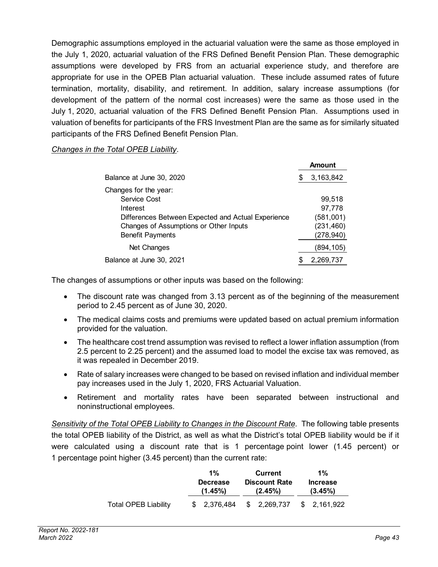Demographic assumptions employed in the actuarial valuation were the same as those employed in the July 1, 2020, actuarial valuation of the FRS Defined Benefit Pension Plan. These demographic assumptions were developed by FRS from an actuarial experience study, and therefore are appropriate for use in the OPEB Plan actuarial valuation. These include assumed rates of future termination, mortality, disability, and retirement. In addition, salary increase assumptions (for development of the pattern of the normal cost increases) were the same as those used in the July 1, 2020, actuarial valuation of the FRS Defined Benefit Pension Plan. Assumptions used in valuation of benefits for participants of the FRS Investment Plan are the same as for similarly situated participants of the FRS Defined Benefit Pension Plan.

### *Changes in the Total OPEB Liability*.

|                                                    |   | <b>Amount</b> |
|----------------------------------------------------|---|---------------|
| Balance at June 30, 2020                           | S | 3,163,842     |
| Changes for the year:                              |   |               |
| Service Cost                                       |   | 99,518        |
| Interest                                           |   | 97,778        |
| Differences Between Expected and Actual Experience |   | (581,001)     |
| Changes of Assumptions or Other Inputs             |   | (231, 460)    |
| <b>Benefit Payments</b>                            |   | (278,940)     |
| Net Changes                                        |   | (894,105)     |
| Balance at June 30, 2021                           |   | 2,269,737     |

The changes of assumptions or other inputs was based on the following:

- The discount rate was changed from 3.13 percent as of the beginning of the measurement period to 2.45 percent as of June 30, 2020.
- The medical claims costs and premiums were updated based on actual premium information provided for the valuation.
- The healthcare cost trend assumption was revised to reflect a lower inflation assumption (from 2.5 percent to 2.25 percent) and the assumed load to model the excise tax was removed, as it was repealed in December 2019.
- Rate of salary increases were changed to be based on revised inflation and individual member pay increases used in the July 1, 2020, FRS Actuarial Valuation.
- Retirement and mortality rates have been separated between instructional and noninstructional employees.

*Sensitivity of the Total OPEB Liability to Changes in the Discount Rate*. The following table presents the total OPEB liability of the District, as well as what the District's total OPEB liability would be if it were calculated using a discount rate that is 1 percentage point lower (1.45 percent) or 1 percentage point higher (3.45 percent) than the current rate:

|                             | 1%<br><b>Decrease</b><br>$(1.45\%)$ | <b>Current</b><br><b>Discount Rate</b><br>$(2.45\%)$ |  | 1%<br><b>Increase</b><br>(3.45%) |  |
|-----------------------------|-------------------------------------|------------------------------------------------------|--|----------------------------------|--|
| <b>Total OPEB Liability</b> | \$2.376.484                         | \$ 2.269.737                                         |  | \$ 2.161.922                     |  |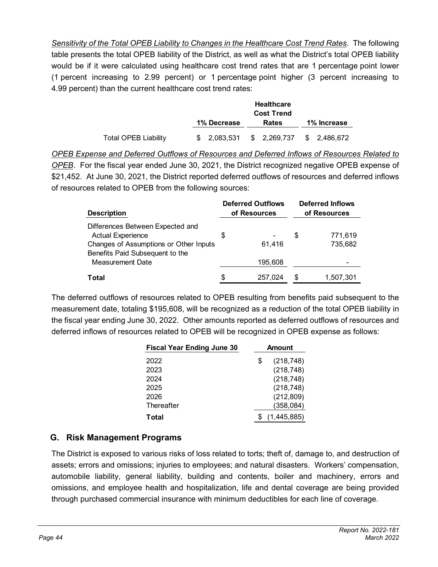*Sensitivity of the Total OPEB Liability to Changes in the Healthcare Cost Trend Rates*. The following table presents the total OPEB liability of the District, as well as what the District's total OPEB liability would be if it were calculated using healthcare cost trend rates that are 1 percentage point lower (1 percent increasing to 2.99 percent) or 1 percentage point higher (3 percent increasing to 4.99 percent) than the current healthcare cost trend rates:

|                             | <b>Healthcare</b><br><b>Cost Trend</b> |  |                                        |  |             |  |
|-----------------------------|----------------------------------------|--|----------------------------------------|--|-------------|--|
|                             | 1% Decrease                            |  | <b>Rates</b>                           |  | 1% Increase |  |
| <b>Total OPEB Liability</b> |                                        |  | $$2,083,531$ $$2,269,737$ $$2,486,672$ |  |             |  |

*OPEB Expense and Deferred Outflows of Resources and Deferred Inflows of Resources Related to OPEB*. For the fiscal year ended June 30, 2021, the District recognized negative OPEB expense of \$21,452. At June 30, 2021, the District reported deferred outflows of resources and deferred inflows of resources related to OPEB from the following sources:

| <b>Description</b>                                                        |   | <b>Deferred Outflows</b><br>of Resources | <b>Deferred Inflows</b><br>of Resources |           |  |
|---------------------------------------------------------------------------|---|------------------------------------------|-----------------------------------------|-----------|--|
| Differences Between Expected and<br><b>Actual Experience</b>              | S |                                          | S                                       | 771,619   |  |
| Changes of Assumptions or Other Inputs<br>Benefits Paid Subsequent to the |   | 61,416                                   |                                         | 735,682   |  |
| <b>Measurement Date</b>                                                   |   | 195,608                                  |                                         |           |  |
| Total                                                                     | S | 257,024                                  | \$.                                     | 1,507,301 |  |

The deferred outflows of resources related to OPEB resulting from benefits paid subsequent to the measurement date, totaling \$195,608, will be recognized as a reduction of the total OPEB liability in the fiscal year ending June 30, 2022. Other amounts reported as deferred outflows of resources and deferred inflows of resources related to OPEB will be recognized in OPEB expense as follows:

| <b>Fiscal Year Ending June 30</b> |   | Amount      |  |  |  |
|-----------------------------------|---|-------------|--|--|--|
| 2022                              | S | (218, 748)  |  |  |  |
| 2023                              |   | (218, 748)  |  |  |  |
| 2024                              |   | (218, 748)  |  |  |  |
| 2025                              |   | (218, 748)  |  |  |  |
| 2026                              |   | (212, 809)  |  |  |  |
| <b>Thereafter</b>                 |   | (358, 084)  |  |  |  |
| Total                             |   | (1,445,885) |  |  |  |

# **G. Risk Management Programs**

The District is exposed to various risks of loss related to torts; theft of, damage to, and destruction of assets; errors and omissions; injuries to employees; and natural disasters. Workers' compensation, automobile liability, general liability, building and contents, boiler and machinery, errors and omissions, and employee health and hospitalization, life and dental coverage are being provided through purchased commercial insurance with minimum deductibles for each line of coverage.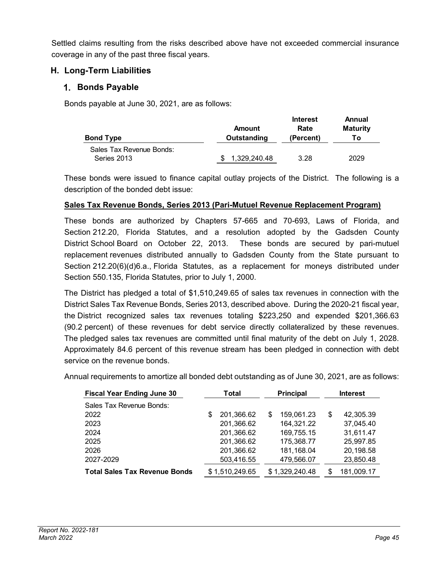Settled claims resulting from the risks described above have not exceeded commercial insurance coverage in any of the past three fiscal years.

# **H. Long-Term Liabilities**

# **Bonds Payable**

Bonds payable at June 30, 2021, are as follows:

|                          |              | <b>Interest</b> | Annual   |
|--------------------------|--------------|-----------------|----------|
|                          | Amount       | Rate            | Maturity |
| <b>Bond Type</b>         | Outstanding  | (Percent)       | То       |
| Sales Tax Revenue Bonds: |              |                 |          |
| Series 2013              | 1.329.240.48 | 3.28            | 2029     |

These bonds were issued to finance capital outlay projects of the District. The following is a description of the bonded debt issue:

# **Sales Tax Revenue Bonds, Series 2013 (Pari-Mutuel Revenue Replacement Program)**

These bonds are authorized by Chapters 57-665 and 70-693, Laws of Florida, and Section 212.20, Florida Statutes, and a resolution adopted by the Gadsden County District School Board on October 22, 2013. These bonds are secured by pari-mutuel replacement revenues distributed annually to Gadsden County from the State pursuant to Section 212.20(6)(d)6.a., Florida Statutes, as a replacement for moneys distributed under Section 550.135, Florida Statutes, prior to July 1, 2000.

The District has pledged a total of \$1,510,249.65 of sales tax revenues in connection with the District Sales Tax Revenue Bonds, Series 2013, described above. During the 2020-21 fiscal year, the District recognized sales tax revenues totaling \$223,250 and expended \$201,366.63 (90.2 percent) of these revenues for debt service directly collateralized by these revenues. The pledged sales tax revenues are committed until final maturity of the debt on July 1, 2028. Approximately 84.6 percent of this revenue stream has been pledged in connection with debt service on the revenue bonds.

Annual requirements to amortize all bonded debt outstanding as of June 30, 2021, are as follows:

| <b>Fiscal Year Ending June 30</b>    | Total |                | <b>Principal</b> |                | <b>Interest</b> |            |
|--------------------------------------|-------|----------------|------------------|----------------|-----------------|------------|
| Sales Tax Revenue Bonds:             |       |                |                  |                |                 |            |
| 2022                                 | S     | 201,366.62     | S                | 159,061.23     | \$              | 42,305.39  |
| 2023                                 |       | 201,366.62     |                  | 164,321.22     |                 | 37,045.40  |
| 2024                                 |       | 201,366.62     |                  | 169,755.15     |                 | 31,611.47  |
| 2025                                 |       | 201,366.62     |                  | 175,368.77     |                 | 25,997.85  |
| 2026                                 |       | 201,366.62     |                  | 181,168.04     |                 | 20,198.58  |
| 2027-2029                            |       | 503,416.55     |                  | 479,566.07     |                 | 23,850.48  |
| <b>Total Sales Tax Revenue Bonds</b> |       | \$1,510,249.65 |                  | \$1,329,240.48 | \$.             | 181,009.17 |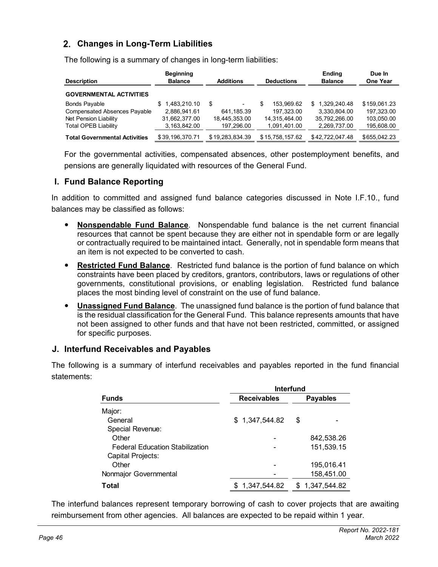# **Changes in Long-Term Liabilities**

|                                      | <b>Beginning</b>   |                                       |                 | <b>Ending</b>      | Due In       |
|--------------------------------------|--------------------|---------------------------------------|-----------------|--------------------|--------------|
| <b>Description</b>                   | <b>Balance</b>     | <b>Deductions</b><br><b>Additions</b> |                 | <b>Balance</b>     | One Year     |
| <b>GOVERNMENTAL ACTIVITIES</b>       |                    |                                       |                 |                    |              |
| <b>Bonds Payable</b>                 | 1,483,210.10<br>S. | S<br>٠                                | 153.969.62<br>S | 1.329.240.48<br>S. | \$159,061.23 |
| <b>Compensated Absences Payable</b>  | 2,886,941.61       | 641,185.39                            | 197.323.00      | 3,330,804.00       | 197,323.00   |
| Net Pension Liability                | 31.662.377.00      | 18.445.353.00                         | 14.315.464.00   | 35.792.266.00      | 103.050.00   |
| <b>Total OPEB Liability</b>          | 3,163,842.00       | 197.296.00                            | 1.091.401.00    | 2,269,737.00       | 195,608.00   |
| <b>Total Governmental Activities</b> | \$39,196,370.71    | \$19,283,834.39                       | \$15,758,157.62 | \$42,722,047.48    | \$655.042.23 |

The following is a summary of changes in long-term liabilities:

For the governmental activities, compensated absences, other postemployment benefits, and pensions are generally liquidated with resources of the General Fund.

# **I. Fund Balance Reporting**

In addition to committed and assigned fund balance categories discussed in Note I.F.10., fund balances may be classified as follows:

- **Nonspendable Fund Balance**. Nonspendable fund balance is the net current financial resources that cannot be spent because they are either not in spendable form or are legally or contractually required to be maintained intact. Generally, not in spendable form means that an item is not expected to be converted to cash.
- **Restricted Fund Balance**. Restricted fund balance is the portion of fund balance on which constraints have been placed by creditors, grantors, contributors, laws or regulations of other governments, constitutional provisions, or enabling legislation. Restricted fund balance places the most binding level of constraint on the use of fund balance.
- **Unassigned Fund Balance**. The unassigned fund balance is the portion of fund balance that is the residual classification for the General Fund. This balance represents amounts that have not been assigned to other funds and that have not been restricted, committed, or assigned for specific purposes.

# **J. Interfund Receivables and Payables**

The following is a summary of interfund receivables and payables reported in the fund financial statements:

|                                        | <b>Interfund</b>   |                 |  |  |  |  |  |
|----------------------------------------|--------------------|-----------------|--|--|--|--|--|
| <b>Funds</b>                           | <b>Receivables</b> | <b>Payables</b> |  |  |  |  |  |
| Major:                                 |                    |                 |  |  |  |  |  |
| General                                | \$1,347,544.82     | S               |  |  |  |  |  |
| Special Revenue:                       |                    |                 |  |  |  |  |  |
| Other                                  |                    | 842,538.26      |  |  |  |  |  |
| <b>Federal Education Stabilization</b> |                    | 151,539.15      |  |  |  |  |  |
| Capital Projects:                      |                    |                 |  |  |  |  |  |
| Other                                  |                    | 195,016.41      |  |  |  |  |  |
| Nonmajor Governmental                  |                    | 158,451.00      |  |  |  |  |  |
| Total                                  | 1,347,544.82<br>\$ | \$1,347,544.82  |  |  |  |  |  |

The interfund balances represent temporary borrowing of cash to cover projects that are awaiting reimbursement from other agencies. All balances are expected to be repaid within 1 year.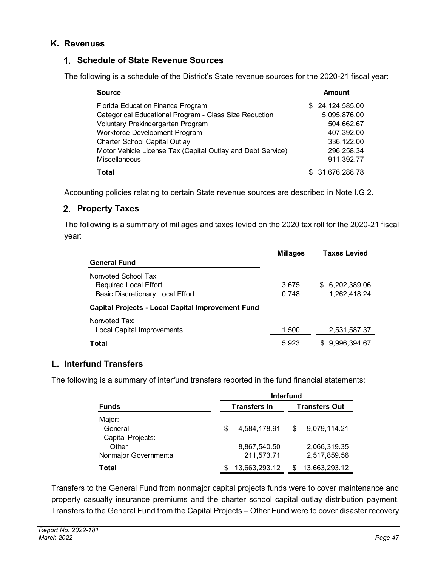# **K. Revenues**

# **Schedule of State Revenue Sources**

The following is a schedule of the District's State revenue sources for the 2020-21 fiscal year:

| <b>Source</b>                                               | Amount           |
|-------------------------------------------------------------|------------------|
| Florida Education Finance Program                           | \$24,124,585.00  |
| Categorical Educational Program - Class Size Reduction      | 5,095,876.00     |
| Voluntary Prekindergarten Program                           | 504,662.67       |
| Workforce Development Program                               | 407,392.00       |
| <b>Charter School Capital Outlay</b>                        | 336,122.00       |
| Motor Vehicle License Tax (Capital Outlay and Debt Service) | 296,258.34       |
| <b>Miscellaneous</b>                                        | 911,392.77       |
| Total                                                       | \$ 31,676,288.78 |

Accounting policies relating to certain State revenue sources are described in Note I.G.2.

# **Property Taxes**

The following is a summary of millages and taxes levied on the 2020 tax roll for the 2020-21 fiscal year:

|                                                          | <b>Millages</b> | <b>Taxes Levied</b> |
|----------------------------------------------------------|-----------------|---------------------|
| <b>General Fund</b>                                      |                 |                     |
| Nonvoted School Tax:                                     |                 |                     |
| <b>Required Local Effort</b>                             | 3.675           | \$6,202,389.06      |
| <b>Basic Discretionary Local Effort</b>                  | 0.748           | 1,262,418.24        |
| <b>Capital Projects - Local Capital Improvement Fund</b> |                 |                     |
| Nonvoted Tax:                                            |                 |                     |
| Local Capital Improvements                               | 1.500           | 2,531,587.37        |
| Total                                                    | 5.923           | 9,996,394.67<br>\$. |

# **L. Interfund Transfers**

The following is a summary of interfund transfers reported in the fund financial statements:

|                       | Interfund |                     |                      |               |  |  |  |  |
|-----------------------|-----------|---------------------|----------------------|---------------|--|--|--|--|
| <b>Funds</b>          |           | <b>Transfers In</b> | <b>Transfers Out</b> |               |  |  |  |  |
| Major:                |           |                     |                      |               |  |  |  |  |
| General               | S         | 4,584,178.91        | S                    | 9,079,114.21  |  |  |  |  |
| Capital Projects:     |           |                     |                      |               |  |  |  |  |
| Other                 |           | 8,867,540.50        |                      | 2,066,319.35  |  |  |  |  |
| Nonmajor Governmental |           | 211,573.71          |                      | 2,517,859.56  |  |  |  |  |
| Total                 |           | 13,663,293.12       |                      | 13,663,293.12 |  |  |  |  |

Transfers to the General Fund from nonmajor capital projects funds were to cover maintenance and property casualty insurance premiums and the charter school capital outlay distribution payment. Transfers to the General Fund from the Capital Projects – Other Fund were to cover disaster recovery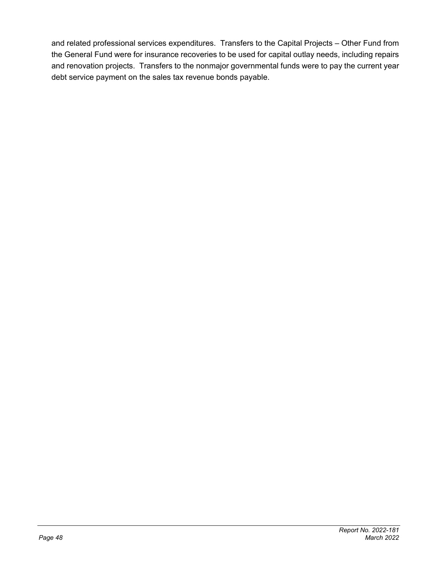and related professional services expenditures. Transfers to the Capital Projects – Other Fund from the General Fund were for insurance recoveries to be used for capital outlay needs, including repairs and renovation projects. Transfers to the nonmajor governmental funds were to pay the current year debt service payment on the sales tax revenue bonds payable.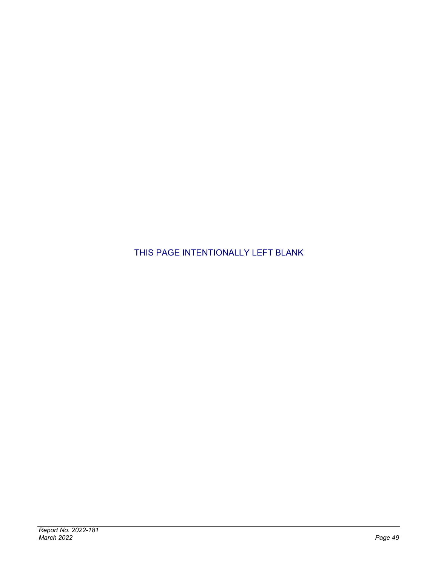THIS PAGE INTENTIONALLY LEFT BLANK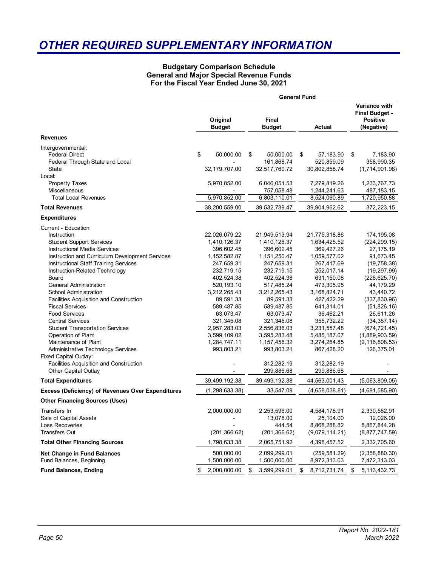# *OTHER REQUIRED SUPPLEMENTARY INFORMATION*

#### **Budgetary Comparison Schedule General and Major Special Revenue Funds For the Fiscal Year Ended June 30, 2021**

|                                                                                                                                                                                                                                                                                                                                                                                                                                                                                                                                                                                                                                                                                       | <b>General Fund</b>                                                                                                                                                                                                                                       |                                                                                                                                                                                                                                                                                     |                                                                                                                                                                                                                                                                                      |                                                                                                                                                                                                                                                                      |  |  |  |
|---------------------------------------------------------------------------------------------------------------------------------------------------------------------------------------------------------------------------------------------------------------------------------------------------------------------------------------------------------------------------------------------------------------------------------------------------------------------------------------------------------------------------------------------------------------------------------------------------------------------------------------------------------------------------------------|-----------------------------------------------------------------------------------------------------------------------------------------------------------------------------------------------------------------------------------------------------------|-------------------------------------------------------------------------------------------------------------------------------------------------------------------------------------------------------------------------------------------------------------------------------------|--------------------------------------------------------------------------------------------------------------------------------------------------------------------------------------------------------------------------------------------------------------------------------------|----------------------------------------------------------------------------------------------------------------------------------------------------------------------------------------------------------------------------------------------------------------------|--|--|--|
|                                                                                                                                                                                                                                                                                                                                                                                                                                                                                                                                                                                                                                                                                       | Original<br><b>Budget</b>                                                                                                                                                                                                                                 | <b>Final</b><br><b>Budget</b>                                                                                                                                                                                                                                                       | Actual                                                                                                                                                                                                                                                                               | <b>Variance with</b><br><b>Final Budget -</b><br><b>Positive</b><br>(Negative)                                                                                                                                                                                       |  |  |  |
| <b>Revenues</b>                                                                                                                                                                                                                                                                                                                                                                                                                                                                                                                                                                                                                                                                       |                                                                                                                                                                                                                                                           |                                                                                                                                                                                                                                                                                     |                                                                                                                                                                                                                                                                                      |                                                                                                                                                                                                                                                                      |  |  |  |
| Intergovernmental:<br><b>Federal Direct</b><br>Federal Through State and Local<br>State                                                                                                                                                                                                                                                                                                                                                                                                                                                                                                                                                                                               | \$<br>50,000.00<br>32, 179, 707.00                                                                                                                                                                                                                        | \$<br>50,000.00<br>161,868.74<br>32,517,760.72                                                                                                                                                                                                                                      | \$<br>57,183.90<br>520,859.09<br>30,802,858.74                                                                                                                                                                                                                                       | \$<br>7,183.90<br>358,990.35<br>(1,714,901.98)                                                                                                                                                                                                                       |  |  |  |
| Local:<br><b>Property Taxes</b><br>Miscellaneous<br><b>Total Local Revenues</b>                                                                                                                                                                                                                                                                                                                                                                                                                                                                                                                                                                                                       | 5,970,852.00<br>5,970,852.00                                                                                                                                                                                                                              | 6,046,051.53<br>757,058.48<br>6,803,110.01                                                                                                                                                                                                                                          | 7,279,819.26<br>1,244,241.63<br>8,524,060.89                                                                                                                                                                                                                                         | 1,233,767.73<br>487, 183. 15<br>1,720,950.88                                                                                                                                                                                                                         |  |  |  |
| <b>Total Revenues</b>                                                                                                                                                                                                                                                                                                                                                                                                                                                                                                                                                                                                                                                                 | 38,200,559.00                                                                                                                                                                                                                                             | 39,532,739.47                                                                                                                                                                                                                                                                       | 39,904,962.62                                                                                                                                                                                                                                                                        | 372,223.15                                                                                                                                                                                                                                                           |  |  |  |
| <b>Expenditures</b>                                                                                                                                                                                                                                                                                                                                                                                                                                                                                                                                                                                                                                                                   |                                                                                                                                                                                                                                                           |                                                                                                                                                                                                                                                                                     |                                                                                                                                                                                                                                                                                      |                                                                                                                                                                                                                                                                      |  |  |  |
| Current - Education:<br>Instruction<br><b>Student Support Services</b><br><b>Instructional Media Services</b><br>Instruction and Curriculum Development Services<br><b>Instructional Staff Training Services</b><br>Instruction-Related Technology<br>Board<br><b>General Administration</b><br>School Administration<br>Facilities Acquisition and Construction<br><b>Fiscal Services</b><br><b>Food Services</b><br><b>Central Services</b><br><b>Student Transportation Services</b><br>Operation of Plant<br>Maintenance of Plant<br><b>Administrative Technology Services</b><br>Fixed Capital Outlay:<br><b>Facilities Acquisition and Construction</b><br>Other Capital Outlay | 22,026,079.22<br>1,410,126.37<br>396,602.45<br>1,152,582.87<br>247,659.31<br>232,719.15<br>402,524.38<br>520, 193. 10<br>3,212,265.43<br>89,591.33<br>589,487.85<br>63,073.47<br>321,345.08<br>2,957,283.03<br>3,599,109.02<br>1,284,747.11<br>993,803.21 | 21,949,513.94<br>1,410,126.37<br>396,602.45<br>1,151,250.47<br>247,659.31<br>232,719.15<br>402,524.38<br>517,485.24<br>3,212,265.43<br>89,591.33<br>589,487.85<br>63,073.47<br>321,345.08<br>2,556,836.03<br>3,595,283.48<br>1,157,456.32<br>993,803.21<br>312,282.19<br>299,886.68 | 21,775,318.86<br>1,634,425.52<br>369,427.26<br>1,059,577.02<br>267,417.69<br>252,017.14<br>631,150.08<br>473,305.95<br>3,168,824.71<br>427,422.29<br>641,314.01<br>36,462.21<br>355,732.22<br>3,231,557.48<br>5,485,187.07<br>3,274,264.85<br>867,428.20<br>312,282.19<br>299,886.68 | 174,195.08<br>(224, 299.15)<br>27, 175. 19<br>91,673.45<br>(19, 758.38)<br>(19, 297.99)<br>(228, 625.70)<br>44,179.29<br>43,440.72<br>(337, 830.96)<br>(51,826.16)<br>26,611.26<br>(34, 387.14)<br>(674, 721.45)<br>(1,889,903.59)<br>(2, 116, 808.53)<br>126,375.01 |  |  |  |
| <b>Total Expenditures</b>                                                                                                                                                                                                                                                                                                                                                                                                                                                                                                                                                                                                                                                             | 39,499,192.38                                                                                                                                                                                                                                             | 39,499,192.38                                                                                                                                                                                                                                                                       | 44,563,001.43                                                                                                                                                                                                                                                                        | (5,063,809.05)                                                                                                                                                                                                                                                       |  |  |  |
| <b>Excess (Deficiency) of Revenues Over Expenditures</b>                                                                                                                                                                                                                                                                                                                                                                                                                                                                                                                                                                                                                              | (1, 298, 633.38)                                                                                                                                                                                                                                          | 33,547.09                                                                                                                                                                                                                                                                           | (4,658,038.81)                                                                                                                                                                                                                                                                       | (4,691,585.90)                                                                                                                                                                                                                                                       |  |  |  |
| <b>Other Financing Sources (Uses)</b>                                                                                                                                                                                                                                                                                                                                                                                                                                                                                                                                                                                                                                                 |                                                                                                                                                                                                                                                           |                                                                                                                                                                                                                                                                                     |                                                                                                                                                                                                                                                                                      |                                                                                                                                                                                                                                                                      |  |  |  |
| Transfers In<br>Sale of Capital Assets<br><b>Loss Recoveries</b><br>Transfers Out                                                                                                                                                                                                                                                                                                                                                                                                                                                                                                                                                                                                     | 2,000,000.00<br>(201, 366.62)                                                                                                                                                                                                                             | 2,253,596.00<br>13,078.00<br>444.54<br>(201, 366.62)                                                                                                                                                                                                                                | 4,584,178.91<br>25,104.00<br>8,868,288.82<br>(9,079,114.21)                                                                                                                                                                                                                          | 2,330,582.91<br>12,026.00<br>8,867,844.28<br>(8,877,747.59)                                                                                                                                                                                                          |  |  |  |
| <b>Total Other Financing Sources</b>                                                                                                                                                                                                                                                                                                                                                                                                                                                                                                                                                                                                                                                  | 1,798,633.38                                                                                                                                                                                                                                              | 2,065,751.92                                                                                                                                                                                                                                                                        | 4,398,457.52                                                                                                                                                                                                                                                                         | 2,332,705.60                                                                                                                                                                                                                                                         |  |  |  |
| <b>Net Change in Fund Balances</b><br>Fund Balances, Beginning                                                                                                                                                                                                                                                                                                                                                                                                                                                                                                                                                                                                                        | 500,000.00<br>1,500,000.00                                                                                                                                                                                                                                | 2,099,299.01<br>1,500,000.00                                                                                                                                                                                                                                                        | (259, 581.29)<br>8,972,313.03                                                                                                                                                                                                                                                        | (2,358,880.30)<br>7,472,313.03                                                                                                                                                                                                                                       |  |  |  |
| <b>Fund Balances, Ending</b>                                                                                                                                                                                                                                                                                                                                                                                                                                                                                                                                                                                                                                                          | 2,000,000.00                                                                                                                                                                                                                                              | \$<br>3,599,299.01                                                                                                                                                                                                                                                                  | \$<br>8,712,731.74                                                                                                                                                                                                                                                                   | \$<br>5, 113, 432. 73                                                                                                                                                                                                                                                |  |  |  |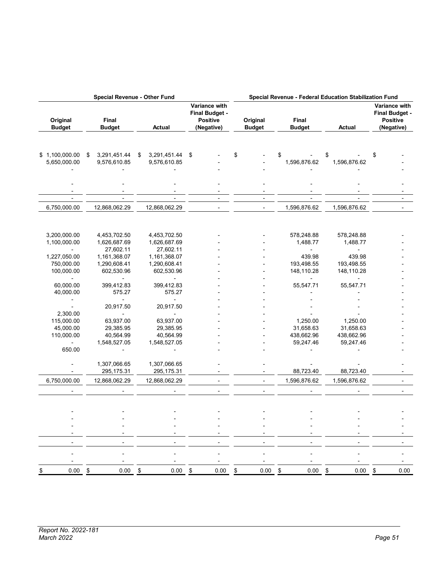|                           |                        | Special Revenue - Other Fund |                                                                  |                           | Special Revenue - Federal Education Stabilization Fund |                 |                                                                         |
|---------------------------|------------------------|------------------------------|------------------------------------------------------------------|---------------------------|--------------------------------------------------------|-----------------|-------------------------------------------------------------------------|
| Original<br><b>Budget</b> | Final<br><b>Budget</b> | Actual                       | Variance with<br>Final Budget -<br><b>Positive</b><br>(Negative) | Original<br><b>Budget</b> | Final<br><b>Budget</b>                                 | Actual          | Variance with<br><b>Final Budget -</b><br><b>Positive</b><br>(Negative) |
|                           |                        |                              |                                                                  |                           |                                                        |                 |                                                                         |
| \$1,100,000.00            | \$<br>3,291,451.44     | 3,291,451.44 \$<br>\$        |                                                                  | \$                        | \$                                                     | \$              | \$                                                                      |
| 5,650,000.00              | 9,576,610.85           | 9,576,610.85                 |                                                                  |                           | 1,596,876.62                                           | 1,596,876.62    |                                                                         |
|                           |                        |                              |                                                                  |                           |                                                        |                 |                                                                         |
|                           |                        |                              |                                                                  |                           |                                                        |                 |                                                                         |
|                           |                        |                              |                                                                  |                           |                                                        |                 |                                                                         |
|                           |                        |                              | $\blacksquare$                                                   | $\overline{\phantom{a}}$  |                                                        |                 |                                                                         |
| 6,750,000.00              | 12,868,062.29          | 12,868,062.29                |                                                                  |                           | 1,596,876.62                                           | 1,596,876.62    |                                                                         |
|                           |                        |                              |                                                                  |                           |                                                        |                 |                                                                         |
| 3,200,000.00              | 4,453,702.50           | 4,453,702.50                 |                                                                  |                           | 578,248.88                                             | 578,248.88      |                                                                         |
| 1,100,000.00              | 1,626,687.69           | 1,626,687.69                 |                                                                  |                           | 1,488.77                                               | 1,488.77        |                                                                         |
|                           | 27,602.11              | 27,602.11                    |                                                                  |                           | $\blacksquare$                                         | $\blacksquare$  |                                                                         |
| 1,227,050.00              | 1,161,368.07           | 1,161,368.07                 |                                                                  |                           | 439.98                                                 | 439.98          |                                                                         |
| 750,000.00                | 1,290,608.41           | 1,290,608.41                 |                                                                  |                           | 193,498.55                                             | 193,498.55      |                                                                         |
| 100,000.00                | 602,530.96             | 602,530.96                   |                                                                  |                           | 148,110.28                                             | 148,110.28      |                                                                         |
|                           |                        |                              |                                                                  |                           |                                                        |                 |                                                                         |
| 60,000.00                 | 399,412.83             | 399,412.83                   |                                                                  |                           | 55,547.71                                              | 55,547.71       |                                                                         |
| 40,000.00                 | 575.27                 | 575.27                       |                                                                  |                           |                                                        |                 |                                                                         |
|                           |                        |                              |                                                                  |                           |                                                        |                 |                                                                         |
|                           | 20,917.50              | 20,917.50                    |                                                                  |                           |                                                        |                 |                                                                         |
| 2,300.00                  |                        |                              |                                                                  |                           |                                                        |                 |                                                                         |
| 115,000.00                | 63,937.00              | 63,937.00                    |                                                                  |                           | 1,250.00                                               | 1,250.00        |                                                                         |
| 45,000.00                 | 29,385.95              | 29,385.95                    |                                                                  |                           | 31,658.63                                              | 31,658.63       |                                                                         |
| 110,000.00                | 40,564.99              | 40,564.99                    |                                                                  |                           | 438,662.96                                             | 438,662.96      |                                                                         |
| $\sim$                    | 1,548,527.05           | 1,548,527.05                 |                                                                  |                           | 59,247.46                                              | 59,247.46       |                                                                         |
| 650.00                    |                        |                              |                                                                  |                           |                                                        |                 |                                                                         |
|                           | 1,307,066.65           | 1,307,066.65                 |                                                                  |                           |                                                        |                 |                                                                         |
|                           | 295, 175.31            | 295,175.31                   |                                                                  |                           | 88,723.40                                              | 88,723.40       |                                                                         |
| 6,750,000.00              | 12,868,062.29          | 12,868,062.29                |                                                                  |                           | 1,596,876.62                                           | 1,596,876.62    |                                                                         |
|                           |                        |                              |                                                                  |                           |                                                        |                 |                                                                         |
|                           |                        |                              |                                                                  |                           |                                                        |                 |                                                                         |
|                           |                        |                              |                                                                  |                           |                                                        |                 |                                                                         |
|                           |                        |                              |                                                                  |                           |                                                        |                 |                                                                         |
|                           |                        |                              |                                                                  |                           |                                                        |                 |                                                                         |
|                           |                        |                              |                                                                  |                           |                                                        |                 |                                                                         |
|                           |                        |                              |                                                                  |                           |                                                        |                 |                                                                         |
|                           |                        |                              |                                                                  |                           |                                                        |                 |                                                                         |
| $0.00$ \$                 | $0.00$ \$              | 0.00                         | \$<br>0.00                                                       | $0.00$ \$<br>\$           | 0.00                                                   | \$<br>$0.00$ \$ | 0.00                                                                    |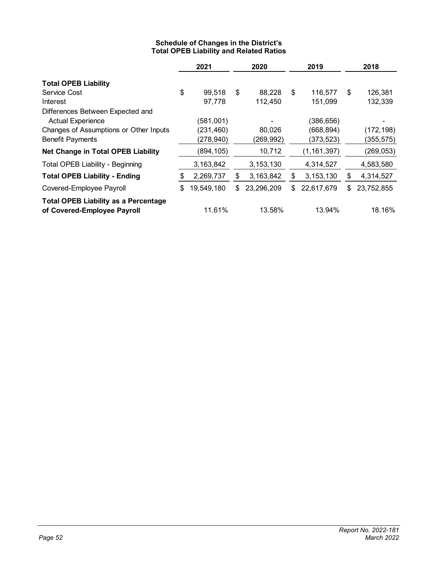#### **Schedule of Changes in the District's Total OPEB Liability and Related Ratios**

|                                                                            | 2021 |            | 2020 |             | 2019 |               | 2018             |
|----------------------------------------------------------------------------|------|------------|------|-------------|------|---------------|------------------|
| <b>Total OPEB Liability</b>                                                |      |            |      |             |      |               |                  |
| Service Cost                                                               | \$   | 99,518     | \$   | 88,228      | \$   | 116,577       | \$<br>126,381    |
| Interest                                                                   |      | 97,778     |      | 112,450     |      | 151,099       | 132,339          |
| Differences Between Expected and                                           |      |            |      |             |      |               |                  |
| <b>Actual Experience</b>                                                   |      | (581,001)  |      |             |      | (386, 656)    |                  |
| Changes of Assumptions or Other Inputs                                     |      | (231, 460) |      | 80,026      |      | (668, 894)    | (172, 198)       |
| <b>Benefit Payments</b>                                                    |      | (278, 940) |      | (269,992)   |      | (373,523)     | (355,575)        |
| <b>Net Change in Total OPEB Liability</b>                                  |      | (894,105)  |      | 10,712      |      | (1, 161, 397) | (269,053)        |
| Total OPEB Liability - Beginning                                           |      | 3,163,842  |      | 3, 153, 130 |      | 4,314,527     | 4,583,580        |
| <b>Total OPEB Liability - Ending</b>                                       |      | 2,269,737  | S    | 3,163,842   | S    | 3, 153, 130   | \$<br>4,314,527  |
| Covered-Employee Payroll                                                   | S    | 19,549,180 | \$.  | 23,296,209  | \$.  | 22,617,679    | \$<br>23,752,855 |
| <b>Total OPEB Liability as a Percentage</b><br>of Covered-Employee Payroll |      | 11.61%     |      | 13.58%      |      | 13.94%        | 18.16%           |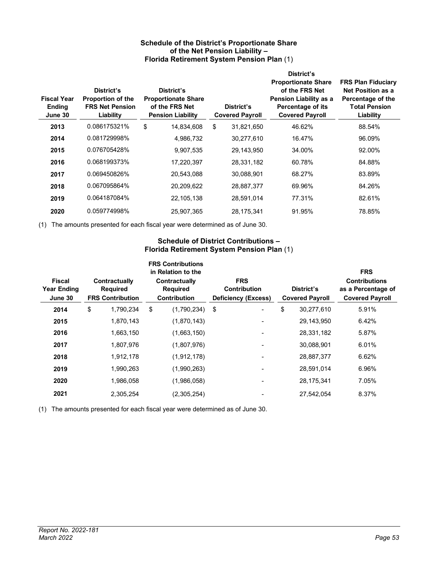#### **Schedule of the District's Proportionate Share of the Net Pension Liability – Florida Retirement System Pension Plan** (1)

| <b>Fiscal Year</b>       | District's<br><b>Proportion of the</b> | District's<br><b>Proportionate Share</b>   |                                      | District's<br><b>Proportionate Share</b><br>of the FRS Net<br>Pension Liability as a | <b>FRS Plan Fiduciary</b><br><b>Net Position as a</b><br>Percentage of the |
|--------------------------|----------------------------------------|--------------------------------------------|--------------------------------------|--------------------------------------------------------------------------------------|----------------------------------------------------------------------------|
| <b>Ending</b><br>June 30 | <b>FRS Net Pension</b><br>Liability    | of the FRS Net<br><b>Pension Liability</b> | District's<br><b>Covered Payroll</b> | Percentage of its<br><b>Covered Payroll</b>                                          | <b>Total Pension</b><br>Liability                                          |
| 2013                     | 0.086175321%                           | \$<br>14,834,608                           | \$<br>31,821,650                     | 46.62%                                                                               | 88.54%                                                                     |
| 2014                     | 0.081729998%                           | 4,986,732                                  | 30,277,610                           | 16.47%                                                                               | 96.09%                                                                     |
| 2015                     | 0.076705428%                           | 9,907,535                                  | 29,143,950                           | 34.00%                                                                               | 92.00%                                                                     |
| 2016                     | 0.068199373%                           | 17,220,397                                 | 28,331,182                           | 60.78%                                                                               | 84.88%                                                                     |
| 2017                     | 0.069450826%                           | 20,543,088                                 | 30,088,901                           | 68.27%                                                                               | 83.89%                                                                     |
| 2018                     | 0.067095864%                           | 20,209,622                                 | 28,887,377                           | 69.96%                                                                               | 84.26%                                                                     |
| 2019                     | 0.064187084%                           | 22, 105, 138                               | 28,591,014                           | 77.31%                                                                               | 82.61%                                                                     |
| 2020                     | 0.059774998%                           | 25,907,365                                 | 28,175,341                           | 91.95%                                                                               | 78.85%                                                                     |

(1) The amounts presented for each fiscal year were determined as of June 30.

#### **Schedule of District Contributions – Florida Retirement System Pension Plan** (1)

| <b>Fiscal</b><br><b>Year Ending</b><br>June 30 | <b>Contractually</b><br><b>Required</b><br><b>FRS Contribution</b> | <b>FRS Contributions</b><br>in Relation to the<br><b>Contractually</b><br><b>Required</b><br><b>Contribution</b> | <b>FRS</b><br><b>Contribution</b><br><b>Deficiency (Excess)</b> | District's<br><b>Covered Payroll</b> | <b>FRS</b><br><b>Contributions</b><br>as a Percentage of<br><b>Covered Payroll</b> |
|------------------------------------------------|--------------------------------------------------------------------|------------------------------------------------------------------------------------------------------------------|-----------------------------------------------------------------|--------------------------------------|------------------------------------------------------------------------------------|
| 2014                                           | \$<br>1,790,234                                                    | \$<br>(1,790,234)                                                                                                | \$<br>$\overline{\phantom{a}}$                                  | \$<br>30,277,610                     | 5.91%                                                                              |
| 2015                                           | 1,870,143                                                          | (1,870,143)                                                                                                      | $\overline{\phantom{a}}$                                        | 29,143,950                           | 6.42%                                                                              |
| 2016                                           | 1,663,150                                                          | (1,663,150)                                                                                                      | $\overline{\phantom{a}}$                                        | 28,331,182                           | 5.87%                                                                              |
| 2017                                           | 1,807,976                                                          | (1,807,976)                                                                                                      |                                                                 | 30,088,901                           | 6.01%                                                                              |
| 2018                                           | 1,912,178                                                          | (1,912,178)                                                                                                      | $\overline{\phantom{a}}$                                        | 28,887,377                           | 6.62%                                                                              |
| 2019                                           | 1,990,263                                                          | (1,990,263)                                                                                                      |                                                                 | 28,591,014                           | 6.96%                                                                              |
| 2020                                           | 1,986,058                                                          | (1,986,058)                                                                                                      | $\overline{\phantom{a}}$                                        | 28,175,341                           | 7.05%                                                                              |
| 2021                                           | 2,305,254                                                          | (2,305,254)                                                                                                      |                                                                 | 27,542,054                           | 8.37%                                                                              |
|                                                |                                                                    |                                                                                                                  |                                                                 |                                      |                                                                                    |

(1) The amounts presented for each fiscal year were determined as of June 30.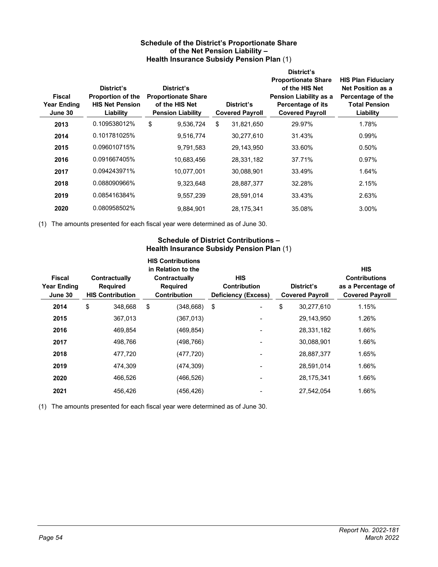#### **Schedule of the District's Proportionate Share of the Net Pension Liability – Health Insurance Subsidy Pension Plan** (1)

|                                                |                                                                 |                                                                          |                                      | District's                                                                   |                                                        |
|------------------------------------------------|-----------------------------------------------------------------|--------------------------------------------------------------------------|--------------------------------------|------------------------------------------------------------------------------|--------------------------------------------------------|
|                                                | District's                                                      | District's                                                               |                                      | <b>Proportionate Share</b><br>of the HIS Net                                 | <b>HIS Plan Fiduciary</b><br><b>Net Position as a</b>  |
| <b>Fiscal</b><br><b>Year Ending</b><br>June 30 | <b>Proportion of the</b><br><b>HIS Net Pension</b><br>Liability | <b>Proportionate Share</b><br>of the HIS Net<br><b>Pension Liability</b> | District's<br><b>Covered Payroll</b> | <b>Pension Liability as a</b><br>Percentage of its<br><b>Covered Payroll</b> | Percentage of the<br><b>Total Pension</b><br>Liability |
| 2013                                           | 0.109538012%                                                    | \$<br>9,536,724                                                          | 31,821,650<br>S                      | 29.97%                                                                       | 1.78%                                                  |
| 2014                                           | 0.101781025%                                                    | 9,516,774                                                                | 30,277,610                           | 31.43%                                                                       | 0.99%                                                  |
| 2015                                           | 0.096010715%                                                    | 9,791,583                                                                | 29,143,950                           | 33.60%                                                                       | 0.50%                                                  |
| 2016                                           | 0.091667405%                                                    | 10,683,456                                                               | 28,331,182                           | 37.71%                                                                       | 0.97%                                                  |
| 2017                                           | 0.094243971%                                                    | 10,077,001                                                               | 30,088,901                           | 33.49%                                                                       | 1.64%                                                  |
| 2018                                           | 0.088090966%                                                    | 9,323,648                                                                | 28,887,377                           | 32.28%                                                                       | 2.15%                                                  |
| 2019                                           | 0.085416384%                                                    | 9,557,239                                                                | 28,591,014                           | 33.43%                                                                       | 2.63%                                                  |
| 2020                                           | 0.080958502%                                                    | 9,884,901                                                                | 28.175.341                           | 35.08%                                                                       | 3.00%                                                  |

(1) The amounts presented for each fiscal year were determined as of June 30.

#### **Schedule of District Contributions – Health Insurance Subsidy Pension Plan** (1)

| <b>Fiscal</b><br><b>Year Ending</b><br>June 30 | <b>Contractually</b><br><b>Required</b><br><b>HIS Contribution</b> |         | <b>HIS Contributions</b><br>in Relation to the<br><b>HIS</b><br>Contractually<br><b>Required</b><br><b>Contribution</b><br><b>Contribution</b><br><b>Deficiency (Excess)</b> |            |     |                |                  | District's<br><b>Covered Payroll</b> | <b>HIS</b><br><b>Contributions</b><br>as a Percentage of<br><b>Covered Payroll</b> |  |
|------------------------------------------------|--------------------------------------------------------------------|---------|------------------------------------------------------------------------------------------------------------------------------------------------------------------------------|------------|-----|----------------|------------------|--------------------------------------|------------------------------------------------------------------------------------|--|
| 2014                                           | \$                                                                 | 348.668 | \$                                                                                                                                                                           | (348, 668) | -\$ | $\blacksquare$ | \$<br>30.277.610 | 1.15%                                |                                                                                    |  |
| 2015                                           |                                                                    | 367,013 |                                                                                                                                                                              | (367,013)  |     |                | 29,143,950       | 1.26%                                |                                                                                    |  |
| 2016                                           |                                                                    | 469,854 |                                                                                                                                                                              | (469,854)  |     |                | 28,331,182       | 1.66%                                |                                                                                    |  |
| 2017                                           |                                                                    | 498,766 |                                                                                                                                                                              | (498,766)  |     |                | 30,088,901       | 1.66%                                |                                                                                    |  |
| 2018                                           |                                                                    | 477,720 |                                                                                                                                                                              | (477,720)  |     |                | 28,887,377       | 1.65%                                |                                                                                    |  |
| 2019                                           |                                                                    | 474.309 |                                                                                                                                                                              | (474, 309) |     |                | 28.591.014       | 1.66%                                |                                                                                    |  |
| 2020                                           |                                                                    | 466,526 |                                                                                                                                                                              | (466,526)  |     | ۰              | 28,175,341       | 1.66%                                |                                                                                    |  |
| 2021                                           |                                                                    | 456,426 |                                                                                                                                                                              | (456,426)  |     |                | 27,542,054       | 1.66%                                |                                                                                    |  |

(1) The amounts presented for each fiscal year were determined as of June 30.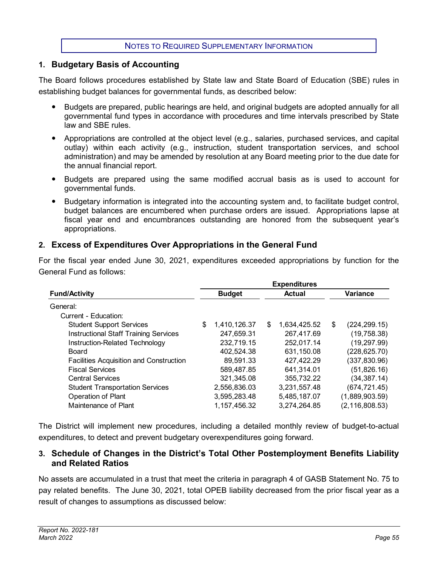### NOTES TO REQUIRED SUPPLEMENTARY INFORMATION

# **1. Budgetary Basis of Accounting**

The Board follows procedures established by State law and State Board of Education (SBE) rules in establishing budget balances for governmental funds, as described below:

- Budgets are prepared, public hearings are held, and original budgets are adopted annually for all governmental fund types in accordance with procedures and time intervals prescribed by State law and SBE rules.
- Appropriations are controlled at the object level (e.g., salaries, purchased services, and capital outlay) within each activity (e.g., instruction, student transportation services, and school administration) and may be amended by resolution at any Board meeting prior to the due date for the annual financial report.
- Budgets are prepared using the same modified accrual basis as is used to account for governmental funds.
- Budgetary information is integrated into the accounting system and, to facilitate budget control, budget balances are encumbered when purchase orders are issued. Appropriations lapse at fiscal year end and encumbrances outstanding are honored from the subsequent year's appropriations.

# **2. Excess of Expenditures Over Appropriations in the General Fund**

For the fiscal year ended June 30, 2021, expenditures exceeded appropriations by function for the General Fund as follows:

|                                                |    | <b>Expenditures</b> |    |               |    |                  |
|------------------------------------------------|----|---------------------|----|---------------|----|------------------|
| <b>Fund/Activity</b>                           |    | <b>Budget</b>       |    | <b>Actual</b> |    | <b>Variance</b>  |
| General:                                       |    |                     |    |               |    |                  |
| Current - Education:                           |    |                     |    |               |    |                  |
| <b>Student Support Services</b>                | \$ | 1,410,126.37        | \$ | 1,634,425.52  | \$ | (224, 299.15)    |
| <b>Instructional Staff Training Services</b>   |    | 247,659.31          |    | 267,417.69    |    | (19, 758.38)     |
| Instruction-Related Technology                 |    | 232,719.15          |    | 252,017.14    |    | (19,297.99)      |
| Board                                          |    | 402,524.38          |    | 631,150.08    |    | (228, 625.70)    |
| <b>Facilities Acquisition and Construction</b> |    | 89,591.33           |    | 427,422.29    |    | (337, 830.96)    |
| <b>Fiscal Services</b>                         |    | 589,487.85          |    | 641,314.01    |    | (51, 826.16)     |
| <b>Central Services</b>                        |    | 321,345.08          |    | 355,732.22    |    | (34, 387.14)     |
| <b>Student Transportation Services</b>         |    | 2,556,836.03        |    | 3,231,557.48  |    | (674, 721.45)    |
| Operation of Plant                             |    | 3,595,283.48        |    | 5,485,187.07  |    | (1,889,903.59)   |
| Maintenance of Plant                           |    | 1,157,456.32        |    | 3,274,264.85  |    | (2, 116, 808.53) |

The District will implement new procedures, including a detailed monthly review of budget-to-actual expenditures, to detect and prevent budgetary overexpenditures going forward.

# **3. Schedule of Changes in the District's Total Other Postemployment Benefits Liability and Related Ratios**

No assets are accumulated in a trust that meet the criteria in paragraph 4 of GASB Statement No. 75 to pay related benefits. The June 30, 2021, total OPEB liability decreased from the prior fiscal year as a result of changes to assumptions as discussed below: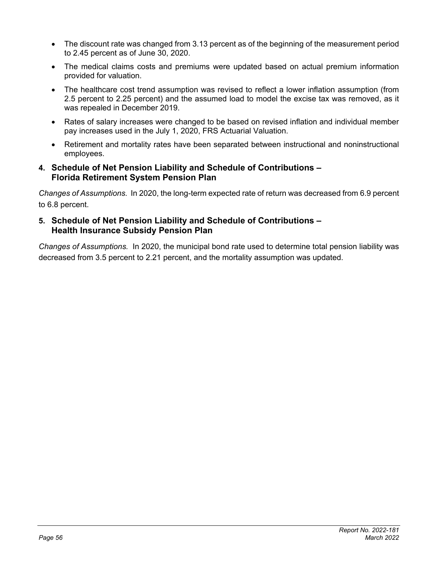- The discount rate was changed from 3.13 percent as of the beginning of the measurement period to 2.45 percent as of June 30, 2020.
- The medical claims costs and premiums were updated based on actual premium information provided for valuation.
- The healthcare cost trend assumption was revised to reflect a lower inflation assumption (from 2.5 percent to 2.25 percent) and the assumed load to model the excise tax was removed, as it was repealed in December 2019.
- Rates of salary increases were changed to be based on revised inflation and individual member pay increases used in the July 1, 2020, FRS Actuarial Valuation.
- Retirement and mortality rates have been separated between instructional and noninstructional employees.
- **4. Schedule of Net Pension Liability and Schedule of Contributions Florida Retirement System Pension Plan**

*Changes of Assumptions.* In 2020, the long-term expected rate of return was decreased from 6.9 percent to 6.8 percent.

**5. Schedule of Net Pension Liability and Schedule of Contributions – Health Insurance Subsidy Pension Plan** 

*Changes of Assumptions.* In 2020, the municipal bond rate used to determine total pension liability was decreased from 3.5 percent to 2.21 percent, and the mortality assumption was updated.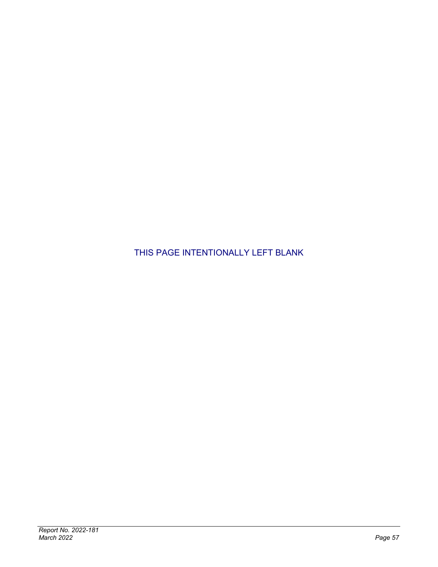THIS PAGE INTENTIONALLY LEFT BLANK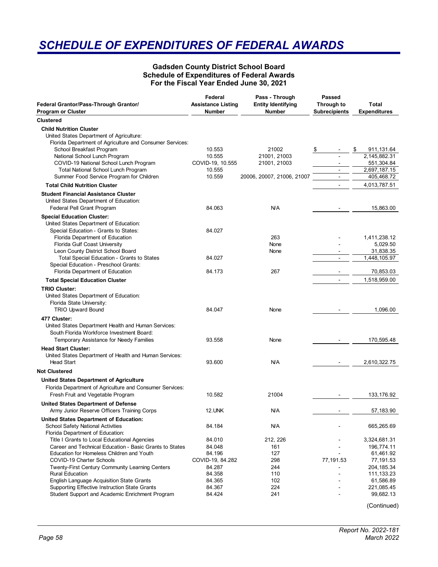# *SCHEDULE OF EXPENDITURES OF FEDERAL AWARDS*

#### **Gadsden County District School Board Schedule of Expenditures of Federal Awards For the Fiscal Year Ended June 30, 2021**

| Federal Grantor/Pass-Through Grantor/<br><b>Program or Cluster</b>                                                                                                | Federal<br><b>Assistance Listing</b><br><b>Number</b> | Pass - Through<br><b>Entity Identifying</b><br><b>Number</b> | Passed<br>Through to<br><b>Subrecipients</b> | Total<br><b>Expenditures</b>     |
|-------------------------------------------------------------------------------------------------------------------------------------------------------------------|-------------------------------------------------------|--------------------------------------------------------------|----------------------------------------------|----------------------------------|
| <b>Clustered</b>                                                                                                                                                  |                                                       |                                                              |                                              |                                  |
| <b>Child Nutrition Cluster</b>                                                                                                                                    |                                                       |                                                              |                                              |                                  |
| United States Department of Agriculture:<br>Florida Department of Agriculture and Consumer Services:<br>School Breakfast Program<br>National School Lunch Program | 10.553<br>10.555                                      | 21002<br>21001, 21003                                        |                                              | \$<br>911,131.64<br>2,145,882.31 |
| COVID-19 National School Lunch Program                                                                                                                            | COVID-19, 10.555                                      | 21001, 21003                                                 |                                              | 551,304.84                       |
| <b>Total National School Lunch Program</b><br>Summer Food Service Program for Children                                                                            | 10.555<br>10.559                                      | 20006, 20007, 21006, 21007                                   |                                              | 2,697,187.15<br>405,468.72       |
| <b>Total Child Nutrition Cluster</b>                                                                                                                              |                                                       |                                                              |                                              | 4,013,787.51                     |
| <b>Student Financial Assistance Cluster</b><br>United States Department of Education:                                                                             |                                                       |                                                              |                                              |                                  |
| Federal Pell Grant Program                                                                                                                                        | 84.063                                                | <b>N/A</b>                                                   |                                              | 15,863.00                        |
| <b>Special Education Cluster:</b><br>United States Department of Education:<br>Special Education - Grants to States:<br>Florida Department of Education           | 84.027                                                | 263                                                          |                                              | 1,411,238.12                     |
| Florida Gulf Coast University                                                                                                                                     |                                                       | None                                                         |                                              | 5,029.50                         |
| Leon County District School Board                                                                                                                                 |                                                       | None                                                         |                                              | 31,838.35                        |
| <b>Total Special Education - Grants to States</b>                                                                                                                 | 84.027                                                |                                                              |                                              | 1,448,105.97                     |
| Special Education - Preschool Grants:<br>Florida Department of Education                                                                                          | 84.173                                                | 267                                                          |                                              | 70,853.03                        |
| <b>Total Special Education Cluster</b>                                                                                                                            |                                                       |                                                              | $\blacksquare$                               | 1,518,959.00                     |
| <b>TRIO Cluster:</b><br>United States Department of Education:<br>Florida State University:<br><b>TRIO Upward Bound</b>                                           | 84.047                                                | None                                                         |                                              | 1,096.00                         |
| 477 Cluster:<br>United States Department Health and Human Services:<br>South Florida Workforce Investment Board:                                                  |                                                       |                                                              |                                              |                                  |
| Temporary Assistance for Needy Families                                                                                                                           | 93.558                                                | None                                                         |                                              | 170,595.48                       |
| <b>Head Start Cluster:</b><br>United States Department of Health and Human Services:<br><b>Head Start</b>                                                         | 93.600                                                | N/A                                                          |                                              | 2,610,322.75                     |
| <b>Not Clustered</b>                                                                                                                                              |                                                       |                                                              |                                              |                                  |
| United States Department of Agriculture<br>Florida Department of Agriculture and Consumer Services:                                                               |                                                       |                                                              |                                              |                                  |
| Fresh Fruit and Vegetable Program                                                                                                                                 | 10.582                                                | 21004                                                        |                                              | 133,176.92                       |
| United States Department of Defense<br>Army Junior Reserve Officers Training Corps                                                                                | <b>12.UNK</b>                                         | N/A                                                          |                                              | 57.183.90                        |
| United States Department of Education:<br>School Safety National Activities<br>Florida Department of Education:                                                   | 84.184                                                | N/A                                                          |                                              | 665,265.69                       |
| Title I Grants to Local Educational Agencies<br>Career and Technical Education - Basic Grants to States                                                           | 84.010<br>84.048                                      | 212, 226<br>161                                              |                                              | 3,324,681.31<br>196,774.11       |
| Education for Homeless Children and Youth                                                                                                                         | 84.196                                                | 127                                                          |                                              | 61,461.92                        |
| COVID-19 Charter Schools                                                                                                                                          | COVID-19, 84.282                                      | 298                                                          | 77, 191.53                                   | 77,191.53                        |
| Twenty-First Century Community Learning Centers                                                                                                                   | 84.287<br>84.358                                      | 244                                                          |                                              | 204,185.34                       |
| <b>Rural Education</b><br><b>English Language Acquisition State Grants</b>                                                                                        | 84.365                                                | 110<br>102                                                   |                                              | 111,133.23<br>61,586.89          |
| Supporting Effective Instruction State Grants                                                                                                                     | 84.367                                                | 224                                                          |                                              | 221,085.45                       |
| Student Support and Academic Enrichment Program                                                                                                                   | 84.424                                                | 241                                                          |                                              | 99,682.13                        |
|                                                                                                                                                                   |                                                       |                                                              |                                              | (Continued)                      |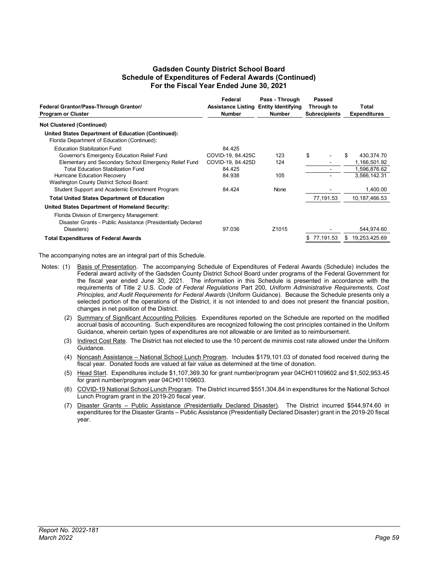#### **Gadsden County District School Board Schedule of Expenditures of Federal Awards (Continued) For the Fiscal Year Ended June 30, 2021**

| Federal Grantor/Pass-Through Grantor/<br><b>Program or Cluster</b>                                        | Federal<br><b>Assistance Listing</b><br><b>Number</b> | Pass - Through<br><b>Entity Identifying</b><br><b>Number</b> | Passed<br>Through to<br><b>Subrecipients</b> | Total<br><b>Expenditures</b> |
|-----------------------------------------------------------------------------------------------------------|-------------------------------------------------------|--------------------------------------------------------------|----------------------------------------------|------------------------------|
| <b>Not Clustered (Continued)</b>                                                                          |                                                       |                                                              |                                              |                              |
| United States Department of Education (Continued):<br>Florida Department of Education (Continued):        |                                                       |                                                              |                                              |                              |
| Education Stabilization Fund:                                                                             | 84.425                                                |                                                              |                                              |                              |
| Governor's Emergency Education Relief Fund                                                                | COVID-19, 84.425C                                     | 123                                                          | \$                                           | \$<br>430,374.70             |
| Elementary and Secondary School Emergency Relief Fund                                                     | COVID-19, 84.425D                                     | 124                                                          |                                              | 1,166,501.92                 |
| <b>Total Education Stabilization Fund</b>                                                                 | 84.425                                                |                                                              |                                              | 1,596,876.62                 |
| Hurricane Education Recovery                                                                              | 84.938                                                | 105                                                          |                                              | 3,566,142.31                 |
| Washington County District School Board:                                                                  |                                                       |                                                              |                                              |                              |
| Student Support and Academic Enrichment Program                                                           | 84.424                                                | None                                                         |                                              | 1,400.00                     |
| <b>Total United States Department of Education</b>                                                        |                                                       |                                                              | 77,191.53                                    | 10,187,466.53                |
| United States Department of Homeland Security:                                                            |                                                       |                                                              |                                              |                              |
| Florida Division of Emergency Management:<br>Disaster Grants - Public Assistance (Presidentially Declared |                                                       |                                                              |                                              |                              |
| Disasters)                                                                                                | 97.036                                                | Z <sub>1015</sub>                                            |                                              | 544,974.60                   |
| <b>Total Expenditures of Federal Awards</b>                                                               |                                                       |                                                              | \$77,191.53                                  | 19,253,425.69<br>S           |

The accompanying notes are an integral part of this Schedule.

- Notes: (1) Basis of Presentation. The accompanying Schedule of Expenditures of Federal Awards (Schedule) includes the Federal award activity of the Gadsden County District School Board under programs of the Federal Government for the fiscal year ended June 30, 2021. The information in this Schedule is presented in accordance with the requirements of Title 2 U.S. *Code of Federal Regulations* Part 200, *Uniform Administrative Requirements, Cost Principles, and Audit Requirements for Federal Awards* (Uniform Guidance). Because the Schedule presents only a selected portion of the operations of the District, it is not intended to and does not present the financial position, changes in net position of the District.
	- (2) Summary of Significant Accounting Policies. Expenditures reported on the Schedule are reported on the modified accrual basis of accounting. Such expenditures are recognized following the cost principles contained in the Uniform Guidance, wherein certain types of expenditures are not allowable or are limited as to reimbursement.
	- (3) Indirect Cost Rate. The District has not elected to use the 10 percent de minimis cost rate allowed under the Uniform Guidance.
	- (4) Noncash Assistance National School Lunch Program. Includes \$179,101.03 of donated food received during the fiscal year. Donated foods are valued at fair value as determined at the time of donation.
	- (5) Head Start. Expenditures include \$1,107,369.30 for grant number/program year 04CH01109602 and \$1,502,953.45 for grant number/program year 04CH01109603.
	- (6) COVID-19 National School Lunch Program. The District incurred \$551,304.84 in expenditures for the National School Lunch Program grant in the 2019-20 fiscal year.
	- (7) Disaster Grants Public Assistance (Presidentially Declared Disaster). The District incurred \$544,974.60 in expenditures for the Disaster Grants – Public Assistance (Presidentially Declared Disaster) grant in the 2019-20 fiscal year.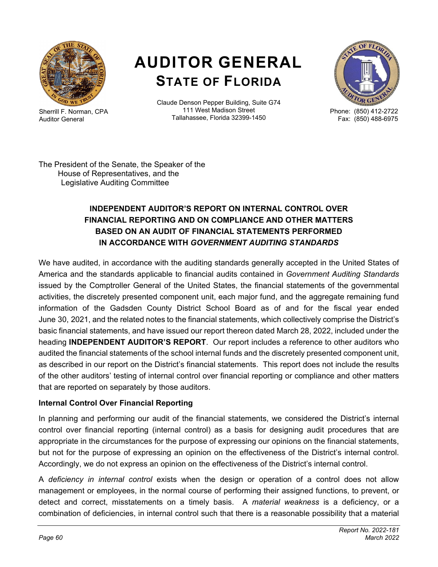

Sherrill F. Norman, CPA Auditor General

# **AUDITOR GENERAL STATE OF FLORIDA**

Claude Denson Pepper Building, Suite G74 111 West Madison Street Tallahassee, Florida 32399-1450



Phone: (850) 412-2722 Fax: (850) 488-6975

The President of the Senate, the Speaker of the House of Representatives, and the Legislative Auditing Committee

# **INDEPENDENT AUDITOR'S REPORT ON INTERNAL CONTROL OVER FINANCIAL REPORTING AND ON COMPLIANCE AND OTHER MATTERS BASED ON AN AUDIT OF FINANCIAL STATEMENTS PERFORMED IN ACCORDANCE WITH** *GOVERNMENT AUDITING STANDARDS*

We have audited, in accordance with the auditing standards generally accepted in the United States of America and the standards applicable to financial audits contained in *Government Auditing Standards* issued by the Comptroller General of the United States, the financial statements of the governmental activities, the discretely presented component unit, each major fund, and the aggregate remaining fund information of the Gadsden County District School Board as of and for the fiscal year ended June 30, 2021, and the related notes to the financial statements, which collectively comprise the District's basic financial statements, and have issued our report thereon dated March 28, 2022, included under the heading **INDEPENDENT AUDITOR'S REPORT**. Our report includes a reference to other auditors who audited the financial statements of the school internal funds and the discretely presented component unit, as described in our report on the District's financial statements. This report does not include the results of the other auditors' testing of internal control over financial reporting or compliance and other matters that are reported on separately by those auditors.

# **Internal Control Over Financial Reporting**

In planning and performing our audit of the financial statements, we considered the District's internal control over financial reporting (internal control) as a basis for designing audit procedures that are appropriate in the circumstances for the purpose of expressing our opinions on the financial statements, but not for the purpose of expressing an opinion on the effectiveness of the District's internal control. Accordingly, we do not express an opinion on the effectiveness of the District's internal control.

A *deficiency in internal control* exists when the design or operation of a control does not allow management or employees, in the normal course of performing their assigned functions, to prevent, or detect and correct, misstatements on a timely basis. A *material weakness* is a deficiency, or a combination of deficiencies, in internal control such that there is a reasonable possibility that a material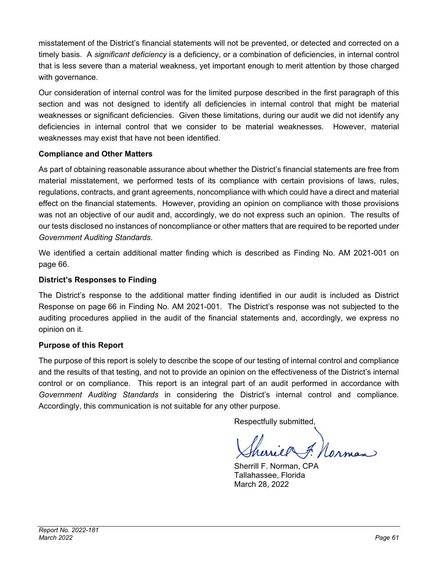misstatement of the District's financial statements will not be prevented, or detected and corrected on a timely basis. A *significant deficiency* is a deficiency, or a combination of deficiencies, in internal control that is less severe than a material weakness, yet important enough to merit attention by those charged with governance.

Our consideration of internal control was for the limited purpose described in the first paragraph of this section and was not designed to identify all deficiencies in internal control that might be material weaknesses or significant deficiencies. Given these limitations, during our audit we did not identify any deficiencies in internal control that we consider to be material weaknesses. However, material weaknesses may exist that have not been identified.

# **Compliance and Other Matters**

As part of obtaining reasonable assurance about whether the District's financial statements are free from material misstatement, we performed tests of its compliance with certain provisions of laws, rules, regulations, contracts, and grant agreements, noncompliance with which could have a direct and material effect on the financial statements. However, providing an opinion on compliance with those provisions was not an objective of our audit and, accordingly, we do not express such an opinion. The results of our tests disclosed no instances of noncompliance or other matters that are required to be reported under *Government Auditing Standards*.

We identified a certain additional matter finding which is described as Finding No. AM 2021-001 on page 66.

# **District's Responses to Finding**

The District's response to the additional matter finding identified in our audit is included as District Response on page 66 in Finding No. AM 2021-001. The District's response was not subjected to the auditing procedures applied in the audit of the financial statements and, accordingly, we express no opinion on it.

# **Purpose of this Report**

The purpose of this report is solely to describe the scope of our testing of internal control and compliance and the results of that testing, and not to provide an opinion on the effectiveness of the District's internal control or on compliance. This report is an integral part of an audit performed in accordance with *Government Auditing Standards* in considering the District's internal control and compliance. Accordingly, this communication is not suitable for any other purpose.

Respectfully submitted,

Sherrill F. Norman, CPA Tallahassee, Florida March 28, 2022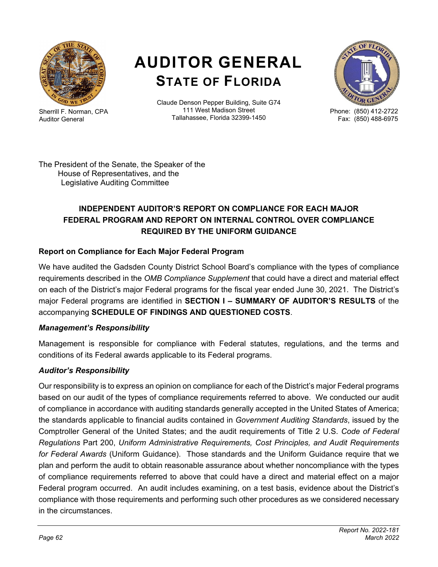

Sherrill F. Norman, CPA Auditor General

# **AUDITOR GENERAL STATE OF FLORIDA**

Claude Denson Pepper Building, Suite G74 111 West Madison Street Tallahassee, Florida 32399-1450



Phone: (850) 412-2722 Fax: (850) 488-6975

The President of the Senate, the Speaker of the House of Representatives, and the Legislative Auditing Committee

# **INDEPENDENT AUDITOR'S REPORT ON COMPLIANCE FOR EACH MAJOR FEDERAL PROGRAM AND REPORT ON INTERNAL CONTROL OVER COMPLIANCE REQUIRED BY THE UNIFORM GUIDANCE**

# **Report on Compliance for Each Major Federal Program**

We have audited the Gadsden County District School Board's compliance with the types of compliance requirements described in the *OMB Compliance Supplement* that could have a direct and material effect on each of the District's major Federal programs for the fiscal year ended June 30, 2021. The District's major Federal programs are identified in **SECTION I – SUMMARY OF AUDITOR'S RESULTS** of the accompanying **SCHEDULE OF FINDINGS AND QUESTIONED COSTS**.

# *Management's Responsibility*

Management is responsible for compliance with Federal statutes, regulations, and the terms and conditions of its Federal awards applicable to its Federal programs.

# *Auditor's Responsibility*

Our responsibility is to express an opinion on compliance for each of the District's major Federal programs based on our audit of the types of compliance requirements referred to above. We conducted our audit of compliance in accordance with auditing standards generally accepted in the United States of America; the standards applicable to financial audits contained in *Government Auditing Standards*, issued by the Comptroller General of the United States; and the audit requirements of Title 2 U.S. *Code of Federal Regulations* Part 200, *Uniform Administrative Requirements, Cost Principles, and Audit Requirements for Federal Awards* (Uniform Guidance). Those standards and the Uniform Guidance require that we plan and perform the audit to obtain reasonable assurance about whether noncompliance with the types of compliance requirements referred to above that could have a direct and material effect on a major Federal program occurred. An audit includes examining, on a test basis, evidence about the District's compliance with those requirements and performing such other procedures as we considered necessary in the circumstances.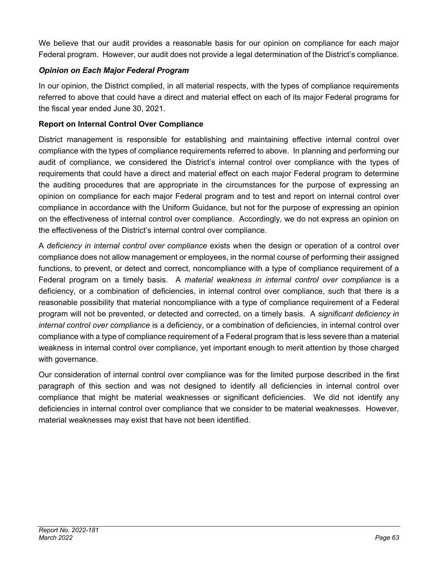We believe that our audit provides a reasonable basis for our opinion on compliance for each major Federal program. However, our audit does not provide a legal determination of the District's compliance.

# *Opinion on Each Major Federal Program*

In our opinion, the District complied, in all material respects, with the types of compliance requirements referred to above that could have a direct and material effect on each of its major Federal programs for the fiscal year ended June 30, 2021.

# **Report on Internal Control Over Compliance**

District management is responsible for establishing and maintaining effective internal control over compliance with the types of compliance requirements referred to above. In planning and performing our audit of compliance, we considered the District's internal control over compliance with the types of requirements that could have a direct and material effect on each major Federal program to determine the auditing procedures that are appropriate in the circumstances for the purpose of expressing an opinion on compliance for each major Federal program and to test and report on internal control over compliance in accordance with the Uniform Guidance, but not for the purpose of expressing an opinion on the effectiveness of internal control over compliance. Accordingly, we do not express an opinion on the effectiveness of the District's internal control over compliance.

A *deficiency in internal control over compliance* exists when the design or operation of a control over compliance does not allow management or employees, in the normal course of performing their assigned functions, to prevent, or detect and correct, noncompliance with a type of compliance requirement of a Federal program on a timely basis. A *material weakness in internal control over compliance* is a deficiency, or a combination of deficiencies, in internal control over compliance, such that there is a reasonable possibility that material noncompliance with a type of compliance requirement of a Federal program will not be prevented, or detected and corrected, on a timely basis. A *significant deficiency in internal control over compliance* is a deficiency, or a combination of deficiencies, in internal control over compliance with a type of compliance requirement of a Federal program that is less severe than a material weakness in internal control over compliance, yet important enough to merit attention by those charged with governance.

Our consideration of internal control over compliance was for the limited purpose described in the first paragraph of this section and was not designed to identify all deficiencies in internal control over compliance that might be material weaknesses or significant deficiencies. We did not identify any deficiencies in internal control over compliance that we consider to be material weaknesses. However, material weaknesses may exist that have not been identified.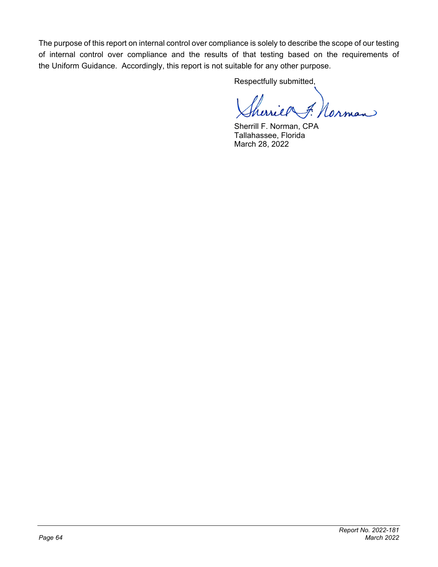The purpose of this report on internal control over compliance is solely to describe the scope of our testing of internal control over compliance and the results of that testing based on the requirements of the Uniform Guidance. Accordingly, this report is not suitable for any other purpose.

Respectfully submitted,

F. Norman

Sherrill F. Norman, CPA Tallahassee, Florida March 28, 2022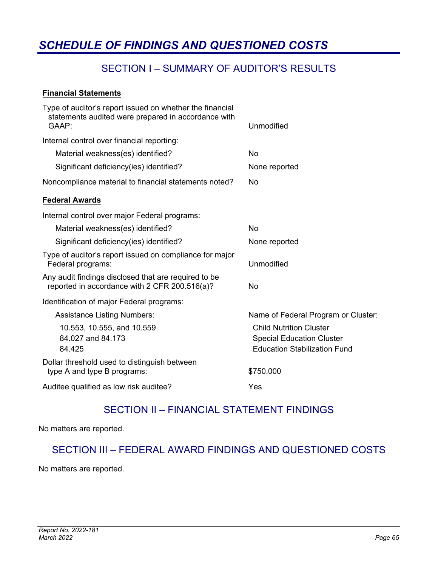# *SCHEDULE OF FINDINGS AND QUESTIONED COSTS*

# SECTION I – SUMMARY OF AUDITOR'S RESULTS

#### **Financial Statements**

| Type of auditor's report issued on whether the financial<br>statements audited were prepared in accordance with<br>GAAP: | Unmodified                          |
|--------------------------------------------------------------------------------------------------------------------------|-------------------------------------|
| Internal control over financial reporting:                                                                               |                                     |
| Material weakness(es) identified?                                                                                        | <b>No</b>                           |
| Significant deficiency(ies) identified?                                                                                  | None reported                       |
| Noncompliance material to financial statements noted?                                                                    | <b>No</b>                           |
| <b>Federal Awards</b>                                                                                                    |                                     |
| Internal control over major Federal programs:                                                                            |                                     |
| Material weakness(es) identified?                                                                                        | <b>No</b>                           |
| Significant deficiency(ies) identified?                                                                                  | None reported                       |
| Type of auditor's report issued on compliance for major<br>Federal programs:                                             | Unmodified                          |
| Any audit findings disclosed that are required to be<br>reported in accordance with 2 CFR 200.516(a)?                    | No                                  |
| Identification of major Federal programs:                                                                                |                                     |
| <b>Assistance Listing Numbers:</b>                                                                                       | Name of Federal Program or Cluster: |
| 10.553, 10.555, and 10.559                                                                                               | <b>Child Nutrition Cluster</b>      |
| 84,027 and 84,173                                                                                                        | <b>Special Education Cluster</b>    |
| 84.425                                                                                                                   | <b>Education Stabilization Fund</b> |
| Dollar threshold used to distinguish between<br>type A and type B programs:                                              | \$750,000                           |
| Auditee qualified as low risk auditee?                                                                                   | Yes                                 |

# SECTION II – FINANCIAL STATEMENT FINDINGS

No matters are reported.

# SECTION III – FEDERAL AWARD FINDINGS AND QUESTIONED COSTS

No matters are reported.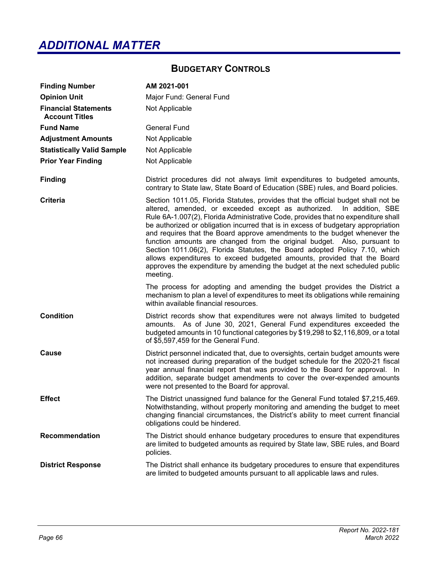# *ADDITIONAL MATTER*

| <b>Finding Number</b>                                | AM 2021-001                                                                                                                                                                                                                                                                                                                                                                                                                                                                                                                                                                                                                                                                                                                                       |
|------------------------------------------------------|---------------------------------------------------------------------------------------------------------------------------------------------------------------------------------------------------------------------------------------------------------------------------------------------------------------------------------------------------------------------------------------------------------------------------------------------------------------------------------------------------------------------------------------------------------------------------------------------------------------------------------------------------------------------------------------------------------------------------------------------------|
| <b>Opinion Unit</b>                                  | Major Fund: General Fund                                                                                                                                                                                                                                                                                                                                                                                                                                                                                                                                                                                                                                                                                                                          |
| <b>Financial Statements</b><br><b>Account Titles</b> | Not Applicable                                                                                                                                                                                                                                                                                                                                                                                                                                                                                                                                                                                                                                                                                                                                    |
| <b>Fund Name</b>                                     | <b>General Fund</b>                                                                                                                                                                                                                                                                                                                                                                                                                                                                                                                                                                                                                                                                                                                               |
| <b>Adjustment Amounts</b>                            | Not Applicable                                                                                                                                                                                                                                                                                                                                                                                                                                                                                                                                                                                                                                                                                                                                    |
| <b>Statistically Valid Sample</b>                    | Not Applicable                                                                                                                                                                                                                                                                                                                                                                                                                                                                                                                                                                                                                                                                                                                                    |
| <b>Prior Year Finding</b>                            | Not Applicable                                                                                                                                                                                                                                                                                                                                                                                                                                                                                                                                                                                                                                                                                                                                    |
| <b>Finding</b>                                       | District procedures did not always limit expenditures to budgeted amounts,<br>contrary to State law, State Board of Education (SBE) rules, and Board policies.                                                                                                                                                                                                                                                                                                                                                                                                                                                                                                                                                                                    |
| Criteria                                             | Section 1011.05, Florida Statutes, provides that the official budget shall not be<br>altered, amended, or exceeded except as authorized. In addition, SBE<br>Rule 6A-1.007(2), Florida Administrative Code, provides that no expenditure shall<br>be authorized or obligation incurred that is in excess of budgetary appropriation<br>and requires that the Board approve amendments to the budget whenever the<br>function amounts are changed from the original budget. Also, pursuant to<br>Section 1011.06(2), Florida Statutes, the Board adopted Policy 7.10, which<br>allows expenditures to exceed budgeted amounts, provided that the Board<br>approves the expenditure by amending the budget at the next scheduled public<br>meeting. |
|                                                      | The process for adopting and amending the budget provides the District a<br>mechanism to plan a level of expenditures to meet its obligations while remaining<br>within available financial resources.                                                                                                                                                                                                                                                                                                                                                                                                                                                                                                                                            |
| <b>Condition</b>                                     | District records show that expenditures were not always limited to budgeted<br>amounts. As of June 30, 2021, General Fund expenditures exceeded the<br>budgeted amounts in 10 functional categories by \$19,298 to \$2,116,809, or a total<br>of \$5,597,459 for the General Fund.                                                                                                                                                                                                                                                                                                                                                                                                                                                                |
| Cause                                                | District personnel indicated that, due to oversights, certain budget amounts were<br>not increased during preparation of the budget schedule for the 2020-21 fiscal<br>year annual financial report that was provided to the Board for approval. In<br>addition, separate budget amendments to cover the over-expended amounts<br>were not presented to the Board for approval.                                                                                                                                                                                                                                                                                                                                                                   |
| <b>Effect</b>                                        | The District unassigned fund balance for the General Fund totaled \$7,215,469.<br>Notwithstanding, without properly monitoring and amending the budget to meet<br>changing financial circumstances, the District's ability to meet current financial<br>obligations could be hindered.                                                                                                                                                                                                                                                                                                                                                                                                                                                            |
| Recommendation                                       | The District should enhance budgetary procedures to ensure that expenditures<br>are limited to budgeted amounts as required by State law, SBE rules, and Board<br>policies.                                                                                                                                                                                                                                                                                                                                                                                                                                                                                                                                                                       |
| <b>District Response</b>                             | The District shall enhance its budgetary procedures to ensure that expenditures<br>are limited to budgeted amounts pursuant to all applicable laws and rules.                                                                                                                                                                                                                                                                                                                                                                                                                                                                                                                                                                                     |

# **BUDGETARY CONTROLS**